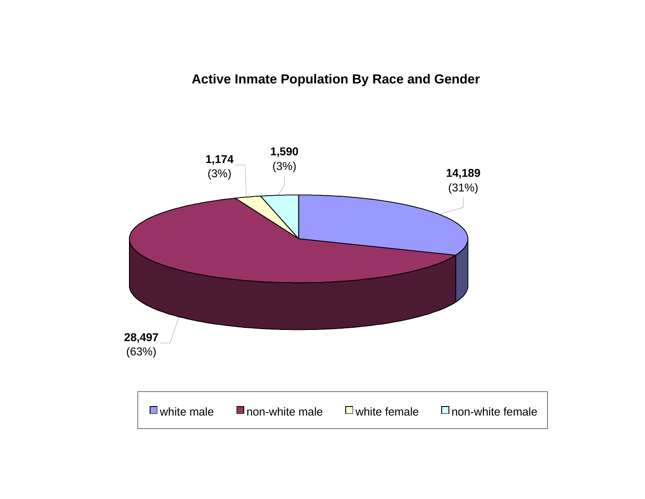# **Active Inmate Population By Race and Gender**

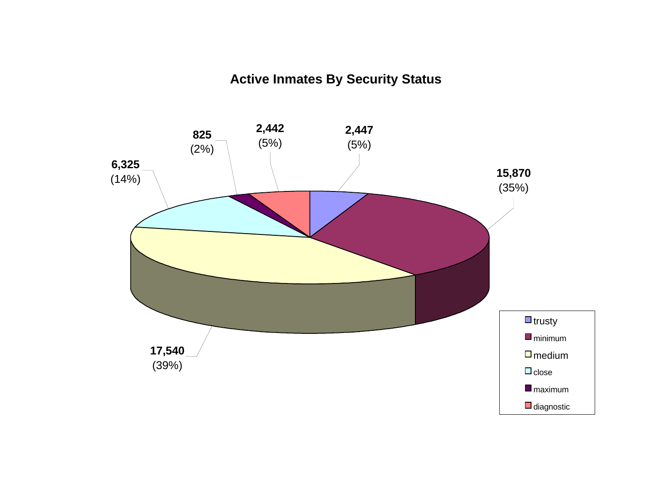# **Active Inmates By Security Status**

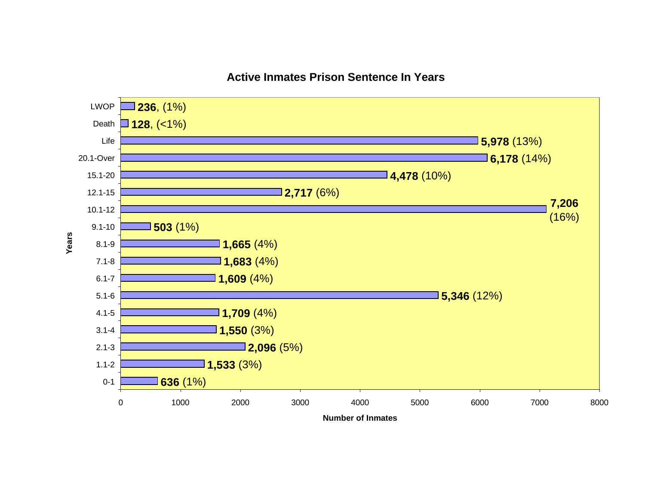

# **Active Inmates Prison Sentence In Years**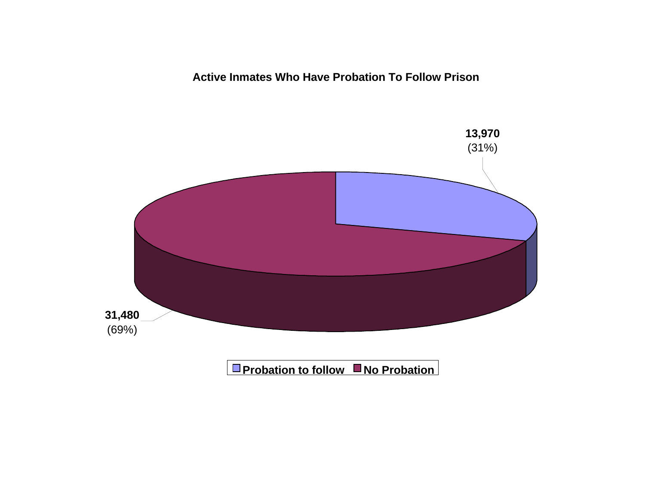**Active Inmates Who Have Probation To Follow Prison**

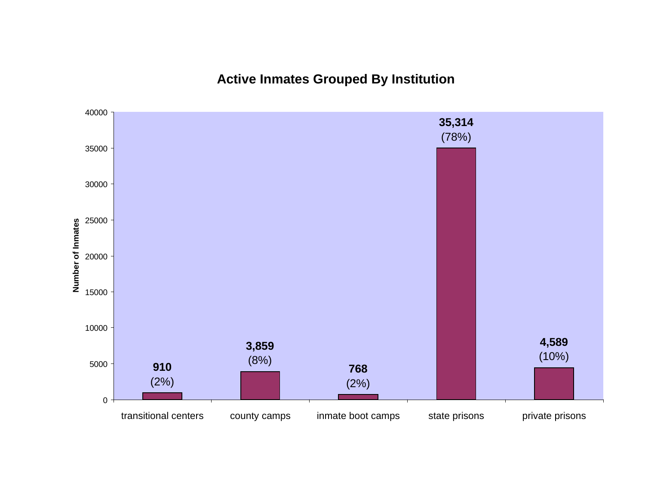**Active Inmates Grouped By Institution**

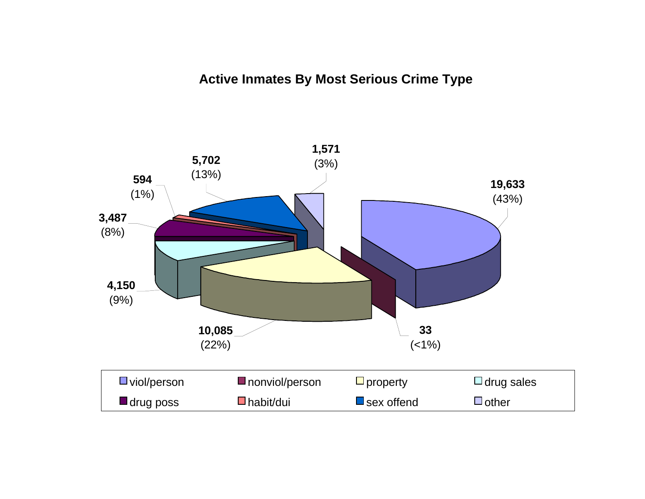# **Active Inmates By Most Serious Crime Type**

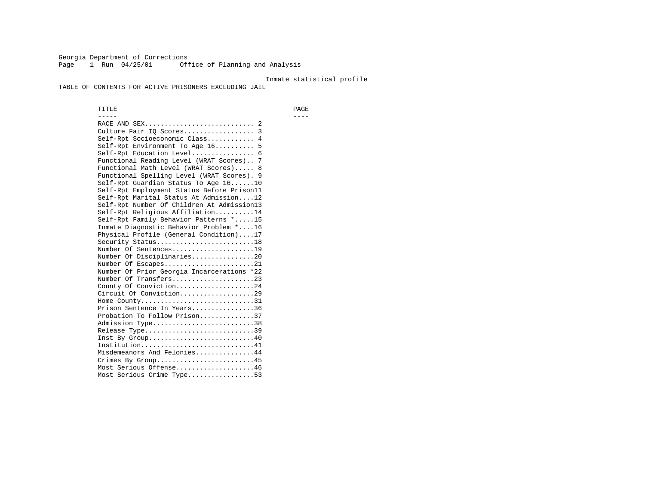Georgia Department of Corrections Page 1 Run 04/25/01 Office of Planning and Analysis

#### Inmate statistical profile

TABLE OF CONTENTS FOR ACTIVE PRISONERS EXCLUDING JAIL

 TITLE PAGE ----- ---- RACE AND SEX............................ 2 Culture Fair IQ Scores.................. 3 Self-Rpt Socioeconomic Class............ 4 Self-Rpt Environment To Age 16.......... 5 Self-Rpt Education Level................ 6 Functional Reading Level (WRAT Scores).. 7 Functional Math Level (WRAT Scores)..... 8 Functional Spelling Level (WRAT Scores). 9 Self-Rpt Guardian Status To Age 16......10 Self-Rpt Employment Status Before Prison11 Self-Rpt Marital Status At Admission....12 Self-Rpt Number Of Children At Admission13 Self-Rpt Religious Affiliation..........14 Self-Rpt Family Behavior Patterns \*.....15 Inmate Diagnostic Behavior Problem \*....16 Physical Profile (General Condition)....17 Security Status...........................18 Number Of Sentences.....................19 Number Of Disciplinaries................20 Number Of Escapes........................21 Number Of Prior Georgia Incarcerations \*22 Number Of Transfers.....................23 County Of Conviction....................24 Circuit Of Conviction...................29 Home County.............................31 Prison Sentence In Years................36 Probation To Follow Prison..............37Admission Type.............................38 Release Type...............................39 Inst By Group.............................40 Institution.............................41 Misdemeanors And Felonies...............44 Crimes By Group.........................45 Most Serious Offense....................46 Most Serious Crime Type.................53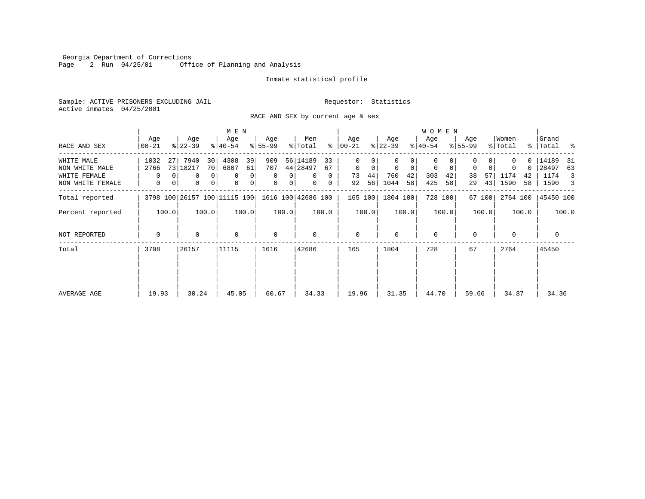Georgia Department of Corrections Page 2 Run 04/25/01 Office of Planning and Analysis

#### Inmate statistical profile

Sample: ACTIVE PRISONERS EXCLUDING JAIL **Requestor:** Statistics Active inmates 04/25/2001

RACE AND SEX by current age & sex

|                                                                  |                        |                                             | M E N                                                                                                    |                                                                       |                                                                              |                                                          |                                                         | <b>WOMEN</b>                                                     |                                                 |                                                        |                                                        |
|------------------------------------------------------------------|------------------------|---------------------------------------------|----------------------------------------------------------------------------------------------------------|-----------------------------------------------------------------------|------------------------------------------------------------------------------|----------------------------------------------------------|---------------------------------------------------------|------------------------------------------------------------------|-------------------------------------------------|--------------------------------------------------------|--------------------------------------------------------|
| RACE AND SEX                                                     | Age<br>$00 - 21$       | Age<br>$ 22-39 $                            | Age<br>$ 40-54 $                                                                                         | Age<br>$8 55-99$                                                      | Men<br>% Total                                                               | Age<br>$8   00 - 21$                                     | Age<br>$ 22-39 $                                        | Age<br>$ 40-54 $                                                 | Age<br>$8155 - 99$                              | Women<br>% Total                                       | Grand<br>%   Total %                                   |
| WHITE MALE<br>NON WHITE MALE<br>WHITE FEMALE<br>NON WHITE FEMALE | 1032<br>2766<br>0<br>0 | 7940<br>30<br>27<br>73 18217<br>0<br>0<br>0 | 4308<br>39<br>70 <sup>1</sup><br>6807<br>61<br>0 <sup>1</sup><br>$\mathbf 0$<br>0<br> 0 <br>0<br>$\circ$ | 909<br>707<br>$\mathbf{0}$<br>$\mathbf{0}$<br>$\mathbf{0}$<br>$\circ$ | 56 14189<br>33<br>44 28497<br>67<br>$\mathbf{0}$<br>0<br>$\overline{0}$<br>0 | 0<br>$\mathbf{0}$<br>$\mathbf 0$<br>73<br>44<br>56<br>92 | 0<br>$\mathbf 0$<br>$\Omega$<br>760<br>42<br>1044<br>58 | $\Omega$<br>$\mathbf 0$<br>$\mathbf 0$<br>303<br>42<br>425<br>58 | $\mathbf 0$<br>$\Omega$<br>38<br>57<br>43<br>29 | O.<br>$\Omega$<br>$\Omega$<br>1174<br>42<br>1590<br>58 | 14189<br>-31<br>28497<br>63<br>1174<br>3<br>1590<br>-3 |
| Total reported                                                   |                        |                                             | 3798 100 26157 100 11115 100                                                                             |                                                                       | 1616 100 42686 100                                                           | 165 100                                                  | 1804 100                                                | 728 100                                                          | 67 100                                          | 2764 100                                               | 45450 100                                              |
| Percent reported                                                 | 100.0                  | 100.0                                       | 100.0                                                                                                    | 100.0                                                                 | 100.0                                                                        | 100.0                                                    | 100.0                                                   | 100.0                                                            | 100.0                                           | 100.0                                                  | 100.0                                                  |
| NOT REPORTED                                                     | $\Omega$               | $\Omega$                                    | $\mathbf 0$                                                                                              | $\mathbf 0$                                                           | $\Omega$                                                                     | $\mathbf{0}$                                             | $\Omega$                                                | $\Omega$                                                         | $\Omega$                                        | $\Omega$                                               | 0                                                      |
| Total                                                            | 26157<br>3798          |                                             | 11115                                                                                                    | 1616                                                                  | 42686                                                                        | 165                                                      | 1804                                                    | 728                                                              | 67                                              | 2764                                                   | 45450                                                  |
| AVERAGE AGE                                                      | 19.93                  | 30.24                                       | 45.05                                                                                                    | 60.67                                                                 | 34.33                                                                        | 19.96                                                    | 31.35                                                   | 44.70                                                            | 59.66                                           | 34.87                                                  | 34.36                                                  |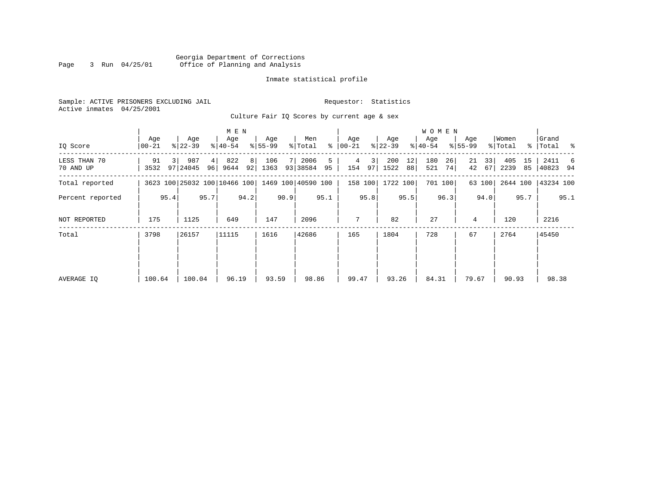#### Georgia Department of Corrections Page 3 Run 04/25/01 Office of Planning and Analysis

# Inmate statistical profile

|  |                           | Sample: ACTIVE PRISONERS EXCLUDING JAIL |                                             |  |  | Requestor: Statistics |  |  |
|--|---------------------------|-----------------------------------------|---------------------------------------------|--|--|-----------------------|--|--|
|  | Active inmates 04/25/2001 |                                         |                                             |  |  |                       |  |  |
|  |                           |                                         | Culture Fair IO Scores by current age & sex |  |  |                       |  |  |

| IQ Score                  | Age<br>$ 00-21 $ |      | Age<br>$ 22 - 39 $                              |          | M E N<br>Age<br>$ 40-54 $ |                      | Age<br>$8 55-99$ |      | Men<br>% Total   | ႜ       | Age<br>  00-21 |      | Age<br>$ 22-39 $ |          | <b>WOMEN</b><br>Aqe<br>$ 40-54$ |          | Age<br>$8155 - 99$ |          | Women<br>% Total |          | Grand<br>% Total % |      |
|---------------------------|------------------|------|-------------------------------------------------|----------|---------------------------|----------------------|------------------|------|------------------|---------|----------------|------|------------------|----------|---------------------------------|----------|--------------------|----------|------------------|----------|--------------------|------|
| LESS THAN 70<br>70 AND UP | 91<br>3532       |      | 987<br>97 24045                                 | 4 <br>96 | 822<br>9644               | 8 <sup>1</sup><br>92 | 106<br>1363      |      | 2006<br>93 38584 | 5<br>95 | 4<br>154       | 3    | 200<br>97   1522 | 12<br>88 | 180<br>521                      | 26<br>74 | 21<br>42           | 33<br>67 | 405<br>2239      | 15<br>85 | 2411<br>40823 94   | 6    |
| Total reported            |                  |      | 3623 100 25032 100 10466 100 1469 100 40590 100 |          |                           |                      |                  |      |                  |         |                |      | 158 100 1722 100 |          |                                 | 701 100  |                    | 63 100   | 2644 100         |          | 43234 100          |      |
| Percent reported          |                  | 95.4 |                                                 | 95.7     |                           | 94.2                 |                  | 90.9 |                  | 95.1    |                | 95.8 |                  | 95.5     |                                 | 96.3     |                    | 94.0     |                  | 95.7     |                    | 95.1 |
| NOT REPORTED              | 175              |      | 1125                                            |          | 649                       |                      | 147              |      | 2096             |         | 7              |      | 82               |          | 27                              |          | 4                  |          | 120              |          | 2216               |      |
| Total                     | 3798             |      | 26157                                           |          | 11115                     |                      | 1616             |      | 42686            |         | 165            |      | 1804             |          | 728                             |          | 67                 |          | 2764             |          | 45450              |      |
| AVERAGE IO                | 100.64           |      | 100.04                                          |          | 96.19                     |                      | 93.59            |      | 98.86            |         | 99.47          |      | 93.26            |          | 84.31                           |          | 79.67              |          | 90.93            |          | 98.38              |      |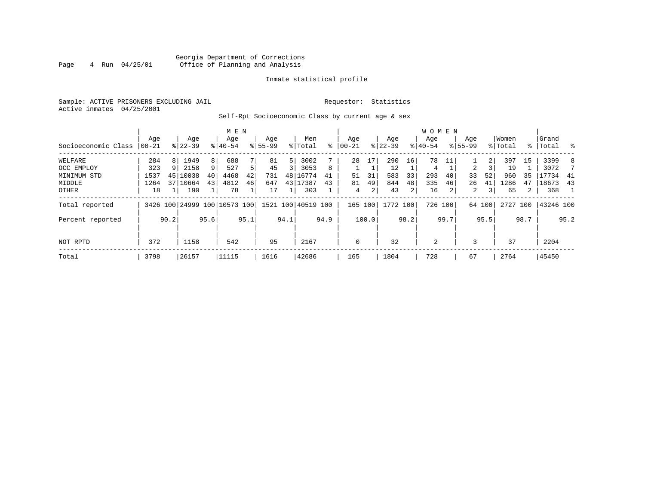# Georgia Department of Corrections<br>4 Run 04/25/01 Office of Planning and Analysis Page 4 Run 04/25/01 Office of Planning and Analysis

#### Inmate statistical profile

Sample: ACTIVE PRISONERS EXCLUDING JAIL **Requestor:** Statistics Active inmates 04/25/2001

# Self-Rpt Socioeconomic Class by current age & sex

|                     |          |      |                              |                 | M E N     |      |             |      |                    |      |             |       |             |      | <b>WOMEN</b> |         |             |        |          |      |           |          |
|---------------------|----------|------|------------------------------|-----------------|-----------|------|-------------|------|--------------------|------|-------------|-------|-------------|------|--------------|---------|-------------|--------|----------|------|-----------|----------|
|                     | Age      |      | Age                          |                 | Age       |      | Age         |      | Men                |      | Age         |       | Age         |      | Aqe          |         | Age         |        | Women    |      | Grand     |          |
| Socioeconomic Class | $ 00-21$ |      | $8 22-39$                    |                 | $8 40-54$ |      | $8155 - 99$ |      | % Total            | ⊱    | $ 00 - 21$  |       | $8$   22-39 |      | $8 40-54$    |         | $8155 - 99$ |        | % Total  |      | %   Total | $\sim$ 8 |
| WELFARE             | 284      | 8    | 1949                         | 8               | 688       |      | 81          | 5    | 3002               |      | 28          | 17    | 290         | 16   | 78           | 11      |             | 2      | 397      | 15   | 3399      | 8        |
| OCC EMPLOY          | 323      | 9    | 2158                         | 9               | 527       | 5.   | 45          |      | 3053               | 8    |             |       | 12          |      | 4            |         | 2           |        | 19       |      | 3072      |          |
| MINIMUM STD         | 1537     | 45   | 10038                        | 40 <sup>1</sup> | 4468      | 42   | 731         |      | 48 16774           | 41   | 51          | 31    | 583         | 33   | 293          | 40      | 33          | 52     | 960      | 35   | 17734     | 41       |
| MIDDLE              | 1264     | 37   | 10664                        | 43              | 4812      | 46   | 647         |      | 43 17387           | 43   | 81          | 49    | 844         | 48   | 335          | 46      | 26          | 41     | 1286     | 47   | 18673     | 43       |
| OTHER               | 18       |      | 190                          |                 | 78        |      | 17          |      | 303                |      | 4           | 2     | 43          | 2    | 16           | 2       | 2           | 3      | 65       | 2    | 368       |          |
| Total reported      |          |      | 3426 100 24999 100 10573 100 |                 |           |      |             |      | 1521 100 40519 100 |      | 165 100     |       | 1772 100    |      |              | 726 100 |             | 64 100 | 2727 100 |      | 43246 100 |          |
| Percent reported    |          | 90.2 |                              | 95.6            |           | 95.1 |             | 94.1 |                    | 94.9 |             | 100.0 |             | 98.2 |              | 99.7    |             | 95.5   |          | 98.7 |           | 95.2     |
| NOT RPTD            | 372      |      | 1158                         |                 | 542       |      | 95          |      | 2167               |      | $\mathbf 0$ |       | 32          |      | 2            |         | 3           |        | 37       |      | 2204      |          |
| Total               | 3798     |      | 26157                        |                 | 11115     |      | 1616        |      | 42686              |      | 165         |       | 1804        |      | 728          |         | 67          |        | 2764     |      | 45450     |          |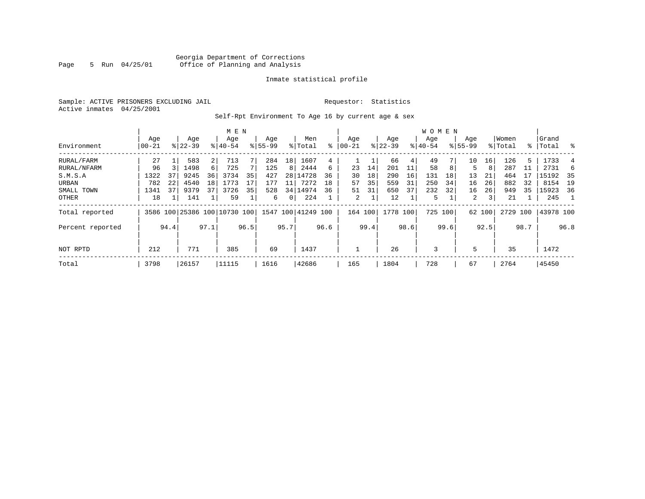# Georgia Department of Corrections<br>5 Run 04/25/01 Office of Planning and Analysis Page 5 Run 04/25/01 Office of Planning and Analysis

#### Inmate statistical profile

Sample: ACTIVE PRISONERS EXCLUDING JAIL **Requestor:** Statistics Active inmates 04/25/2001

Self-Rpt Environment To Age 16 by current age & sex

|                  |                  |      |                    |                | M E N                        |      |                    |                 |                    |      |                  |      |                  |      | <b>WOMEN</b>     |      |                    |                 |                  |      |                |      |
|------------------|------------------|------|--------------------|----------------|------------------------------|------|--------------------|-----------------|--------------------|------|------------------|------|------------------|------|------------------|------|--------------------|-----------------|------------------|------|----------------|------|
| Environment      | Age<br>$00 - 21$ |      | Age<br>$8122 - 39$ |                | Age<br>$8140 - 54$           |      | Age<br>$8155 - 99$ |                 | Men<br>% Total     | ႜ    | Age<br>$00 - 21$ |      | Age<br>$ 22-39 $ |      | Age<br>$8 40-54$ |      | Age<br>$8155 - 99$ |                 | Women<br>% Total | ႜႂ   | Grand<br>Total | ွေ   |
| RURAL/FARM       | 27               |      | 583                | $\overline{2}$ | 713                          |      | 284                | 18 <sup>1</sup> | 1607               | 4    |                  |      | 66               | 4    | 49               |      | 10                 | 16 <sub>1</sub> | 126              | 5.   | 1733           |      |
| RURAL/NFARM      | 96               |      | 1498               | $6 \mid$       | 725                          |      | 125                | 8               | 2444               | 6    | 23               | 14   | 201              |      | 58               | 8    | 5                  | 8               | 287              |      | 2731           | 6    |
| S.M.S.A          | 1322             | 37   | 9245               | 36             | 3734                         | 35   | 427                |                 | 28 14728           | 36   | 30               | 18   | 290              | 16   | 131              | 18   | 13                 | 21              | 464              |      | 15192          | - 35 |
| URBAN            | 782              | 22   | 4540               | 18             | 1773                         |      | 177                | 11              | 7272               | 18   | 57               | 35   | 559              | 31   | 250              | 34   | 16                 | 26              | 882              | 32   | 8154           | 19   |
| SMALL TOWN       | 1341             | 37   | 9379               | 37             | 3726                         | 35   | 528                |                 | 34 14974           | 36   | 51               | 31   | 650              | 37   | 232              | 32   | 16                 | 26              | 949              | 35   | 15923          | 36   |
| OTHER            | 18               |      | 141                |                | 59                           |      | 6                  | 0 <sup>1</sup>  | 224                |      | 2                |      | 12               |      | 5                |      | 2                  | 3               | 21               |      | 245            |      |
| Total reported   |                  |      |                    |                | 3586 100 25386 100 10730 100 |      |                    |                 | 1547 100 41249 100 |      | 164 100          |      | 1778 100         |      | 725 100          |      |                    | 62 100          | 2729             | 100  | 43978 100      |      |
| Percent reported |                  | 94.4 |                    | 97.1           |                              | 96.5 |                    | 95.7            |                    | 96.6 |                  | 99.4 |                  | 98.6 |                  | 99.6 |                    | 92.5            |                  | 98.7 |                | 96.8 |
| NOT RPTD         | 212              |      | 771                |                | 385                          |      | 69                 |                 | 1437               |      |                  |      | 26               |      | 3                |      | 5                  |                 | 35               |      | 1472           |      |
| Total            | 3798             |      | 26157              |                | 11115                        |      | 1616               |                 | 42686              |      | 165              |      | 1804             |      | 728              |      | 67                 |                 | 2764             |      | 45450          |      |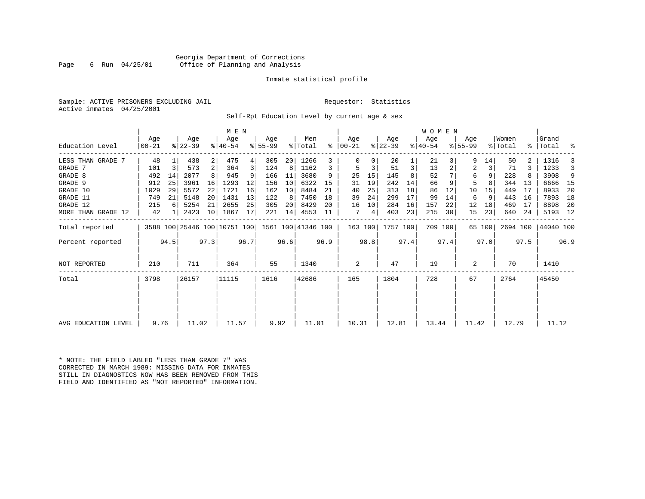#### Georgia Department of Corrections<br>6 Run 04/25/01 Office of Planning and Analysis Page 6 Run 04/25/01 Office of Planning and Analysis

#### Inmate statistical profile

Sample: ACTIVE PRISONERS EXCLUDING JAIL **Requestor:** Statistics Active inmates 04/25/2001

Self-Rpt Education Level by current age & sex

|                     |                   |                |                  |      | M E N                        |      |                 |      |                    |      |                    |      |                  |      | W O M E N        |      |                  |        |                  |      |                    |      |
|---------------------|-------------------|----------------|------------------|------|------------------------------|------|-----------------|------|--------------------|------|--------------------|------|------------------|------|------------------|------|------------------|--------|------------------|------|--------------------|------|
| Education Level     | Age<br>$ 00 - 21$ |                | Age<br>$ 22-39 $ |      | Age<br>$ 40-54 $             |      | Age<br>$ 55-99$ |      | Men<br>% Total     | ⊱    | Age<br>$ 00 - 21 $ |      | Age<br>$ 22-39 $ |      | Age<br>$ 40-54 $ |      | Age<br>$8 55-99$ |        | Women<br>% Total |      | Grand<br>%   Total | ್ಠಿ  |
| LESS THAN GRADE     | 48                |                | 438              | 2    | 475                          |      | 305             | 20   | 1266               | 3    |                    |      | 20               |      | 21               |      | 9                | 14     | 50               |      | 1316               |      |
| GRADE 7             | 101               | $\overline{3}$ | 573              | 2    | 364                          | 3    | 124             | 8    | 1162               | 3    | 5                  | 3    | 51               | 3    | 13               |      | 2                | 3      | 71               |      | 1233               | 3    |
| GRADE 8             | 492               | 14             | 2077             |      | 945                          |      | 166             | 11   | 3680               | 9    | 25                 | 15   | 145              |      | 52               |      | 6                | 9      | 228              |      | 3908               | 9    |
| GRADE 9             | 912               | 25             | 3961             | 16   | 1293                         | 12   | 156             | 10   | 6322               | 15   | 31                 | 19   | 242              | 14   | 66               | 9    | 5                |        | 344              | 13   | 6666               | - 15 |
| GRADE 10            | 1029              | 29             | 5572             | 22   | 1721                         | 16   | 162             | 10   | 8484               | 21   | 40                 | 25   | 313              | 18   | 86               | 12   | 10               | 15     | 449              | 17   | 8933               | 20   |
| GRADE 11            | 749               | 21             | 5148             | 20   | 1431                         | 13   | 122             | 8    | 7450               | 18   | 39                 | 24   | 299              | 17   | 99               | 14   | 6                | 9      | 443              | 16   | 7893               | 18   |
| GRADE 12            | 215               |                | 5254             | 21   | 2655                         | 25   | 305             | 20   | 8429               | 20   | 16                 | 10   | 284              | 16   | 157              | 22   | 12               | 18     | 469              | 17   | 8898               | -20  |
| MORE THAN GRADE 12  | 42                |                | 2423             | 10   | 1867                         | 17   | 221             | 14   | 4553               | 11   | 7                  | 4    | 403              | 23   | 215              | 30   | 15               | 23     | 640              | 24   | 5193               | 12   |
| Total reported      |                   |                |                  |      | 3588 100 25446 100 10751 100 |      |                 |      | 1561 100 41346 100 |      | 163 100            |      | 1757 100         |      | 709 100          |      |                  | 65 100 | 2694 100         |      | 44040 100          |      |
| Percent reported    |                   | 94.5           |                  | 97.3 |                              | 96.7 |                 | 96.6 |                    | 96.9 |                    | 98.8 |                  | 97.4 |                  | 97.4 |                  | 97.0   |                  | 97.5 |                    | 96.9 |
| <b>NOT REPORTED</b> | 210               |                | 711              |      | 364                          |      | 55              |      | 1340               |      | 2                  |      | 47               |      | 19               |      | 2                |        | 70               |      | 1410               |      |
| Total               | 3798              |                | 26157            |      | 11115                        |      | 1616            |      | 42686              |      | 165                |      | 1804             |      | 728              |      | 67               |        | 2764             |      | 45450              |      |
|                     |                   |                |                  |      |                              |      |                 |      |                    |      |                    |      |                  |      |                  |      |                  |        |                  |      |                    |      |
| AVG EDUCATION LEVEL | 9.76              |                | 11.02            |      | 11.57                        |      | 9.92            |      | 11.01              |      | 10.31              |      | 12.81            |      | 13.44            |      | 11.42            |        | 12.79            |      | 11.12              |      |

\* NOTE: THE FIELD LABLED "LESS THAN GRADE 7" WAS CORRECTED IN MARCH 1989: MISSING DATA FOR INMATES STILL IN DIAGNOSTICS NOW HAS BEEN REMOVED FROM THIS FIELD AND IDENTIFIED AS "NOT REPORTED" INFORMATION.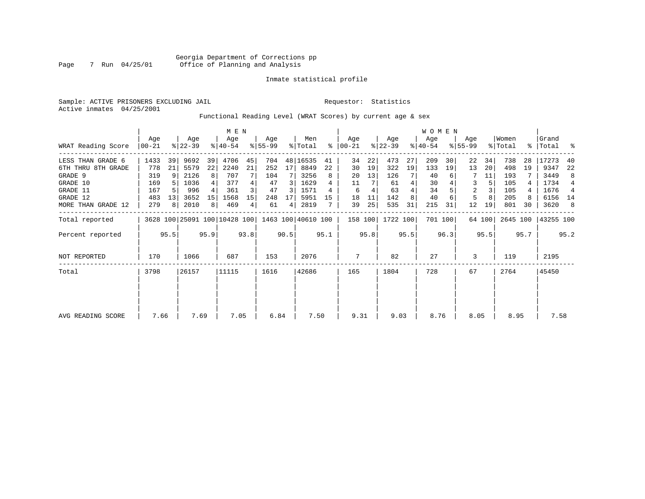Sample: ACTIVE PRISONERS EXCLUDING JAIL **Requestor:** Statistics Active inmates 04/25/2001

Functional Reading Level (WRAT Scores) by current age & sex

|                     |                |                | M E N            |      |                                                 |      |                 |      |                |      |                    |      | WOMEN            |      |                  |         |                    |        | Grand            |      |           |                |
|---------------------|----------------|----------------|------------------|------|-------------------------------------------------|------|-----------------|------|----------------|------|--------------------|------|------------------|------|------------------|---------|--------------------|--------|------------------|------|-----------|----------------|
| WRAT Reading Score  | Age<br>  00-21 |                | Age<br>$ 22-39 $ |      | Age<br>$8140 - 54$                              |      | Age<br>$ 55-99$ |      | Men<br>% Total | ⊱    | Age<br>$ 00 - 21 $ |      | Age<br>$ 22-39 $ |      | Age<br>$ 40-54 $ |         | Age<br>$8155 - 99$ |        | Women<br>% Total |      | %   Total | ್ಠಿ            |
| LESS THAN GRADE 6   | 1433           | 39             | 9692             | 39   | 4706                                            | 45   | 704             |      | 48 16535       | 41   | 34                 | 22   | 473              | 27   | 209              | 30      | 22                 | 34     | 738              | 28   | 17273     | 40             |
| 6TH THRU 8TH GRADE  | 778            | 21             | 5579             | 22   | 2240                                            | 21   | 252             | 17   | 8849           | 22   | 30                 | 19   | 322              | 19   | 133              | 19      | 13                 | 20     | 498              | 19   | 9347      | 22             |
| GRADE 9             | 319            | 9              | 2126             | 8    | 707                                             |      | 104             |      | 3256           | 8    | 20                 | 13   | 126              |      | 40               |         |                    | 11     | 193              |      | 3449      | 8              |
| GRADE 10            | 169            |                | 1036             |      | 377                                             |      | 47              | 3    | 1629           |      | 11                 |      | 61               | 4    | 30               |         | 3                  |        | 105              |      | 1734      | $\overline{4}$ |
| GRADE 11            | 167            |                | 996              |      | 361                                             |      | 47              | 3    | 1571           | 4    | 6                  | 4    | 63               |      | 34               |         | 2                  |        | 105              |      | 1676      | 4              |
| GRADE 12            | 483            | 13             | 3652             | 15   | 1568                                            | 15   | 248             | 17   | 5951           | 15   | 18                 |      | 142              |      | 40               |         | 5                  |        | 205              |      | 6156 14   |                |
| MORE THAN GRADE 12  | 279            | 8 <sup>1</sup> | 2010             | 8    | 469                                             | 4    | 61              | 4    | 2819           |      | 39                 | 25   | 535              | 31   | 215              | 31      | 12                 | 19     | 801              | 30   | 3620      | 8              |
| Total reported      |                |                |                  |      | 3628 100 25091 100 10428 100 1463 100 40610 100 |      |                 |      |                |      | 158 100            |      | 1722 100         |      |                  | 701 100 |                    | 64 100 | 2645 100         |      | 43255 100 |                |
| Percent reported    |                | 95.5           |                  | 95.9 |                                                 | 93.8 |                 | 90.5 |                | 95.1 |                    | 95.8 |                  | 95.5 |                  | 96.3    |                    | 95.5   |                  | 95.7 |           | 95.2           |
| <b>NOT REPORTED</b> | 170            |                | 1066             |      | 687                                             |      | 153             |      | 2076           |      | 7                  |      | 82               |      | 27               |         | 3                  |        | 119              |      | 2195      |                |
| Total               | 3798           | 26157          |                  |      | 11115                                           |      | 1616            |      | 42686          |      | 165                |      | 1804             |      | 728              |         | 67                 |        | 2764             |      | 45450     |                |
|                     |                |                |                  |      |                                                 |      |                 |      |                |      |                    |      |                  |      |                  |         |                    |        |                  |      |           |                |
|                     |                |                |                  |      |                                                 |      |                 |      |                |      |                    |      |                  |      |                  |         |                    |        |                  |      |           |                |
| AVG READING SCORE   | 7.66           |                | 7.69             |      | 7.05                                            |      | 6.84            |      | 7.50           |      | 9.31               |      | 9.03             |      | 8.76             |         | 8.05               |        | 8.95             |      | 7.58      |                |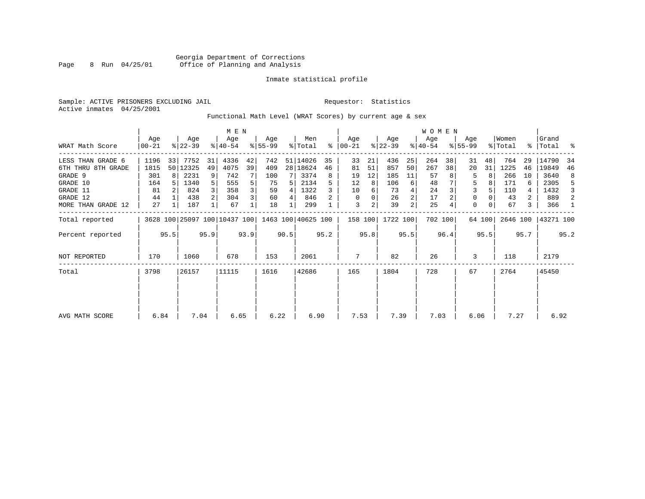Sample: ACTIVE PRISONERS EXCLUDING JAIL **Requestor:** Statistics Active inmates 04/25/2001

Functional Math Level (WRAT Scores) by current age & sex

|                    |                  |      | M E N            |                |                              |      |                 |      |                    |      |                  |      | WOMEN            |      |                  |         |                    |        |                  |      |                    |      |
|--------------------|------------------|------|------------------|----------------|------------------------------|------|-----------------|------|--------------------|------|------------------|------|------------------|------|------------------|---------|--------------------|--------|------------------|------|--------------------|------|
| WRAT Math Score    | Age<br>$00 - 21$ |      | Age<br>$ 22-39 $ |                | Age<br>$8140 - 54$           |      | Age<br>$ 55-99$ |      | Men<br>% Total     | ႜ    | Age<br>$ 00-21 $ |      | Age<br>$ 22-39 $ |      | Age<br>$ 40-54 $ |         | Age<br>$8155 - 99$ |        | Women<br>% Total |      | Grand<br>%   Total | ႜ    |
| LESS THAN GRADE 6  | 1196             | 33   | 7752             | 31             | 4336                         | 42   | 742             |      | 51 14026           | 35   | 33               | 21   | 436              | 25   | 264              | 38      | 31                 | 48     | 764              | 29   | 14790              | 34   |
| 6TH THRU 8TH GRADE | 1815             |      | 50 12325         | 49             | 4075                         | 39   | 409             |      | 28 18624           | 46   | 81               | 51   | 857              | 50   | 267              | 38      | 20                 | 31     | 1225             | 46   | 19849              | 46   |
| GRADE 9            | 301              | 8    | 2231             | 9              | 742                          |      | 100             |      | 3374               | 8    | 19               | 12   | 185              | 11   | 57               |         | 5                  |        | 266              | 10   | 3640               | 8    |
| GRADE 10           | 164              |      | 1340             | 5              | 555                          | 5    | 75              |      | 2134               |      | 12               | 8    | 106              | 6    | 48               |         | 5                  |        | 171              | 6    | 2305               | -5   |
| GRADE 11           | 81               |      | 824              |                | 358                          | 3    | 59              | 4    | 1322               |      | 10               | 6    | 73               |      | 24               |         | 3                  |        | 110              |      | 1432               | 3    |
| GRADE 12           | 44               |      | 438              | $\overline{2}$ | 304                          | 3    | 60              | 4    | 846                |      | 0                | 0    | 26               |      | 17               |         | 0                  |        | 43               | 2    | 889                | 2    |
| MORE THAN GRADE 12 | 27               |      | 187              |                | 67                           |      | 18              |      | 299                |      | 3                | 2    | 39               | 2    | 25               |         | $\Omega$           |        | 67               | 3    | 366                | -1   |
| Total reported     |                  |      |                  |                | 3628 100 25097 100 10437 100 |      |                 |      | 1463 100 40625 100 |      | 158 100          |      | 1722 100         |      |                  | 702 100 |                    | 64 100 | 2646 100         |      | 43271 100          |      |
| Percent reported   |                  | 95.5 |                  | 95.9           |                              | 93.9 |                 | 90.5 |                    | 95.2 |                  | 95.8 |                  | 95.5 |                  | 96.4    |                    | 95.5   |                  | 95.7 |                    | 95.2 |
| NOT REPORTED       | 170              |      | 1060             |                | 678                          |      | 153             |      | 2061               |      | 7                |      | 82               |      | 26               |         | 3                  |        | 118              |      | 2179               |      |
| Total              | 3798             |      | 26157            |                | 11115                        |      | 1616            |      | 42686              |      | 165              |      | 1804             |      | 728              |         | 67                 |        | 2764             |      | 45450              |      |
|                    |                  |      |                  |                |                              |      |                 |      |                    |      |                  |      |                  |      |                  |         |                    |        |                  |      |                    |      |
| AVG MATH SCORE     | 6.84             |      | 7.04             |                | 6.65                         |      | 6.22            |      | 6.90               |      | 7.53             |      | 7.39             |      | 7.03             |         | 6.06               |        | 7.27             |      | 6.92               |      |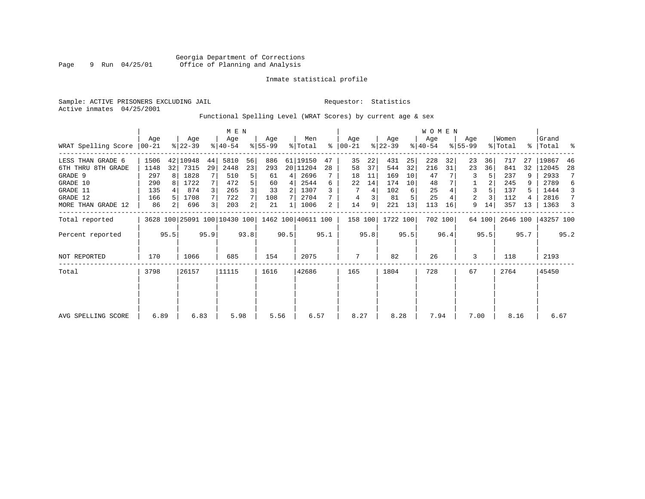Sample: ACTIVE PRISONERS EXCLUDING JAIL **Requestor:** Statistics Active inmates 04/25/2001

# Functional Spelling Level (WRAT Scores) by current age & sex

|                             |      |                |                  |                | M E N                        |      |                  |      |                    |      |                  |      |                  |      | WOMEN            |         |                  |        |                  |      |                    |      |
|-----------------------------|------|----------------|------------------|----------------|------------------------------|------|------------------|------|--------------------|------|------------------|------|------------------|------|------------------|---------|------------------|--------|------------------|------|--------------------|------|
| WRAT Spelling Score   00-21 | Age  |                | Age<br>$ 22-39 $ |                | Age<br>$ 40-54 $             |      | Aqe<br>$ 55-99 $ |      | Men<br>% Total     | ፠    | Age<br>$ 00-21 $ |      | Age<br>$ 22-39 $ |      | Age<br>$ 40-54 $ |         | Aqe<br>$8 55-99$ |        | Women<br>% Total |      | Grand<br>%   Total |      |
| LESS THAN GRADE 6           | 1506 |                | 42 10948         | 44             | 5810                         | 56   | 886              |      | 61 19150           | 47   | 35               | 22   | 431              | 25   | 228              | 32      | 23               | 36     | 717              | 27   | 19867              | 46   |
| 6TH THRU 8TH GRADE          | 1148 | 32             | 7315             | 29             | 2448                         | 23   | 293              |      | 20 11204           | 28   | 58               | 37   | 544              | 32   | 216              | 31      | 23               | 36     | 841              | 32   | 12045              | 28   |
| GRADE 9                     | 297  | 8              | 1828             |                | 510                          | 5    | 61               | 4    | 2696               |      | 18               | 11   | 169              | 10   | 47               |         |                  |        | 237              |      | 2933               | 7    |
| GRADE 10                    | 290  |                | 1722             |                | 472                          | 5    | 60               | 4    | 2544               | 6    | 22               | 14   | 174              | 10   | 48               |         |                  |        | 245              |      | 2789               | 6    |
| GRADE 11                    | 135  |                | 874              |                | 265                          | 3    | 33               | 2    | 1307               |      |                  | 4    | 102              | 6    | 25               |         | 3                |        | 137              |      | 1444               | 3    |
| GRADE 12                    | 166  |                | 1708             | 7              | 722                          |      | 108              |      | 2704               |      | 4                |      | 81               | 5    | 25               |         | 2                |        | 112              |      | 2816               | 7    |
| MORE THAN GRADE 12          | 86   | 2 <sub>1</sub> | 696              | $\overline{3}$ | 203                          | 2    | 21               |      | 1006               | 2    | 14               | 9    | 221              | 13   | 113              | 16      | 9                | 14     | 357              | 13   | 1363               | 3    |
| Total reported              |      |                |                  |                | 3628 100 25091 100 10430 100 |      |                  |      | 1462 100 40611 100 |      | 158 100          |      | 1722 100         |      |                  | 702 100 |                  | 64 100 | 2646 100         |      | 43257 100          |      |
| Percent reported            |      | 95.5           |                  | 95.9           |                              | 93.8 |                  | 90.5 |                    | 95.1 |                  | 95.8 |                  | 95.5 |                  | 96.4    |                  | 95.5   |                  | 95.7 |                    | 95.2 |
| <b>NOT REPORTED</b>         | 170  |                | 1066             |                | 685                          |      | 154              |      | 2075               |      | 7                |      | 82               |      | 26               |         | 3                |        | 118              |      | 2193               |      |
| Total                       | 3798 |                | 26157            |                | 11115                        |      | 1616             |      | 42686              |      | 165              |      | 1804             |      | 728              |         | 67               |        | 2764             |      | 45450              |      |
|                             |      |                |                  |                |                              |      |                  |      |                    |      |                  |      |                  |      |                  |         |                  |        |                  |      |                    |      |
|                             |      |                |                  |                |                              |      |                  |      |                    |      |                  |      |                  |      |                  |         |                  |        |                  |      |                    |      |
| AVG SPELLING SCORE          | 6.89 |                | 6.83             |                | 5.98                         |      | 5.56             |      | 6.57               |      | 8.27             |      | 8.28             |      | 7.94             |         | 7.00             |        | 8.16             |      | 6.67               |      |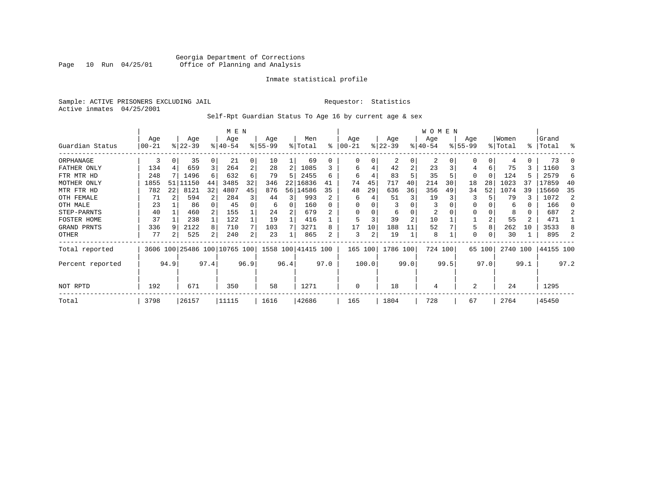### Georgia Department of Corrections Page 10 Run 04/25/01 Office of Planning and Analysis

#### Inmate statistical profile

Sample: ACTIVE PRISONERS EXCLUDING JAIL **Requestor:** Statistics Active inmates 04/25/2001

Self-Rpt Guardian Status To Age 16 by current age & sex

|                  |                  |    |                  |          | M E N                        |      |                  |      |                    |      |                 |       |                 |                | W O M E N        |      |                    |          |                  |                |                |      |
|------------------|------------------|----|------------------|----------|------------------------------|------|------------------|------|--------------------|------|-----------------|-------|-----------------|----------------|------------------|------|--------------------|----------|------------------|----------------|----------------|------|
| Guardian Status  | Age<br>$00 - 21$ |    | Age<br>$8 22-39$ |          | Age<br>$8140 - 54$           |      | Age<br>$8 55-99$ |      | Men<br>% Total     | ႜ    | Age<br>$ 00-21$ |       | Age<br>$ 22-39$ |                | Age<br>$8 40-54$ |      | Age<br>$8155 - 99$ |          | Women<br>% Total | % ิ            | Grand<br>Total | ႜ    |
| ORPHANAGE        | 3                | 0  | 35               | $\Omega$ | 21                           | 0    | 10               |      | 69                 | U    | 0               | 0     | 2               | $\Omega$       | 2                |      | $\Omega$           |          |                  | 0              | 73             |      |
| FATHER ONLY      | 134              |    | 659              |          | 264                          | 2    | 28               | 2    | 1085               |      | 6               |       | 42              | 2              | 23               |      | 4                  | 6        | 75               | 3              | 1160           |      |
| FTR MTR HD       | 248              |    | 1496             | 6        | 632                          | 6    | 79               | 5    | 2455               | 6    | 6               |       | 83              |                | 35               |      | 0                  | $\Omega$ | 124              | 5              | 2579           |      |
| MOTHER ONLY      | 1855             | 51 | L1150            | 44       | 3485                         | 32   | 346              | 22   | 16836              | 41   | 74              | 45    | 717             | 40             | 214              | 30   | 18                 | 28       | 1023             | 37             | 17859          | -40  |
| MTR FTR HD       | 782              | 22 | 8121             | 32       | 4807                         | 45   | 876              |      | 56 14586           | 35   | 48              | 29    | 636             | 36             | 356              | 49   | 34                 | 52       | 1074             | 39             | 15660          | -35  |
| OTH FEMALE       | 71               |    | 594              |          | 284                          | 3    | 44               | 3    | 993                | 2    | 6               |       | 51              | 3              | 19               |      | 3                  |          | 79               | 3              | 1072           |      |
| OTH MALE         | 23               |    | 86               |          | 45                           | 0    | 6                | 0    | 160                |      | <sup>0</sup>    |       |                 |                | 3                |      | 0                  |          | 6                | 0              | 166            |      |
| STEP-PARNTS      | 40               |    | 460              |          | 155                          |      | 24               |      | 679                |      | $\Omega$        | 0     | 6               |                | 2                |      | 0                  |          | 8                | 0              | 687            |      |
| FOSTER HOME      | 37               |    | 238              |          | 122                          |      | 19               |      | 416                |      | 5               |       | 39              | $\overline{2}$ | 10               |      |                    | 2        | 55               | $\overline{a}$ | 471            |      |
| GRAND PRNTS      | 336              |    | 2122             | 8        | 710                          | 7    | 103              |      | 3271               | 8    | 17              | 10    | 188             | 11             | 52               |      | 5                  | 8        | 262              | 10             | 3533           |      |
| OTHER            | 77               | 2  | 525              | 2        | 240                          | 2    | 23               |      | 865                | 2    | 3               | 2     | 19              |                | 8                |      | 0                  | 0        | 30               |                | 895            |      |
| Total reported   |                  |    |                  |          | 3606 100 25486 100 10765 100 |      |                  |      | 1558 100 41415 100 |      | 165 100         |       | 1786 100        |                | 724 100          |      |                    | 65 100   | 2740 100         |                | 44155 100      |      |
| Percent reported | 94.9             |    |                  | 97.4     |                              | 96.9 |                  | 96.4 |                    | 97.0 |                 | 100.0 |                 | 99.0           |                  | 99.5 |                    | 97.0     |                  | 99.1           |                | 97.2 |
| NOT RPTD         | 671<br>192       |    |                  |          | 350                          |      | 58               |      | 1271               |      | $\mathbf 0$     |       | 18              |                | 4                |      | 2                  |          | 24               |                | 1295           |      |
| Total            | 3798             |    | 26157            |          | 11115                        |      | 1616             |      | 42686              |      | 165             |       | 1804            |                | 728              |      | 67                 |          | 2764             |                | 45450          |      |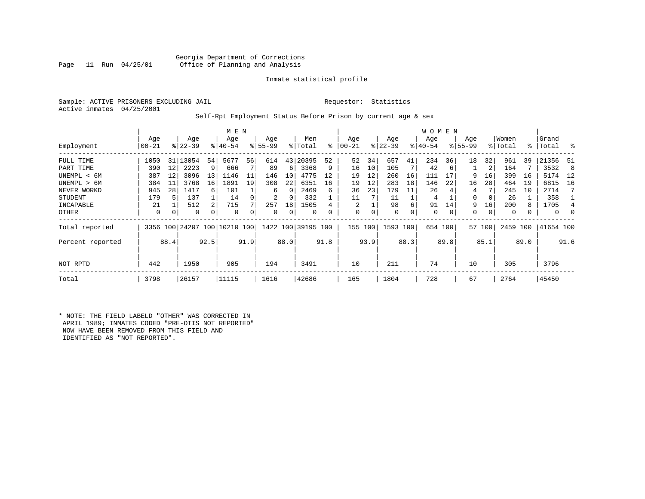#### Georgia Department of Corrections<br>Page 11 Run 04/25/01 Office of Planning and Analysis Office of Planning and Analysis

#### Inmate statistical profile

Sample: ACTIVE PRISONERS EXCLUDING JAIL **Requestor:** Statistics Active inmates 04/25/2001

#### Self-Rpt Employment Status Before Prison by current age & sex

|                  |           |      |           |      | M E N                        |      |           |               |                    |      |             |      |             |      | <b>WOMEN</b> |      |             |        |          |      |           |      |
|------------------|-----------|------|-----------|------|------------------------------|------|-----------|---------------|--------------------|------|-------------|------|-------------|------|--------------|------|-------------|--------|----------|------|-----------|------|
|                  | Age       |      | Age       |      | Age                          |      | Age       |               | Men                |      | Age         |      | Age         |      | Age          |      | Age         |        | Women    |      | Grand     |      |
| Employment       | $00 - 21$ |      | $ 22-39 $ |      | $8 40-54$                    |      | $8 55-99$ | $\frac{1}{6}$ | Total              | ႜ    | $00 - 21$   |      | $ 22-39 $   |      | $ 40-54 $    |      | $8155 - 99$ |        | % Total  |      | %   Total | ႜ    |
| FULL TIME        | 1050      | 31   | 13054     | 54   | 5677                         | 56   | 614       | 43            | 20395              | 52   | 52          | 34   | 657         | 41   | 234          | 36   | 18          | 32     | 961      | 39   | 21356     | -51  |
| PART TIME        | 390       | 12   | 2223      | 9    | 666                          |      | 89        | 6             | 3368               | 9    | 16          | 10   | 105         |      | 42           | 6    |             | 2      | 164      |      | 3532      | - 8  |
| UNEMPL < 6M      | 387       | 12   | 3096      | 13   | 1146                         | 11   | 146       | 10            | 4775               | 12   | 19          | 12   | 260         | 16   | 111          | 17   | 9           | 16     | 399      | 16   | 5174      | 12   |
| UNEMPL > 6M      | 384       | 11   | 3768      | 16   | 1891                         | 19   | 308       | 22            | 6351               | 16   | 19          | 12   | 283         | 18   | 146          | 22   | 16          | 28     | 464      | 19   | 6815      | 16   |
| NEVER WORKD      | 945       | 28   | 1417      | 6    | 101                          |      | 6         | $\Omega$      | 2469               | 6    | 36          | 23   | 179         | 11   | 26           |      | 4           |        | 245      | 10   | 2714      | 7    |
| <b>STUDENT</b>   | 179       | 5    | 137       |      | 14                           |      | 2         | 0             | 332                |      | 11          |      | 11          |      | 4            |      | 0           |        | 26       |      | 358       |      |
| INCAPABLE        | 21        |      | 512       | 2    | 715                          |      | 257       | 18            | 1505               |      | 2           |      | 98          | 6    | 91           | 14   | 9           | 16     | 200      |      | 1705      | 4    |
| OTHER            | 0         | 0    | 0         | 0    | 0                            |      | 0         | 0             | $\Omega$           |      | $\mathbf 0$ | 0    | $\mathbf 0$ | 0    | 0            | 0    | 0           | 0      | $\Omega$ |      | $\Omega$  | 0    |
| Total reported   |           |      |           |      | 3356 100 24207 100 10210 100 |      |           |               | 1422 100 39195 100 |      | 155 100     |      | 1593 100    |      | 654 100      |      |             | 57 100 | 2459 100 |      | 41654 100 |      |
| Percent reported |           | 88.4 |           | 92.5 |                              | 91.9 |           | 88.0          |                    | 91.8 |             | 93.9 |             | 88.3 |              | 89.8 |             | 85.1   |          | 89.0 |           | 91.6 |
| NOT RPTD         | 442       |      | 1950      |      | 905                          |      | 194       |               | 3491               |      | 10          |      | 211         |      | 74           |      | 10          |        | 305      |      | 3796      |      |
| Total            | 3798      |      | 26157     |      | 11115                        |      | 1616      |               | 42686              |      | 165         |      | 1804        |      | 728          |      | 67          |        | 2764     |      | 45450     |      |

\* NOTE: THE FIELD LABELD "OTHER" WAS CORRECTED IN APRIL 1989; INMATES CODED "PRE-OTIS NOT REPORTED" NOW HAVE BEEN REMOVED FROM THIS FIELD AND IDENTIFIED AS "NOT REPORTED".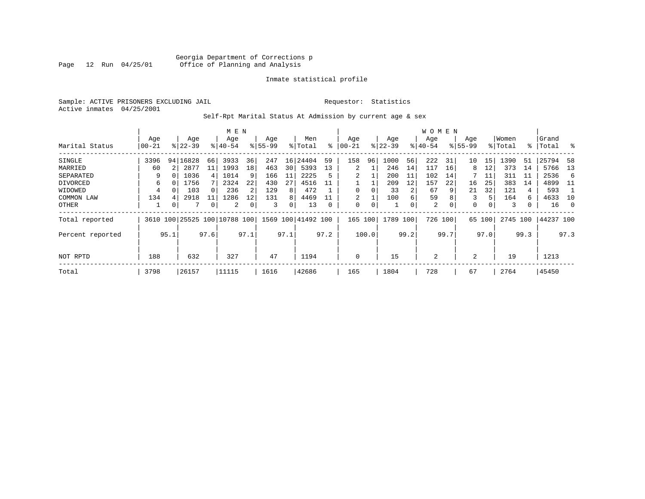Sample: ACTIVE PRISONERS EXCLUDING JAIL **Requestor:** Statistics Active inmates 04/25/2001

Self-Rpt Marital Status At Admission by current age & sex

|                  |       |      |             |                | M E N                   |      |           |      |                    |          |             |       |           |      | W O M E N |          |             |                |          |      |           |          |
|------------------|-------|------|-------------|----------------|-------------------------|------|-----------|------|--------------------|----------|-------------|-------|-----------|------|-----------|----------|-------------|----------------|----------|------|-----------|----------|
|                  | Age   |      | Age         |                | Age                     |      | Age       |      | Men                |          | Age         |       | Age       |      | Age       |          | Age         |                | Women    |      | Grand     |          |
| Marital Status   | 00-21 |      | $8122 - 39$ |                | $8140 - 54$             |      | $8 55-99$ |      | % Total            | ៖        | $ 00-21$    |       | $ 22-39 $ |      | $ 40-54 $ |          | $8155 - 99$ |                | % Total  | ွေ   | Total     | ႜ        |
| SINGLE           | 3396  |      | 94   16828  | 66             | 3933                    | 36   | 247       | 16   | 24404              | 59       | 158         | 96    | 1000      | 56   | 222       | 31       | 10          | 15             | 1390     | 51   | 25794     | -58      |
| MARRIED          | 60    |      | 2877        | 11             | 1993                    | 18   | 463       | 30   | 5393               | 13       | 2           |       | 246       | 14   | 117       | 16       | 8           | 12             | 373      | 14   | 5766      | 13       |
| SEPARATED        | 9     | 0    | 1036        | $\overline{4}$ | 1014                    | 9    | 166       | 11   | 2225               | 5        |             |       | 200       | 11   | 102       | 14       |             | 11             | 311      | 11   | 2536      | 6        |
| DIVORCED         | 6     | 0    | 1756        |                | 2324                    | 22   | 430       | 27   | 4516               | 11       |             |       | 209       | 12   | 157       | 22       | 16          | 25             | 383      | 14   | 4899      | -11      |
| WIDOWED          | 4     |      | 103         | $\Omega$       | 236                     |      | 129       | 8    | 472                |          | 0           |       | 33        |      | 67        |          | 21          | 32             | 121      | 4    | 593       |          |
| COMMON LAW       | 134   | 4    | 2918        |                | 1286                    | 12   | 131       | 8    | 4469               | 11       | 2           |       | 100       | 6    | 59        |          | 3           | 5.             | 164      | 6    | 4633      | 10       |
| OTHER            |       | 0    | 7           | 0              | 2                       |      | 3         | 0    | 13                 | $\Omega$ | 0           | 0     |           | 0    | 2         | $\Omega$ | $\Omega$    | $\overline{0}$ | 3        | 0    | 16        | $\Omega$ |
| Total reported   | 3610  |      |             |                | 100 25525 100 10788 100 |      |           |      | 1569 100 41492 100 |          | 165         | 100   | 1789      | 100  | 726 100   |          | 65          | 100            | 2745 100 |      | 44237 100 |          |
| Percent reported |       | 95.1 |             | 97.6           |                         | 97.1 |           | 97.1 |                    | 97.2     |             | 100.0 |           | 99.2 |           | 99.7     |             | 97.0           |          | 99.3 |           | 97.3     |
|                  |       |      |             |                |                         |      |           |      |                    |          |             |       |           |      |           |          |             |                |          |      |           |          |
| NOT RPTD         | 188   |      | 632         |                | 327                     |      | 47        |      | 1194               |          | $\mathbf 0$ |       | 15        |      | 2         |          | 2           |                | 19       |      | 1213      |          |
| Total            | 3798  |      | 26157       |                | 11115                   |      | 1616      |      | 42686              |          | 165         |       | 1804      |      | 728       |          | 67          |                | 2764     |      | 45450     |          |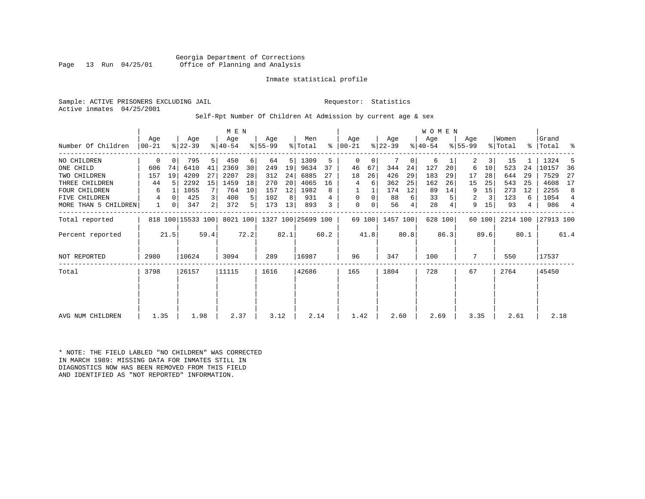Georgia Department of Corrections<br>Page 13 Run 04/25/01 Office of Planning and Analysis Office of Planning and Analysis

#### Inmate statistical profile

Sample: ACTIVE PRISONERS EXCLUDING JAIL **Requestor:** Statistics Active inmates 04/25/2001

Self-Rpt Number Of Children At Admission by current age & sex

|                      |                |          |                   |                | M E N            |          |                  |      |                    |           |                  |        |                  |              | <b>WOMEN</b>    |         |                  |        |                  |           |                |      |
|----------------------|----------------|----------|-------------------|----------------|------------------|----------|------------------|------|--------------------|-----------|------------------|--------|------------------|--------------|-----------------|---------|------------------|--------|------------------|-----------|----------------|------|
| Number Of Children   | Aqe<br>  00-21 |          | Age<br>$ 22-39 $  |                | Age<br>$ 40-54 $ |          | Age<br>$ 55-99 $ |      | Men<br>% Total     | $\approx$ | Aqe<br>$ 00-21 $ |        | Age<br>$ 22-39 $ |              | Age<br>$ 40-54$ |         | Aqe<br>$8 55-99$ |        | Women<br>% Total | $\approx$ | Grand<br>Total | ႜ    |
|                      |                |          |                   |                |                  |          |                  |      |                    |           |                  |        |                  |              |                 |         |                  |        |                  |           |                |      |
| NO CHILDREN          | 0              | 0        | 795               | 5              | 450              | $6 \mid$ | 64               | 5    | 1309               | 5         | $\Omega$         | 0      |                  | $\mathbf{0}$ | 6               |         | 2                | 3      | 15               |           | 1324           |      |
| ONE CHILD            | 606            | 74       | 6410              | 41             | 2369             | 30       | 249              | 19   | 9634               | 37        | 46               | 67     | 344              | 24           | 127             | 20      | 6                | 10     | 523              | 24        | 10157          | 36   |
| TWO CHILDREN         | 157            | 19       | 4209              | 27             | 2207             | 28       | 312              | 24   | 6885               | 27        | 18               | 26     | 426              | 29           | 183             | 29      | 17               | 28     | 644              | 29        | 7529           | 27   |
| THREE CHILDREN       | 44             |          | 2292              | 15             | 1459             | 18       | 270              | 20   | 4065               | 16        | 4                | 6      | 362              | 25           | 162             | 26      | 15               | 25     | 543              | 25        | 4608           | 17   |
| <b>FOUR CHILDREN</b> | 6              |          | 1055              |                | 764              | 10       | 157              | 12   | 1982               | 8         |                  |        | 174              | 12           | 89              | 14      | 9                | 15     | 273              | 12        | 2255           | 8    |
| FIVE CHILDREN        | 4              | $\Omega$ | 425               | $\overline{3}$ | 400              | 5        | 102              | 8    | 931                |           | 0                | 0      | 88               | 6            | 33              |         | 2                | 3      | 123              | 6         | 1054           | 4    |
| MORE THAN 5 CHILDREN |                | 0        | 347               | 2              | 372              | 5        | 173              | 13   | 893                | 3         | 0                | 0      | 56               | 4            | 28              |         | 9                | 15     | 93               | 4         | 986            | 4    |
| Total reported       |                |          | 818 100 15533 100 |                | 8021 100         |          |                  |      | 1327 100 25699 100 |           |                  | 69 100 | 1457 100         |              |                 | 628 100 |                  | 60 100 | 2214 100         |           | 27913 100      |      |
| Percent reported     |                | 21.5     |                   | 59.4           |                  | 72.2     |                  | 82.1 |                    | 60.2      |                  | 41.8   |                  | 80.8         |                 | 86.3    |                  | 89.6   |                  | 80.1      |                | 61.4 |
| <b>NOT REPORTED</b>  | 2980           |          | 10624             |                | 3094             |          | 289              |      | 16987              |           | 96               |        | 347              |              | 100             |         | 7                |        | 550              |           | 17537          |      |
| Total                | 3798           |          | 26157             |                | 11115            |          | 1616             |      | 42686              |           | 165              |        | 1804             |              | 728             |         | 67               |        | 2764             |           | 45450          |      |
|                      |                |          |                   |                |                  |          |                  |      |                    |           |                  |        |                  |              |                 |         |                  |        |                  |           |                |      |
|                      |                |          |                   |                |                  |          |                  |      |                    |           |                  |        |                  |              |                 |         |                  |        |                  |           |                |      |
| AVG NUM CHILDREN     | 1.35           |          | 1.98              |                | 2.37             |          | 3.12             |      | 2.14               |           | 1.42             |        | 2.60             |              | 2.69            |         | 3.35             |        | 2.61             |           | 2.18           |      |

\* NOTE: THE FIELD LABLED "NO CHILDREN" WAS CORRECTED IN MARCH 1989: MISSING DATA FOR INMATES STILL IN DIAGNOSTICS NOW HAS BEEN REMOVED FROM THIS FIELD AND IDENTIFIED AS "NOT REPORTED" INFORMATION.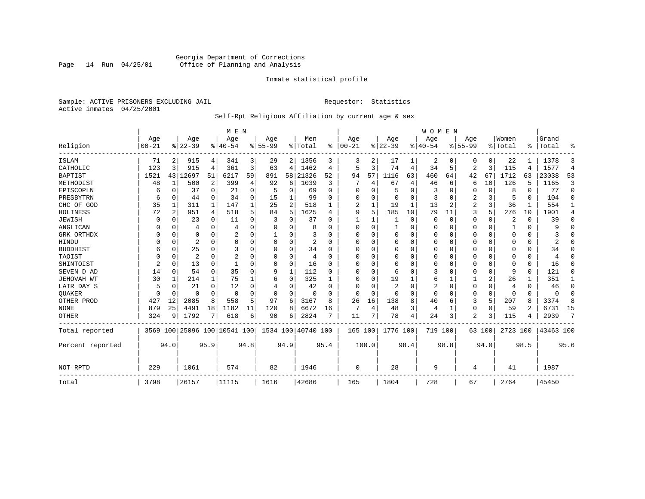# Georgia Department of Corrections<br>Page 14 Run 04/25/01 Office of Planning and Analysis Page 14 Run 04/25/01 Office of Planning and Analysis

#### Inmate statistical profile

Sample: ACTIVE PRISONERS EXCLUDING JAIL **Requestor:** Statistics Active inmates 04/25/2001

# Self-Rpt Religious Affiliation by current age & sex

|                  |           |          |                |              | M E N                        |          |           |          |                    |          |          |              |                |      | <b>WOMEN</b> |                |                |             |          |                |           |                |
|------------------|-----------|----------|----------------|--------------|------------------------------|----------|-----------|----------|--------------------|----------|----------|--------------|----------------|------|--------------|----------------|----------------|-------------|----------|----------------|-----------|----------------|
|                  | Age       |          | Age            |              | Age                          |          | Age       |          | Men                | ွေ       | Age      |              | Age            |      | Aqe          |                | Age            |             | Women    | ፠              | Grand     |                |
| Religion         | $00 - 21$ |          | $8 22-39$      |              | $ 40-54$                     |          | $8 55-99$ |          | % Total            |          | $ 00-21$ |              | $ 22-39$       |      | $ 40-54$     |                | $8 55-99$      |             | % Total  |                | Total     | ዱ              |
| ISLAM            | 71        | 2        | 915            | 4            | 341                          | 3        | 29        |          | 2 1356             | 3        | 3        | 2            | 17             |      | 2            | 0              | 0              | 0           | 22       |                | 1378      | 3              |
| CATHOLIC         | 123       | 3        | 915            | 4            | 361                          | 3        | 63        | 4        | 1462               | 4        | 5        | 3            | 74             | 4    | 34           | 5              | 2              | 3           | 115      | 4              | 1577      | $\overline{4}$ |
| <b>BAPTIST</b>   | 1521      | 43       | 12697          | 51           | 6217                         | 59       | 891       | 58       | 21326              | 52       | 94       | 57           | 1116           | 63   | 460          | 64             | 42             | 67          | 1712     | 63             | 23038     | 53             |
| METHODIST        | 48        | 1        | 500            | 2            | 399                          | 4        | 92        | 6        | 1039               | 3        |          | 4            | 67             | 4    | 46           | 6              | 6              | 10          | 126      | 5              | 1165      | 3              |
| EPISCOPLN        | 6         | 0        | 37             | $\mathbf 0$  | 21                           | 0        | 5         | 0        | 69                 | $\Omega$ | 0        | O            | 5              | 0    | 3            | 0              | 0              | 0           | 8        | 0              | 77        | $\mathbf 0$    |
| PRESBYTRN        | 6         | 0        | 44             | $\Omega$     | 34                           | $\Omega$ | 15        | 1        | 99                 | O        | U        | $\Omega$     | $\mathbf 0$    | O    | 3            | 0              | 2              | 3           | 5        | $\Omega$       | 104       | $\Omega$       |
| CHC OF GOD       | 35        | 1        | 311            | $\mathbf{1}$ | 147                          |          | 25        | 2        | 518                |          | 2        | 1            | 19             | 1    | 13           | $\overline{c}$ | $\overline{a}$ | 3           | 36       |                | 554       | 1              |
| HOLINESS         | 72        | 2        | 951            | 4            | 518                          |          | 84        | 5        | 1625               | 4        | 9        | 5            | 185            | 10   | 79           | 11             | 3              | 5           | 276      | 10             | 1901      | 4              |
| <b>JEWISH</b>    | $\Omega$  | $\Omega$ | 23             | $\Omega$     | 11                           | O        |           | 0        | 37                 |          |          |              |                | 0    | $\Omega$     | 0              | 0              | 0           | 2        | $\Omega$       | 39        | $\Omega$       |
| ANGLICAN         |           | 0        | 4              | 0            | 4                            |          |           | 0        | 8                  |          | $\Omega$ | <sup>0</sup> | 1              | 0    | $\Omega$     | 0              | 0              | 0           |          | $\Omega$       | 9         | 0              |
| GRK ORTHDX       |           | 0        | 0              | $\Omega$     | 2                            | O        |           | U        | 3                  | U        | $\Omega$ | O            | $\Omega$       | O    | $\Omega$     | $\Omega$       | 0              | $\Omega$    | $\Omega$ | $\Omega$       |           | $\Omega$       |
| HINDU            |           | $\Omega$ | 2              | $\Omega$     | $\Omega$                     | $\Omega$ |           | $\Omega$ | 2                  | U        | $\Omega$ |              | $\Omega$       | 0    | $\Omega$     | $\Omega$       | 0              | $\Omega$    | $\Omega$ | $\Omega$       | 2         | $\Omega$       |
| <b>BUDDHIST</b>  | 6         | $\Omega$ | 25             | $\Omega$     | 3                            | O        | U         | $\Omega$ | 34                 | O        | U        | U            | $\Omega$       | 0    | $\Omega$     | $\Omega$       | 0              | $\Omega$    | $\Omega$ | $\Omega$       | 34        | $\Omega$       |
| TAOIST           |           | 0        | $\overline{2}$ | $\Omega$     | $\overline{c}$               |          |           | $\Omega$ | 4                  | $\Omega$ | U        | O            | $\Omega$       | 0    | 0            | $\Omega$       | 0              | $\Omega$    | $\Omega$ | $\Omega$       | 4         | $\Omega$       |
| SHINTOIST        | 2         | $\Omega$ | 13             | $\Omega$     |                              |          | O         | $\Omega$ | 16                 | O        | U        | $\Omega$     | $\Omega$       | O    | O            | $\Omega$       | 0              | $\Omega$    | $\Omega$ | $\Omega$       | 16        | $\Omega$       |
| SEVEN D AD       | 14        | $\Omega$ | 54             | $\Omega$     | 35                           | $\Omega$ | 9         | 1        | 112                | U        | U        | O            | 6              | O    | 3            | $\Omega$       | 0              | 0           | 9        | $\Omega$       | 121       | $\Omega$       |
| JEHOVAH WT       | 30        | 1        | 214            | 1            | 75                           |          | 6         | 0        | 325                |          | $\Omega$ | $\Omega$     | 19             |      | 6            | 1              |                | 2           | 26       |                | 351       | 1              |
| LATR DAY S       |           | $\Omega$ | 21             | $\Omega$     | 12                           |          |           | 0        | 42                 |          | U        |              | $\overline{2}$ | 0    | 2            | $\Omega$       | 0              | 0           | 4        | $\Omega$       | 46        | $\Omega$       |
| <b>OUAKER</b>    |           | 0        | O              | $\Omega$     | $\Omega$                     | $\Omega$ | O         | 0        | n                  | U        | $\cap$   | $\cap$       | $\Omega$       | O    | $\Omega$     | 0              | 0              | $\mathbf 0$ | $\Omega$ | $\Omega$       | $\Omega$  | 0              |
| OTHER PROD       | 427       | 12       | 2085           | 8            | 558                          | 5        | 97        | 6        | 3167               | R        | 26       | 16           | 138            | 8    | 40           | 6              | 3              | 5           | 207      | 8              | 3374      | 8              |
| <b>NONE</b>      | 879       | 25       | 4491           | 18           | 1182                         | 11       | 120       | 8        | 6672               | 16       | 7        | 4            | 48             | 3    | 4            | 1              | 0              | $\Omega$    | 59       | $\mathfrak{D}$ | 6731      | 15             |
| <b>OTHER</b>     | 324       | 9        | 1792           | 7            | 618                          | 6        | 90        | 6        | 2824               |          | 11       |              | 78             | 4    | 24           | 3              | 2              | 3           | 115      |                | 2939      | 7              |
| Total reported   |           |          |                |              | 3569 100 25096 100 10541 100 |          |           |          | 1534 100 40740 100 |          | 165 100  |              | 1776 100       |      | 719 100      |                |                | 63 100      | 2723 100 |                | 43463 100 |                |
| Percent reported |           | 94.0     |                | 95.9         |                              | 94.8     |           | 94.9     |                    | 95.4     |          | 100.0        |                | 98.4 |              | 98.8           |                | 94.0        |          | 98.5           |           | 95.6           |
|                  |           |          |                |              |                              |          |           |          |                    |          |          |              |                |      |              |                |                |             |          |                |           |                |
| NOT RPTD         | 229       |          | 1061           |              | 574                          |          | 82        |          | 1946               |          | 0        |              | 28             |      | 9            |                | 4              |             | 41       |                | 1987      |                |
| Total            | 3798      |          | 26157          |              | 11115                        |          | 1616      |          | 42686              |          | 165      |              | 1804           |      | 728          |                | 67             |             | 2764     |                | 45450     |                |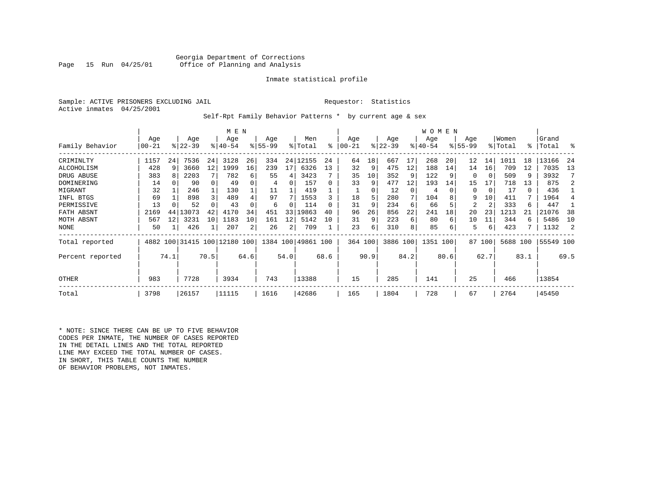Sample: ACTIVE PRISONERS EXCLUDING JAIL **Requestor:** Statistics Active inmates 04/25/2001

Self-Rpt Family Behavior Patterns \* by current age & sex

|                  |       |      |                              |      | M E N       |                |           |          |                    |          |          |      |           |      | <b>WOMEN</b> |      |             |          |          |      |           |      |
|------------------|-------|------|------------------------------|------|-------------|----------------|-----------|----------|--------------------|----------|----------|------|-----------|------|--------------|------|-------------|----------|----------|------|-----------|------|
|                  | Age   |      | Age                          |      | Age         |                | Age       |          | Men                |          | Age      |      | Age       |      | Age          |      | Age         |          | Women    |      | Grand     |      |
| Family Behavior  | 00-21 |      | $ 22-39 $                    |      | $8140 - 54$ |                | $8 55-99$ |          | % Total            | ႜ        | $ 00-21$ |      | $ 22-39 $ |      | $ 40-54 $    |      | $8155 - 99$ |          | % Total  | ∻    | Total     | ႜ    |
| CRIMINLTY        | 1157  | 24   | 7536                         | 24   | 3128        | 26             | 334       |          | 24 12155           | 24       | 64       | 18   | 667       | 17   | 268          | 20   | 12          | 14       | 1011     | 18   | 13166     | -24  |
| ALCOHOLISM       | 428   | 9    | 3660                         | 12   | 1999        | 16             | 239       | 17       | 6326               | 13       | 32       | 9    | 475       | 12   | 188          | 14   | 14          | 16       | 709      | 12   | 7035      | 13   |
| DRUG ABUSE       | 383   | R    | 2203                         |      | 782         | 6              | 55        | 4        | 3423               |          | 35       | 10   | 352       | 9    | 122          |      | $\Omega$    | $\Omega$ | 509      | 9    | 3932      |      |
| DOMINERING       | 14    | 0    | 90                           | 0    | 49          |                | 4         | $\Omega$ | 157                | $\Omega$ | 33       | 9    | 477       | 12   | 193          | 14   | 15          | 17       | 718      | 13   | 875       |      |
| MIGRANT          | 32    |      | 246                          |      | 130         |                | 11        |          | 419                |          |          |      | 12        | 0    | 4            |      | $\Omega$    | 0        | 17       | 0    | 436       |      |
| INFL BTGS        | 69    |      | 898                          | 3    | 489         |                | 97        |          | 1553               |          | 18       | 5    | 280       |      | 104          |      | 9           | 10       | 411      | 7    | 1964      |      |
| PERMISSIVE       | 13    |      | 52                           |      | 43          |                | 6         | O        | 114                | $\Omega$ | 31       | 9    | 234       | 6    | 66           |      | 2           | 2        | 333      | 6    | 447       |      |
| FATH ABSNT       | 2169  | 44   | 13073                        | 42   | 4170        | 34             | 451       | 33       | 19863              | 40       | 96       | 26   | 856       | 22   | 241          | 18   | 20          | 23       | 1213     | 21   | 21076     | 38   |
| MOTH ABSNT       | 567   | 12   | 3231                         | 10   | 1183        | 10             | 161       | 12       | 5142               | 10       | 31       | 9    | 223       | 6    | 80           | 6    | 10          | 11       | 344      | 6    | 5486      | 10   |
| NONE             | 50    |      | 426                          |      | 207         | $\overline{2}$ | 26        | 2        | 709                |          | 23       | 6    | 310       | 8    | 85           | 6    | 5           | 6        | 423      |      | 1132      | 2    |
| Total reported   |       |      | 4882 100 31415 100 12180 100 |      |             |                |           |          | 1384 100 49861 100 |          | 364 100  |      | 3886 100  |      | 1351 100     |      |             | 87 100   | 5688 100 |      | 55549 100 |      |
| Percent reported |       | 74.1 |                              | 70.5 |             | 64.6           |           | 54.0     |                    | 68.6     |          | 90.9 |           | 84.2 |              | 80.6 |             | 62.7     |          | 83.1 |           | 69.5 |
| <b>OTHER</b>     | 983   |      | 7728                         |      | 3934        |                | 743       |          | 13388              |          | 15       |      | 285       |      | 141          |      | 25          |          | 466      |      | 13854     |      |
| Total            | 3798  |      | 26157                        |      | 11115       |                | 1616      |          | 42686              |          | 165      |      | 1804      |      | 728          |      | 67          |          | 2764     |      | 45450     |      |

\* NOTE: SINCE THERE CAN BE UP TO FIVE BEHAVIOR CODES PER INMATE, THE NUMBER OF CASES REPORTED IN THE DETAIL LINES AND THE TOTAL REPORTED LINE MAY EXCEED THE TOTAL NUMBER OF CASES. IN SHORT, THIS TABLE COUNTS THE NUMBER OF BEHAVIOR PROBLEMS, NOT INMATES.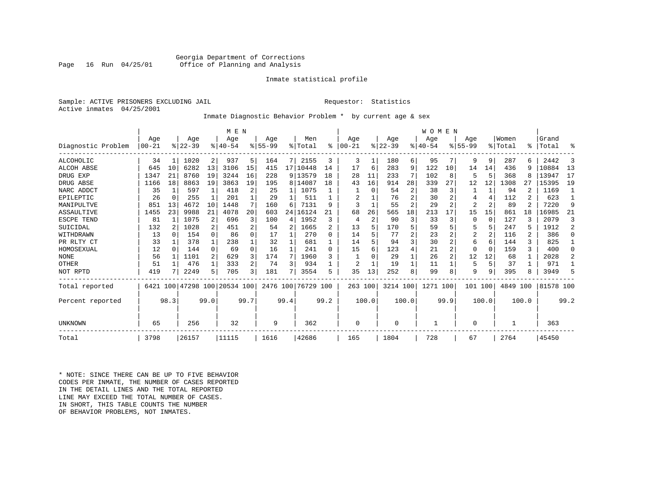#### Georgia Department of Corrections<br>Page 16 Run 04/25/01 Office of Planning and Analysis Office of Planning and Analysis

#### Inmate statistical profile

Sample: ACTIVE PRISONERS EXCLUDING JAIL **Requestor:** Statistics Active inmates 04/25/2001

# Inmate Diagnostic Behavior Problem \* by current age & sex

|                    |          |          |          |          | M E N                        |      |           |      |                    |      |           |                |          |       | WOMEN    |                |           |       |          |       |           |          |
|--------------------|----------|----------|----------|----------|------------------------------|------|-----------|------|--------------------|------|-----------|----------------|----------|-------|----------|----------------|-----------|-------|----------|-------|-----------|----------|
|                    | Age      |          | Age      |          | Age                          |      | Age       |      | Men                |      | Age       |                | Age      |       | Age      |                | Age       |       | Women    |       | Grand     |          |
| Diagnostic Problem | $ 00-21$ |          | $ 22-39$ |          | $ 40-54$                     |      | $8 55-99$ |      | % Total            | ႜ    | $00 - 21$ |                | $ 22-39$ |       | $ 40-54$ |                | $8 55-99$ |       | % Total  | ፠     | Total     | ႜ        |
| <b>ALCOHOLIC</b>   | 34       | 1        | 1020     | 2        | 937                          | 5.   | 164       | 7    | 2155               | 3    | 3         | 1              | 180      | 6     | 95       | 7              | 9         | 9     | 287      | 6     | 2442      | 3        |
| <b>ALCOH ABSE</b>  | 645      | 10       | 6282     | 13       | 3106                         | 15   | 415       |      | 17 10448           | 14   | 17        | 6              | 283      | 9     | 122      | 10             | 14        | 14    | 436      | 9     | 10884     | 13       |
| DRUG EXP           | 1347     | 21       | 8760     | 19       | 3244                         | 16   | 228       |      | 9 13579            | 18   | 28        | 11             | 233      |       | 102      | 8              | 5         | 5     | 368      | 8     | 13947     | 17       |
| DRUG ABSE          | 1166     | 18       | 8863     | 19       | 3863                         | 19   | 195       |      | 8 14087            | 18   | 43        | 16             | 914      | 28    | 339      | 27             | 12        | 12    | 1308     | 27    | 15395     | 19       |
| NARC ADDCT         | 35       | 1        | 597      |          | 418                          |      | 25        |      | 1075               |      |           | U              | 54       | 2     | 38       | 3              |           |       | 94       |       | 1169      |          |
| EPILEPTIC          | 26       | 0        | 255      |          | 201                          |      | 29        |      | 511                |      | 2         |                | 76       | 2     | 30       | 2              |           | 4     | 112      |       | 623       |          |
| MANIPULTVE         | 851      | 13       | 4672     | 10       | 1448                         |      | 160       | 6    | 7131               | 9    | 3         |                | 55       | 2     | 29       | 2              | 2         | 2     | 89       |       | 7220      | 9        |
| ASSAULTIVE         | 1455     | 23       | 9988     | 21       | 4078                         | 20   | 603       | 24   | 16124              | 21   | 68        | 26             | 565      | 18    | 213      | 17             | 15        | 15    | 861      | 18    | 16985     | 21       |
| ESCPE TEND         | 81       |          | 1075     | 2        | 696                          |      | 100       | 4    | 1952               | 3    | 4         | $\overline{2}$ | 90       | 3     | 33       | 3              | $\Omega$  | 0     | 127      | ζ     | 2079      | 3        |
| SUICIDAL           | 132      | 2        | 1028     | 2        | 451                          |      | -54       | 2    | 1665               |      | 13        | 5              | 170      | 5     | 59       | 5              |           | 5     | 247      | 5     | 1912      | 2        |
| WITHDRAWN          | 13       | $\Omega$ | 154      | $\Omega$ | 86                           | 0    | 17        |      | 270                | 0    | 14        |                | 77       | 2     | 23       |                | 2         | 2     | 116      | 2     | 386       | $\Omega$ |
| PR RLTY CT         | 33       |          | 378      | 1        | 238                          |      | 32        |      | 681                |      | 14        |                | 94       | 3     | 30       | 2              | 6         | 6     | 144      | 3     | 825       |          |
| HOMOSEXUAL         | 12       | 0        | 144      | $\Omega$ | 69                           | 0    | 16        |      | 241                | 0    | 15        | 6              | 123      | 4     | 21       | $\overline{2}$ | $\Omega$  | 0     | 159      | ζ     | 400       | $\Omega$ |
| <b>NONE</b>        | 56       |          | 1101     | 2        | 629                          |      | 174       | 7    | 1960               | 3    |           |                | 29       |       | 26       | 2              | 12        | 12    | 68       |       | 2028      | 2        |
| OTHER              | 51       |          | 476      | 1        | 333                          |      | 74        | 3    | 934                |      |           |                | 19       |       | 11       |                | 5         | 5     | 37       |       | 971       |          |
| NOT RPTD           | 419      |          | 2249     | 5        | 705                          | 3    | 181       | 7    | 3554               | 5    | 35        | 13             | 252      | 8     | 99       | 8              | 9         | 9     | 395      | 8     | 3949      | 5        |
| Total reported     |          |          |          |          | 6421 100 47298 100 20534 100 |      |           |      | 2476 100 76729 100 |      | 263 100   |                | 3214 100 |       | 1271 100 |                | 101       | 100   | 4849 100 |       | 81578 100 |          |
| Percent reported   |          | 98.3     |          | 99.0     |                              | 99.7 |           | 99.4 |                    | 99.2 |           | 100.0          |          | 100.0 |          | 99.9           |           | 100.0 |          | 100.0 |           | 99.2     |
|                    |          |          |          |          |                              |      |           |      |                    |      |           |                |          |       |          |                |           |       |          |       |           |          |
| UNKNOWN            | 65       |          | 256      |          | 32                           |      | 9         |      | 362                |      | 0         |                | 0        |       | 1        |                | $\Omega$  |       |          |       | 363       |          |
| Total              | 3798     |          | 26157    |          | 11115                        |      | 1616      |      | 42686              |      | 165       |                | 1804     |       | 728      |                | 67        |       | 2764     |       | 45450     |          |

\* NOTE: SINCE THERE CAN BE UP TO FIVE BEHAVIOR CODES PER INMATE, THE NUMBER OF CASES REPORTED IN THE DETAIL LINES AND THE TOTAL REPORTED LINE MAY EXCEED THE TOTAL NUMBER OF CASES.IN SHORT, THIS TABLE COUNTS THE NUMBER OF BEHAVIOR PROBLEMS, NOT INMATES.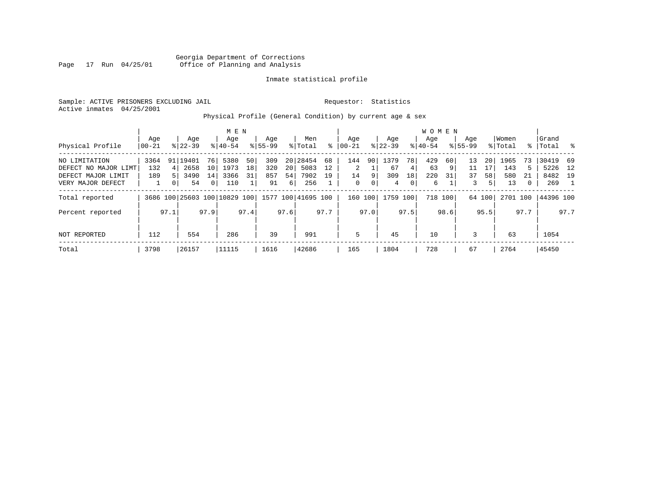Georgia Department of Corrections Page 17 Run 04/25/01 Office of Planning and Analysis

#### Inmate statistical profile

Sample: ACTIVE PRISONERS EXCLUDING JAIL **Requestor:** Statistics Active inmates 04/25/2001

# Physical Profile (General Condition) by current age & sex

|                      |       |      |           |                 | M E N                        |      |             |          |                    |      |          |      |           |      | <b>WOMEN</b> |         |             |        |          |      |           |       |
|----------------------|-------|------|-----------|-----------------|------------------------------|------|-------------|----------|--------------------|------|----------|------|-----------|------|--------------|---------|-------------|--------|----------|------|-----------|-------|
|                      | Age   |      | Age       |                 | Age                          |      | Age         |          | Men                |      | Age      |      | Age       |      | Aqe          |         | Age         |        | Women    |      | Grand     |       |
| Physical Profile     | 00-21 |      | $8 22-39$ |                 | $8 40-54$                    |      | $8155 - 99$ |          | % Total            | ႜ    | $ 00-21$ |      | $ 22-39 $ |      | $8 40-54$    |         | $8155 - 99$ |        | % Total  |      | %   Total | း - ၁ |
| NO LIMITATION        | 3364  | 91   | 19401     | 76              | 5380                         | 50   | 309         |          | 20 28454           | 68   | 144      | 90   | 1379      | 78   | 429          | 60      | 13          | 20     | 1965     | 73   | 30419     | - 69  |
| DEFECT NO MAJOR LIMT | 132   | 4    | 2658      | 10 <sup>1</sup> | 1973                         | 18   | 320         | 20       | 5083               | 12   | 2        |      | 67        | 4    | 63           | 9       | 11          | 17     | 143      | 5.   | 5226      | 12    |
| DEFECT MAJOR LIMIT   | 189   |      | 3490      | 14              | 3366                         | 31   | 857         | 54       | 7902               | 19   | 14       | 9    | 309       | 18   | 220          | 31      | 37          | 58     | 580      | 21   | 8482 19   |       |
| VERY MAJOR DEFECT    |       | 0    | 54        | 0 <sup>1</sup>  | 110                          |      | 91          | $6 \mid$ | 256                |      | 0        | 0    | 4         | 0    | 6            |         | 3           |        | 13       | 0    | 269       |       |
| Total reported       |       |      |           |                 | 3686 100 25603 100 10829 100 |      |             |          | 1577 100 41695 100 |      | 160      | 100  | 1759 100  |      |              | 718 100 |             | 64 100 | 2701 100 |      | 44396 100 |       |
| Percent reported     |       | 97.1 |           | 97.9            |                              | 97.4 |             | 97.6     |                    | 97.7 |          | 97.0 |           | 97.5 |              | 98.6    |             | 95.5   |          | 97.7 |           | 97.7  |
| NOT REPORTED         | 112   |      | 554       |                 | 286                          |      | 39          |          | 991                |      | 5        |      | 45        |      | 10           |         | 3           |        | 63       |      | 1054      |       |
| Total                | 3798  |      | 26157     |                 | 11115                        |      | 1616        |          | 42686              |      | 165      |      | 1804      |      | 728          |         | 67          |        | 2764     |      | 45450     |       |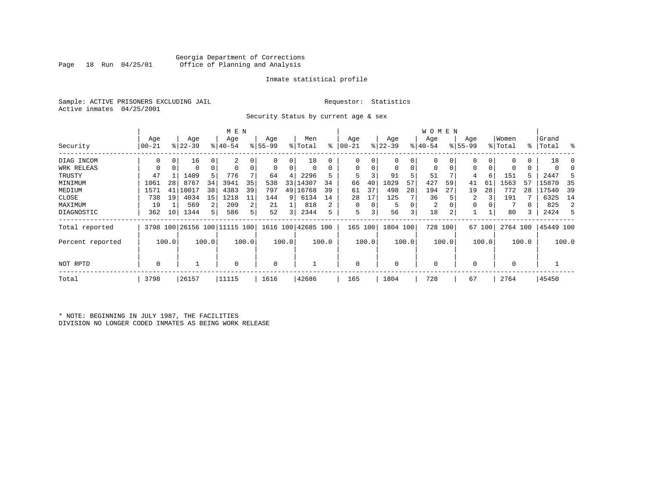### Georgia Department of Corrections Office of Planning and Analysis

#### Inmate statistical profile

Sample: ACTIVE PRISONERS EXCLUDING JAIL **Requestor:** Statistics Active inmates 04/25/2001

Security Status by current age & sex

|                  |          |       |           |          | M E N                         |       |          |                         |                    |       |           |          |           |       | W O M E N      |         |             |        |             |       |           |       |
|------------------|----------|-------|-----------|----------|-------------------------------|-------|----------|-------------------------|--------------------|-------|-----------|----------|-----------|-------|----------------|---------|-------------|--------|-------------|-------|-----------|-------|
|                  | Age      |       | Age       |          | Age                           |       | Age      |                         | Men                |       | Age       |          | Age       |       | Age            |         | Age         |        | Women       |       | Grand     |       |
| Security         | $ 00-21$ |       | $ 22-39 $ |          | $8 40-54$                     |       | $ 55-99$ |                         | % Total            | ႜ     | $00 - 21$ |          | $ 22-39 $ |       | $ 40-54$       |         | $8155 - 99$ |        | % Total     |       | %   Total | း     |
| DIAG INCOM       | 0        | 0     | 16        | 0        | 2                             |       |          | 0                       | 18                 |       | 0         |          | 0         | 0     |                |         |             | 0      | 0           | 0     | 18        |       |
| WRK RELEAS       |          |       | 0         | $\Omega$ |                               |       | 0        | 0                       |                    | 0     | $\Omega$  |          | 0         | 0     | $\mathbf 0$    | 0       | 0           |        | 0           | 0     |           |       |
| TRUSTY           | 47       |       | 1409      | 5        | 776                           |       | 64       | 4                       | 2296               | 5     | 5         |          | 91        | 5     | 51             |         | 4           | 6      | 151         |       | 2447      |       |
| MINIMUM          | 1061     | 28    | 8767      | 34       | 3941                          | 35    | 538      | 33                      | 14307              | 34    | 66        | 40       | 1029      | 57    | 427            | 59      | 41          | 61     | 1563        | 57    | 15870     | 35    |
| MEDIUM           | 1571     | 41    | 10017     | 38       | 4383                          | 39    | 797      |                         | 49 16768           | 39    | 61        | 37       | 498       | 28    | 194            | 27      | 19          | 28     | 772         | 28    | 17540     | 39    |
| CLOSE            | 738      | 19    | 4034      | 15       | 1218                          | 11    | 144      | 9                       | 6134               | 14    | 28        | 17       | 125       |       | 36             |         | 2           |        | 191         |       | 6325      | 14    |
| MAXIMUM          | 19       |       | 569       | 2        | 209                           | 2     | 21       |                         | 818                | 2     | $\Omega$  | $\Omega$ | 5         | 0     | $\overline{2}$ |         |             |        |             |       | 825       | 2     |
| DIAGNOSTIC       | 362      | 10    | 1344      | 5        | 586                           | 5     | 52       | $\overline{\mathbf{3}}$ | 2344               | 5     | 5         |          | 56        | 3     | 18             | 2       |             |        | 80          |       | 2424      | 5     |
| Total reported   |          |       |           |          | 3798 100 26156 100 111115 100 |       |          |                         | 1616 100 42685 100 |       | 165       | 100      | 1804 100  |       |                | 728 100 |             | 67 100 | 2764 100    |       | 45449 100 |       |
| Percent reported |          | 100.0 |           | 100.0    |                               | 100.0 |          | 100.0                   |                    | 100.0 |           | 100.0    |           | 100.0 |                | 100.0   |             | 100.0  |             | 100.0 |           | 100.0 |
| NOT RPTD         | 0        |       |           |          | $\Omega$                      |       | 0        |                         |                    |       | $\Omega$  |          | $\Omega$  |       | $\mathbf 0$    |         |             |        | $\mathbf 0$ |       |           |       |
| Total            | 3798     |       | 26157     |          | 11115                         |       | 1616     |                         | 42686              |       | 165       |          | 1804      |       | 728            |         | 67          |        | 2764        |       | 45450     |       |

\* NOTE: BEGINNING IN JULY 1987, THE FACILITIES DIVISION NO LONGER CODED INMATES AS BEING WORK RELEASE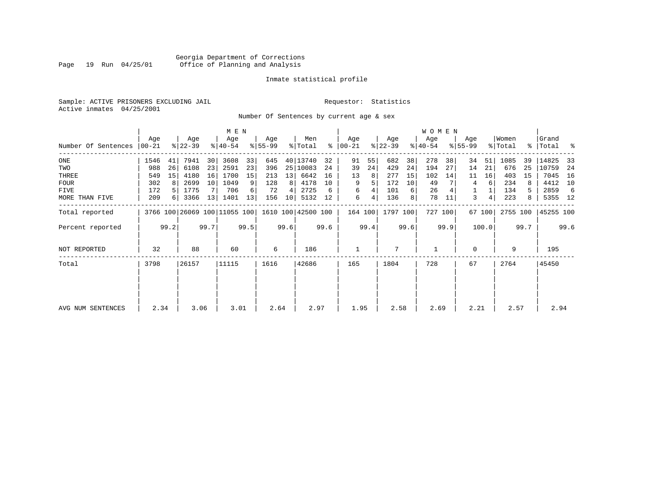### Georgia Department of Corrections<br>Page 19 Run 04/25/01 Office of Planning and Analysis Page 19 Run 04/25/01 Office of Planning and Analysis

#### Inmate statistical profile

Sample: ACTIVE PRISONERS EXCLUDING JAIL **Requestor:** Statistics Active inmates 04/25/2001

Number Of Sentences by current age & sex

|                     |       |      |             |      | M E N                        |      |           |      |                    |      |               |      |           |      | WOMEN     |         |             |        |          |      |           |      |
|---------------------|-------|------|-------------|------|------------------------------|------|-----------|------|--------------------|------|---------------|------|-----------|------|-----------|---------|-------------|--------|----------|------|-----------|------|
|                     | Age   |      | Age         |      | Age                          |      | Age       |      | Men                |      | Age           |      | Age       |      | Age       |         | Age         |        | Women    |      | Grand     |      |
| Number Of Sentences | 00-21 |      | $ 22 - 39 $ |      | $8140 - 54$                  |      | $8 55-99$ |      | % Total            |      | $8   00 - 21$ |      | $ 22-39 $ |      | $ 40-54 $ |         | $8155 - 99$ |        | % Total  |      | %   Total | ႜ    |
| $_{\rm ONE}$        | 1546  | 41   | 7941        | 30   | 3608                         | 33   | 645       |      | 40 13740           | 32   | 91            | 55   | 682       | 38   | 278       | 38      | 34          | 51     | 1085     | 39   | 14825     | 33   |
| TWO                 | 988   | 26   | 6108        | 23   | 2591                         | 23   | 396       |      | 25   10083         | 24   | 39            | 24   | 429       | 24   | 194       | 27      | 14          | 21     | 676      | 25   | 10759     | 24   |
| THREE               | 549   | 15   | 4180        | 16   | 1700                         | 15   | 213       | 13   | 6642               | 16   | 13            | 8    | 277       | 15   | 102       | 14      | 11          | 16     | 403      | 15   | 7045      | - 16 |
| <b>FOUR</b>         | 302   | 8    | 2699        | 10   | 1049                         | 9    | 128       | 8    | 4178               | 10   | 9             |      | 172       | 10   | 49        |         | 4           | 6      | 234      |      | 4412      | 10   |
| FIVE                | 172   | 5    | 1775        |      | 706                          | 6    | 72        |      | 2725               | 6    | 6             |      | 101       | 6    | 26        |         |             |        | 134      | 5.   | 2859      | -6   |
| MORE THAN FIVE      | 209   | 6    | 3366        | 13   | 1401                         | 13   | 156       | 10   | 5132               | 12   | 6             | 4    | 136       | 8    | 78        | 11      | 3           | 4      | 223      | 8    | 5355 12   |      |
| Total reported      |       |      |             |      | 3766 100 26069 100 11055 100 |      |           |      | 1610 100 42500 100 |      | 164 100       |      | 1797 100  |      |           | 727 100 |             | 67 100 | 2755 100 |      | 45255 100 |      |
| Percent reported    |       | 99.2 |             | 99.7 |                              | 99.5 |           | 99.6 |                    | 99.6 |               | 99.4 |           | 99.6 |           | 99.9    |             | 100.0  |          | 99.7 |           | 99.6 |
| NOT REPORTED        | 32    |      | 88          |      | 60                           |      | 6         |      | 186                |      |               |      | 7         |      | 1         |         | $\Omega$    |        | 9        |      | 195       |      |
| Total               | 3798  |      | 26157       |      | 11115                        |      | 1616      |      | 42686              |      | 165           |      | 1804      |      | 728       |         | 67          |        | 2764     |      | 45450     |      |
|                     |       |      |             |      |                              |      |           |      |                    |      |               |      |           |      |           |         |             |        |          |      |           |      |
| AVG NUM SENTENCES   | 2.34  |      | 3.06        |      | 3.01                         |      | 2.64      |      | 2.97               |      | 1.95          |      | 2.58      |      | 2.69      |         | 2.21        |        | 2.57     |      | 2.94      |      |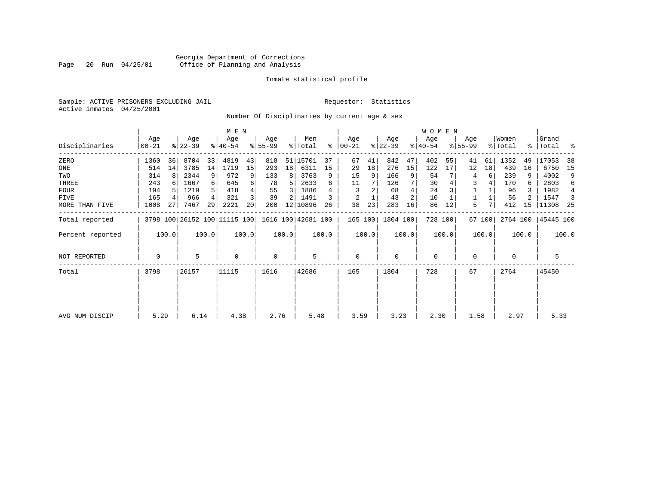### Georgia Department of Corrections<br>Page 20 Run 04/25/01 Office of Planning and Analysis Page 20 Run 04/25/01 Office of Planning and Analysis

#### Inmate statistical profile

Sample: ACTIVE PRISONERS EXCLUDING JAIL **Requestor:** Statistics Active inmates 04/25/2001

Number Of Disciplinaries by current age & sex

|                  |                |       |                  |                | M E N                        |       |                  |       |                    |       |                 |       |                  |       | W O M E N        |       |                  |        |                  |       |                      |       |
|------------------|----------------|-------|------------------|----------------|------------------------------|-------|------------------|-------|--------------------|-------|-----------------|-------|------------------|-------|------------------|-------|------------------|--------|------------------|-------|----------------------|-------|
| Disciplinaries   | Age<br>  00-21 |       | Age<br>$ 22-39 $ |                | Age<br>$ 40-54 $             |       | Age<br>$ 55-99 $ |       | Men<br>% Total     | ႜ     | Age<br>$ 00-21$ |       | Age<br>$ 22-39 $ |       | Age<br>$ 40-54 $ |       | Age<br>$8 55-99$ |        | Women<br>% Total |       | Grand<br>%   Total % |       |
| ZERO             | 1360           | 36    | 8704             | 33             | 4819                         | 43    | 818              | 51    | 15701              | 37    | 67              | 41    | 842              | 47    | 402              | 55    | 41               | 61     | 1352             | 49    | 17053                | 38    |
| ONE              | 514            | 14    | 3785             | 14             | 1719                         | 15    | 293              | 18    | 6311               | 15    | 29              | 18    | 276              | 15    | 122              | 17    | 12               | 18     | 439              | 16    | 6750                 | -15   |
| TWO              | 314            | 8     | 2344             | 9              | 972                          | 9     | 133              | 8     | 3763               | 9     | 15              | 9     | 166              | 9     | 54               |       | 4                | 6      | 239              | 9     | 4002                 | 9     |
| THREE            | 243            | 6     | 1667             | 6              | 645                          |       | 78               | 5     | 2633               |       | 11              |       | 126              |       | 30               |       | 3                |        | 170              | 6.    | 2803                 | 6     |
| <b>FOUR</b>      | 194            | .5    | 1219             | 5              | 418                          |       | 55               | 3     | 1886               |       |                 |       | 68               |       | 24               |       |                  |        | 96               |       | 1982                 | 4     |
| FIVE             | 165            | 4     | 966              | $\overline{4}$ | 321                          |       | 39               | 2     | 1491               |       | 2               |       | 43               | 2     | 10               |       |                  |        | 56               |       | 1547                 | 3     |
| MORE THAN FIVE   | 1008           | 27    | 7467             | 29             | 2221                         | 20    | 200              | 12    | 10896              | 26    | 38              | 23    | 283              | 16    | 86               | 12    | 5.               |        | 412              | 15    | 11308                | 25    |
| Total reported   |                |       |                  |                | 3798 100 26152 100 11115 100 |       |                  |       | 1616 100 42681 100 |       | 165 100         |       | 1804 100         |       | 728 100          |       |                  | 67 100 | 2764 100         |       | 45445 100            |       |
| Percent reported |                | 100.0 |                  | 100.0          |                              | 100.0 |                  | 100.0 |                    | 100.0 |                 | 100.0 |                  | 100.0 |                  | 100.0 |                  | 100.0  |                  | 100.0 |                      | 100.0 |
| NOT REPORTED     | 0              |       | 5                |                | $\mathbf 0$                  |       | 0                |       | 5                  |       | 0               |       | 0                |       | $\mathbf 0$      |       | 0                |        | 0                |       |                      |       |
| Total            | 3798           |       | 26157            |                | 11115                        |       | 1616             |       | 42686              |       | 165             |       | 1804             |       | 728              |       | 67               |        | 2764             |       | 45450                |       |
|                  |                |       |                  |                |                              |       |                  |       |                    |       |                 |       |                  |       |                  |       |                  |        |                  |       |                      |       |
|                  |                |       |                  |                |                              |       |                  |       |                    |       |                 |       |                  |       |                  |       |                  |        |                  |       |                      |       |
| AVG NUM DISCIP   | 5.29           |       | 6.14             |                | 4.38                         |       | 2.76             |       | 5.48               |       | 3.59            |       | 3.23             |       | 2.30             |       | 1.58             |        | 2.97             |       | 5.33                 |       |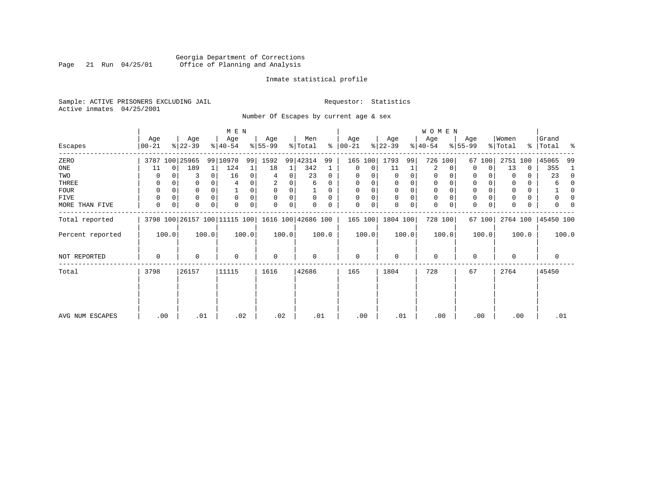# Georgia Department of Corrections<br>Page 21 Run 04/25/01 Office of Planning and Analysis Page 21 Run 04/25/01 Office of Planning and Analysis

#### Inmate statistical profile

Sample: ACTIVE PRISONERS EXCLUDING JAIL **Requestor:** Statistics Active inmates 04/25/2001

Number Of Escapes by current age & sex

|                  |                  |          |                  |       | M E N                        |       |                 |       |                    |          |                  |          |                 |             | <b>WOMEN</b>     |          |                  |        |                  |       |                 |          |
|------------------|------------------|----------|------------------|-------|------------------------------|-------|-----------------|-------|--------------------|----------|------------------|----------|-----------------|-------------|------------------|----------|------------------|--------|------------------|-------|-----------------|----------|
| Escapes          | Age<br>$00 - 21$ |          | Age<br>$ 22-39 $ |       | Age<br>$ 40-54 $             |       | Age<br>$ 55-99$ |       | Men<br>% Total     | ៖        | Age<br>$00 - 21$ |          | Age<br>$ 22-39$ |             | Age<br>$ 40-54 $ |          | Age<br>$ 55-99 $ |        | Women<br>% Total | ွေ    | Grand<br> Total | ႜ        |
| ZERO             |                  |          | 3787 100 25965   |       | 99 10970                     | 99    | 1592            |       | 99 42314           | 99       | 165              | 100      | 1793            | 99          | 726 100          |          | 67               | 100    | 2751             | 100   | 45065           | 99       |
| ONE              | 11               | $\Omega$ | 189              | 1     | 124                          |       | 18              | 1     | 342                |          | 0                | 0        | 11              |             | 2                | $\Omega$ | $\Omega$         | 0      | 13               | 0     | 355             |          |
| TWO              |                  |          | 3                | 0     | 16                           | 0     | 4               | 0     | 23                 | 0        | 0                |          | $\Omega$        | 0           | 0                |          | 0                |        | 0                | 0     | 23              | $\Omega$ |
| THREE            | 0                |          |                  |       |                              |       | 2               |       | 6                  | 0        | 0                |          | 0               | 0           | 0                |          | 0                |        | 0                | 0     | 6               |          |
| <b>FOUR</b>      | $\Omega$         |          |                  |       |                              | 0     | $\Omega$        | 0     |                    | $\Omega$ | 0                | $\Omega$ | $\Omega$        | $\mathbf 0$ | $\Omega$         |          | $\Omega$         |        | $\Omega$         | 0     |                 |          |
| FIVE             | $\Omega$         |          | 0                |       | $\mathbf 0$                  | 0     | $\Omega$        | 0     | 0                  | $\Omega$ | 0                | 0        | $\Omega$        | $\mathbf 0$ | 0                |          | $\Omega$         |        |                  | 0     |                 |          |
| MORE THAN FIVE   | 0                | 0        |                  | 0     | 0                            | 0     | 0               | 0     | 0                  | 0        | 0                | 0        | $\mathbf 0$     | 0           | $\mathbf 0$      |          | $\Omega$         | 0      | 0                | 0     |                 |          |
| Total reported   |                  |          |                  |       | 3798 100 26157 100 11115 100 |       |                 |       | 1616 100 42686 100 |          | 165 100          |          | 1804 100        |             | 728 100          |          |                  | 67 100 | 2764 100         |       | 45450 100       |          |
| Percent reported |                  | 100.0    |                  | 100.0 |                              | 100.0 |                 | 100.0 |                    | 100.0    |                  | 100.0    |                 | 100.0       |                  | 100.0    |                  | 100.0  |                  | 100.0 | 100.0           |          |
| NOT REPORTED     | 0                |          | $\Omega$         |       | 0                            |       | 0               |       | 0                  |          | 0                |          | $\mathbf 0$     |             | 0                |          | $\Omega$         |        | $\mathbf 0$      |       | 0               |          |
| Total            | 3798             |          | 26157            |       | 11115                        |       | 1616            |       | 42686              |          | 165              |          | 1804            |             | 728              |          | 67               |        | 2764             |       | 45450           |          |
|                  |                  |          |                  |       |                              |       |                 |       |                    |          |                  |          |                 |             |                  |          |                  |        |                  |       |                 |          |
| AVG NUM ESCAPES  |                  | .00      | .01              |       | .02                          |       | .02             |       | .01                |          | .00              |          | .01             |             | .00              |          | .00              |        | .00              |       | .01             |          |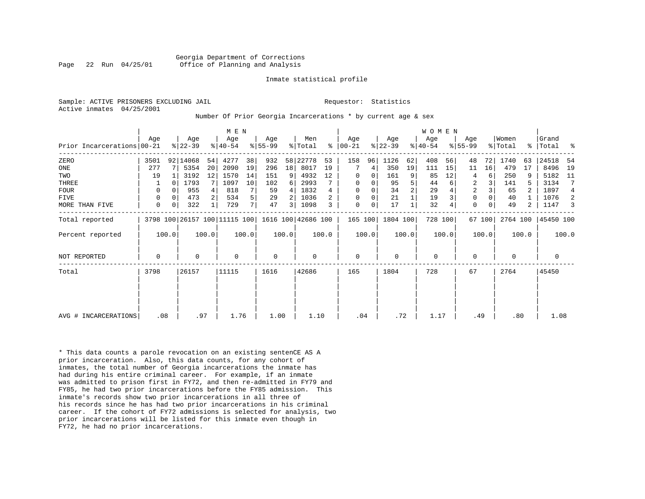Sample: ACTIVE PRISONERS EXCLUDING JAIL **Requestor:** Statistics Active inmates 04/25/2001

#### Number Of Prior Georgia Incarcerations \* by current age & sex

|                            |             |          |           |       | M E N                        |       |                    |       |         |       |             |          |           |       | <b>WOMEN</b> |       |             |        |          |                |             |       |
|----------------------------|-------------|----------|-----------|-------|------------------------------|-------|--------------------|-------|---------|-------|-------------|----------|-----------|-------|--------------|-------|-------------|--------|----------|----------------|-------------|-------|
|                            | Age         |          | Age       |       | Age                          |       | Age                |       | Men     |       | Age         |          | Age       |       | Age          |       | Age         |        | Women    |                | Grand       |       |
| Prior Incarcerations 00-21 |             |          | $ 22-39 $ |       | $ 40-54 $                    |       | $ 55-99 $          |       | % Total | ៖     | $ 00-21 $   |          | $ 22-39 $ |       | $ 40-54 $    |       | $8155 - 99$ |        | % Total  |                | %   Total % |       |
| ZERO                       | 3501        |          | 92 14068  | 54    | 4277                         | 38    | 932                | 58    | 22778   | 53    | 158         | 96       | 1126      | 62    | 408          | 56    | 48          | 72     | 1740     | 63             | 24518       | 54    |
| ONE                        | 277         |          | 5354      | 20    | 2090                         | 19    | 296                | 18    | 8017    | 19    |             | 4        | 350       | 19    | 111          | 15    | 11          | 16     | 479      | 17             | 8496        | 19    |
| TWO                        | 19          |          | 3192      | 12    | 1570                         | 14    | 151                | 9     | 4932    | 12    | 0           | 0        | 161       | 9     | 85           | 12    | 4           | 6      | 250      |                | 5182        | 11    |
| THREE                      |             |          | 1793      |       | 1097                         | 10    | 102                | 6     | 2993    |       | $\mathbf 0$ | 0        | 95        | 5     | 44           |       | 2           |        | 141      |                | 3134        | 7     |
| <b>FOUR</b>                | 0           |          | 955       |       | 818                          |       | 59                 | 4     | 1832    |       | $\mathbf 0$ | $\Omega$ | 34        |       | 29           |       | 2           |        | 65       |                | 1897        | 4     |
| FIVE                       | 0           | $\Omega$ | 473       |       | 534                          | 5     | 29                 |       | 1036    |       | $\Omega$    | 0        | 21        |       | 19           |       | $\mathbf 0$ |        | 40       |                | 1076        | -2    |
| MORE THAN FIVE             | $\mathbf 0$ | 0        | 322       |       | 729                          | 7     | 47                 | 3     | 1098    |       | $\mathbf 0$ | 0        | 17        |       | 32           |       | $\mathbf 0$ |        | 49       | $\overline{a}$ | 1147        | 3     |
| Total reported             |             |          |           |       | 3798 100 26157 100 11115 100 |       | 1616 100 42686 100 |       |         |       | 165 100     |          | 1804 100  |       | 728 100      |       |             | 67 100 | 2764 100 |                | 45450 100   |       |
| Percent reported           |             | 100.0    |           | 100.0 |                              | 100.0 |                    | 100.0 |         | 100.0 |             | 100.0    |           | 100.0 |              | 100.0 |             | 100.0  |          | 100.0          |             | 100.0 |
| <b>NOT REPORTED</b>        | $\mathbf 0$ |          | 0         |       | $\Omega$                     |       | 0                  |       | 0       |       | $\mathbf 0$ |          | $\Omega$  |       | 0            |       | $\Omega$    |        | $\Omega$ |                | 0           |       |
| Total                      | 3798        |          | 26157     |       | 11115                        |       | 1616               |       | 42686   |       | 165         |          | 1804      |       | 728          |       | 67          |        | 2764     |                | 45450       |       |
|                            |             |          |           |       |                              |       |                    |       |         |       |             |          |           |       |              |       |             |        |          |                |             |       |
|                            |             |          |           |       |                              |       |                    |       |         |       |             |          |           |       |              |       |             |        |          |                |             |       |
|                            |             |          |           |       |                              |       |                    |       |         |       |             |          |           |       |              |       |             |        |          |                |             |       |
| AVG # INCARCERATIONS       | .08         |          | .97       |       | 1.76                         |       | 1.00               |       | 1.10    |       | .04         |          | .72       |       | 1.17         |       | .49         |        | .80      |                | 1.08        |       |

\* This data counts a parole revocation on an existing sentenCE AS A prior incarceration. Also, this data counts, for any cohort of inmates, the total number of Georgia incarcerations the inmate has had during his entire criminal career. For example, if an inmate was admitted to prison first in FY72, and then re-admitted in FY79 and FY85, he had two prior incarcerations before the FY85 admission. This inmate's records show two prior incarcerations in all three of his records since he has had two prior incarcerations in his criminal career. If the cohort of FY72 admissions is selected for analysis, two prior incarcerations will be listed for this inmate even though in FY72, he had no prior incarcerations.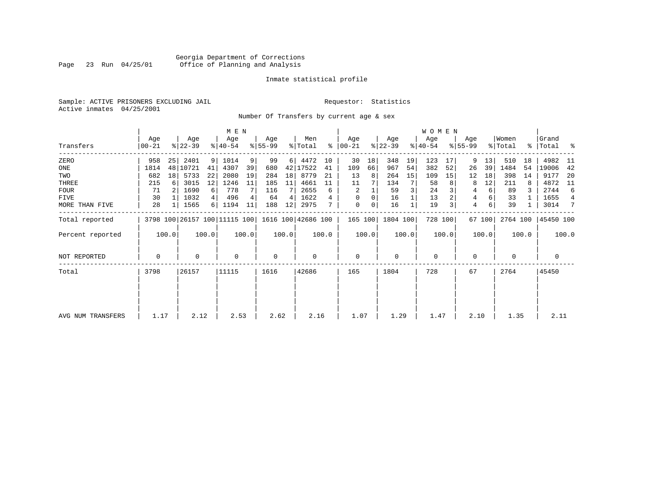# Georgia Department of Corrections<br>Page 23 Run 04/25/01 Office of Planning and Analysis Page 23 Run 04/25/01 Office of Planning and Analysis

#### Inmate statistical profile

Sample: ACTIVE PRISONERS EXCLUDING JAIL **Requestor:** Statistics Active inmates 04/25/2001

Number Of Transfers by current age & sex

|                   |                |       |                  |       | M E N            |       |                  |       |                                                 |       |                  |       |                  |       | WOMEN            |         |                  |        |                              |       |                      |                |
|-------------------|----------------|-------|------------------|-------|------------------|-------|------------------|-------|-------------------------------------------------|-------|------------------|-------|------------------|-------|------------------|---------|------------------|--------|------------------------------|-------|----------------------|----------------|
| Transfers         | Age<br>  00-21 |       | Age<br>$ 22-39 $ |       | Age<br>$ 40-54 $ |       | Age<br>$ 55-99 $ |       | Men<br>% Total                                  | ∻     | Age<br>$ 00-21 $ |       | Age<br>$ 22-39 $ |       | Age<br>$ 40-54 $ |         | Age<br>$ 55-99 $ |        | Women<br>$\frac{1}{2}$ Total |       | Grand<br>%   Total % |                |
| ZERO              | 958            | 25    | 2401             | 9     | 1014             | 9     | 99               | 6     | 4472                                            | 10    | 30               | 18    | 348              | 19    | 123              | 17      | 9                | 13     | 510                          | 18    | 4982                 | - 11           |
| ONE               | 1814           |       | 48 10721         | 41    | 4307             | 39    | 680              | 42    | 17522                                           | 41    | 109              | 66    | 967              | 54    | 382              | 52      | 26               | 39     | 1484                         | 54    | 19006                | 42             |
| TWO               | 682            | 18    | 5733             | 22    | 2080             | 19    | 284              | 18    | 8779                                            | 21    | 13               | 8     | 264              | 15    | 109              | 15      | 12               | 18     | 398                          | 14    | 9177                 | -20            |
| THREE             | 215            | 6     | 3015             | 12    | 1246             | 11    | 185              | 11    | 4661                                            | 11    | 11               |       | 134              |       | 58               |         | 8                | 12     | 211                          | 8     | 4872                 | 11             |
| <b>FOUR</b>       | 71             |       | 1690             | 6     | 778              |       | 116              |       | 2655                                            | 6     | 2                |       | 59               |       | 24               |         | 4                | 6      | 89                           |       | 2744                 | 6              |
| FIVE              | 30             |       | 1032             | 4     | 496              |       | 64               | 4     | 1622                                            |       | $\Omega$         | 0     | 16               |       | 13               |         | 4                |        | 33                           |       | 1655                 | $\overline{4}$ |
| MORE THAN FIVE    | 28             |       | 1565             | 6     | 1194             | 11    | 188              | 12    | 2975                                            |       | $\mathbf 0$      | 0     | 16               |       | 19               |         | 4                | 6      | 39                           |       | 3014                 | 7              |
| Total reported    |                |       |                  |       |                  |       |                  |       | 3798 100 26157 100 11115 100 1616 100 42686 100 |       | 165 100          |       | 1804 100         |       |                  | 728 100 |                  | 67 100 | 2764 100                     |       | 45450 100            |                |
| Percent reported  |                | 100.0 |                  | 100.0 |                  | 100.0 |                  | 100.0 |                                                 | 100.0 |                  | 100.0 |                  | 100.0 |                  | 100.0   |                  | 100.0  |                              | 100.0 |                      | 100.0          |
| NOT REPORTED      | 0              |       | 0                |       | 0                |       | 0                |       | $\mathbf 0$                                     |       | $\mathbf 0$      |       | $\mathbf 0$      |       | $\mathbf 0$      |         | 0                |        | 0                            |       | 0                    |                |
| Total             | 3798           |       | 26157            |       | 11115            |       | 1616             |       | 42686                                           |       | 165              |       | 1804             |       | 728              |         | 67               |        | 2764                         |       | 45450                |                |
|                   |                |       |                  |       |                  |       |                  |       |                                                 |       |                  |       |                  |       |                  |         |                  |        |                              |       |                      |                |
|                   |                |       |                  |       |                  |       |                  |       |                                                 |       |                  |       |                  |       |                  |         |                  |        |                              |       |                      |                |
| AVG NUM TRANSFERS | 1.17           |       | 2.12             |       | 2.53             |       | 2.62             |       | 2.16                                            |       | 1.07             |       | 1.29             |       | 1.47             |         | 2.10             |        | 1.35                         |       | 2.11                 |                |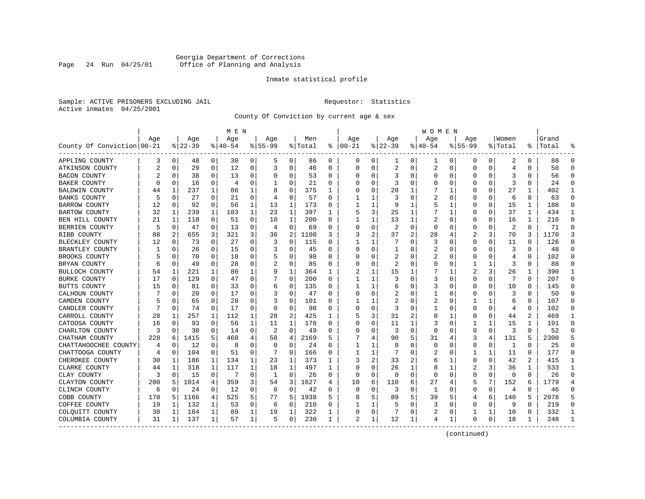### Georgia Department of Corrections Page 24 Run 04/25/01 Office of Planning and Analysis

#### Inmate statistical profile

Sample: ACTIVE PRISONERS EXCLUDING JAIL **Requestor:** Statistics Active inmates 04/25/2001

County Of Conviction by current age & sex

|                            |     |             |          |              | M E N    |              |             |          |         |          |               |              |                |                | W O M E N |             |             |              |                |              |           |              |
|----------------------------|-----|-------------|----------|--------------|----------|--------------|-------------|----------|---------|----------|---------------|--------------|----------------|----------------|-----------|-------------|-------------|--------------|----------------|--------------|-----------|--------------|
|                            | Age |             | Age      |              | Age      |              | Age         |          | Men     |          | Age           |              | Aqe            |                | Age       |             | Aqe         |              | Women          |              | Grand     |              |
| County Of Conviction 00-21 |     |             | $ 22-39$ |              | $ 40-54$ |              | $8155 - 99$ |          | % Total |          | $8   00 - 21$ |              | $ 22-39$       |                | $ 40-54$  |             | $8155 - 99$ |              | % Total        |              | %   Total |              |
| APPLING COUNTY             | 3   | 0           | 48       | 0            | 30       | 0            | 5           | 0        | 86      | 0        | 0             | 0            | 1              | 0              | 1         | 0           | 0           | 0            | 2              | 0            | 88        | $\Omega$     |
| ATKINSON COUNTY            | 2   | $\mathbf 0$ | 29       | $\mathbf 0$  | 12       | 0            | 3           | 0        | 46      | $\Omega$ | $\Omega$      | 0            | 2              | 0              | 2         | 0           | $\Omega$    | $\Omega$     | 4              | $\Omega$     | 50        | $\Omega$     |
| <b>BACON COUNTY</b>        |     | $\Omega$    | 38       | 0            | 13       | 0            | O           | 0        | 53      | 0        | O             | 0            | 3              | 0              | 0         | 0           | O           | $\Omega$     | 3              | 0            | 56        | $\Omega$     |
| <b>BAKER COUNTY</b>        | U   | 0           | 16       | 0            | 4        | 0            |             | $\Omega$ | 21      | 0        |               | 0            | 3              | 0              | O         | 0           | O           | O            | 3              | O            | 24        | $\Omega$     |
| BALDWIN COUNTY             | 44  | 1           | 237      | 1            | 86       | 1            | 8           | $\Omega$ | 375     | 1        |               | $\Omega$     | 20             | 1              |           | 1           | O           | U            | 27             | 1            | 402       | -1           |
| <b>BANKS COUNTY</b>        | 5   | $\Omega$    | 27       | 0            | 21       | 0            | 4           | 0        | 57      | U        |               | 1            | 3              | O              | 2         | 0           | 0           | $\Omega$     | 6              | 0            | 63        | $\Omega$     |
| <b>BARROW COUNTY</b>       | 12  | 0           | 92       | 0            | 56       | 1            | 13          | 1        | 173     | 0        |               | 1            | 9              | 1              | 5         | 1           | 0           | 0            | 15             | 1            | 188       | $\Omega$     |
| <b>BARTOW COUNTY</b>       | 32  | 1           | 239      | $\mathbf{1}$ | 103      | $\mathbf{1}$ | 23          | 1        | 397     | 1        | 5             | 3            | 25             | 1              |           | 1           | $\Omega$    | $\Omega$     | 37             | $\mathbf{1}$ | 434       | $\mathbf{1}$ |
| BEN HILL COUNTY            | 21  | 1           | 118      | $\Omega$     | 51       | $\Omega$     | 10          | 1        | 200     | 0        |               | $\mathbf{1}$ | 13             | 1              | 2         | 0           | 0           | $\Omega$     | 16             | $\mathbf{1}$ | 216       | $\Omega$     |
| BERRIEN COUNTY             | 5   | 0           | 47       | 0            | 13       | $\Omega$     | 4           | 0        | 69      | 0        |               | 0            | $\overline{2}$ | $\Omega$       | $\Omega$  | 0           | 0           | 0            | $\overline{2}$ | $\Omega$     | 71        | $\Omega$     |
| <b>BIBB COUNTY</b>         | 88  | 2           | 655      | 3            | 321      | 3            | 36          | 2        | 1100    | 3        | 3             | 2            | 37             | $\overline{c}$ | 28        | 4           | 2           | 3            | 70             | 3            | 1170      |              |
| BLECKLEY COUNTY            | 12  | 0           | 73       | $\Omega$     | 27       | 0            | 3           | 0        | 115     | 0        | 1             | 1            |                | $\Omega$       | 3         | $\Omega$    | $\Omega$    | $\Omega$     | 11             | $\Omega$     | 126       | ∩            |
| BRANTLEY COUNTY            |     | 0           | 26       | 0            | 15       | 0            | 3           | 0        | 45      | U        | O             | 0            | $\mathbf{1}$   | 0              | 2         | 0           | 0           | 0            | 3              | $\Omega$     | 48        |              |
| BROOKS COUNTY              |     | $\Omega$    | 70       | 0            | 18       | 0            | 5           | 0        | 98      | 0        | C             | 0            | 2              | 0              | 2         | 0           | 0           | O            | 4              | $\Omega$     | 102       | $\Omega$     |
| BRYAN COUNTY               | 6   | 0           | 49       | 0            | 28       | 0            |             | 0        | 85      | 0        | C             | 0            | 2              | 0              | 0         | 0           | 1           | 1            | 3              | 0            | 88        | ∩            |
| BULLOCH COUNTY             | 54  | 1           | 221      |              | 80       | 1            | 9           | 1        | 364     | 1        |               | 1            | 15             | 1              |           |             | 2           | 3            | 26             |              | 390       | 1            |
| <b>BURKE COUNTY</b>        | 17  | $\Omega$    | 129      | $\Omega$     | 47       | 0            |             | $\Omega$ | 200     | 0        | 1             | $\mathbf{1}$ | 3              | $\Omega$       | 3         | $\Omega$    | $\Omega$    | $\Omega$     | 7              | $\Omega$     | 207       | $\Omega$     |
| BUTTS COUNTY               | 15  | $\Omega$    | 81       | $\Omega$     | 33       | 0            | 6           | 0        | 135     | 0        | 1             | 1            | 6              | 0              | 3         | $\Omega$    | $\Omega$    | $\Omega$     | 10             | 0            | 145       | $\Omega$     |
| CALHOUN COUNTY             |     | 0           | 20       | $\Omega$     | 17       | O            | 3           | 0        | 47      | O        | C             | 0            | 2              | O              |           | $\mathbf 0$ | O           | $\Omega$     | 3              | $\Omega$     | 50        | $\Omega$     |
| CAMDEN COUNTY              |     | $\Omega$    | 65       | 0            | 28       | 0            | 3           | 0        | 101     | U        |               | 1            | 2              | O              | 2         | 0           | 1           | $\mathbf{1}$ | 6              | 0            | 107       | $\Omega$     |
| CANDLER COUNTY             |     | 0           | 74       | 0            | 17       | 0            | $\Omega$    | 0        | 98      | 0        | C             | 0            | 3              | 0              |           | 0           | O           | $\Omega$     | 4              | 0            | 102       | $\Omega$     |
| CARROLL COUNTY             | 28  | 1           | 257      | 1            | 112      | 1            | 28          | 2        | 425     | 1        |               | 3            | 31             | 2              | 8         | 1           | 0           | 0            | 44             | 2            | 469       |              |
| CATOOSA COUNTY             | 16  | 0           | 93       | 0            | 56       | 1            | 11          | 1        | 176     | 0        | C             | 0            | 11             | 1              | 3         | $\mathbf 0$ | 1           | $\mathbf{1}$ | 15             | 1            | 191       | $\cap$       |
| CHARLTON COUNTY            | 3   | $\mathbf 0$ | 30       | 0            | 14       | 0            | 2           | 0        | 49      | 0        | O             | 0            | 3              | 0              | $\Omega$  | 0           | $\Omega$    | 0            | 3              | 0            | 52        | $\Omega$     |
| CHATHAM COUNTY             | 228 | 6           | 1415     | 5            | 468      | 4            | 58          | 4        | 2169    | 5        |               | 4            | 90             | 5              | 31        | 4           | 3           | 4            | 131            | 5            | 2300      |              |
| CHATTAHOOCHEE COUNTY       | 4   | $\Omega$    | 12       | $\Omega$     | 8        | $\Omega$     | $\Omega$    | $\Omega$ | 24      | 0        | 1             | 1            | $\Omega$       | $\Omega$       | $\Omega$  | $\Omega$    | 0           | $\Omega$     | 1              | $\Omega$     | 25        | $\Omega$     |
| CHATTOOGA COUNTY           | 4   | 0           | 104      | 0            | 51       | 0            |             | $\Omega$ | 166     | 0        |               | 1            |                | $\Omega$       | 2         | 0           | 1           | 1            | 11             | $\Omega$     | 177       | $\Omega$     |
| CHEROKEE COUNTY            | 30  | 1           | 186      | 1            | 134      | 1            | 23          | 1        | 373     | 1        |               | 2            | 33             | 2              | 6         | 1           | 0           | O            | 42             | 2            | 415       | -1           |
| CLARKE COUNTY              | 44  | 1           | 318      | 1            | 117      | 1            | 18          | 1        | 497     | 1        | $\cap$        | $\Omega$     | 26             | 1              | 8         | 1           | 2           | 3            | 36             | 1            | 533       | -1           |
| CLAY COUNTY                | 3   | 0           | 15       | 0            |          | 0            | 1           | 0        | 26      | 0        | 0             | 0            | $\Omega$       | $\mathbf 0$    | $\Omega$  | 0           | $\Omega$    | 0            | 0              | $\Omega$     | 26        | ∩            |
| CLAYTON COUNTY             | 200 | 5           | 1014     | 4            | 359      | 3            | 54          | 3        | 1627    | 4        | 10            | 6            | 110            | 6              | 27        | 4           | 5           | 7            | 152            | 6            | 1779      |              |
| CLINCH COUNTY              | 6   | 0           | 24       | 0            | 12       | 0            | 0           | 0        | 42      | 0        | $\bigcap$     | 0            | 3              | 0              | 1         | 0           | $\Omega$    | 0            | 4              | 0            | 46        | $\cap$       |
| COBB COUNTY                | 170 | 5           | 1166     | 4            | 525      | 5            | 77          | 5        | 1938    | 5        | 8             | 5            | 89             | 5              | 39        | 5           | 4           | 6            | 140            | 5            | 2078      | 5            |
| COFFEE COUNTY              | 19  | 1           | 132      | 1            | 53       | 0            | 6           | $\Omega$ | 210     | 0        |               | 1            | 5              | 0              | 3         | 0           | $\Omega$    | 0            | 9              | O            | 219       | $\Omega$     |
| COLQUITT COUNTY            | 30  | 1           | 184      | 1            | 89       | 1            | 19          | 1        | 322     | 1        | 0             | 0            | 7              | 0              | 2         | 0           | 1           | 1            | 10             | 0            | 332       | -1           |
| COLUMBIA COUNTY            | 31  | 1           | 137      | 1            | 57       | 1            | 5           | 0        | 230     | 1        | 2             | 1            | 12             | 1              | 4         | 1           | $\Omega$    | 0            | 18             | 1            | 248       |              |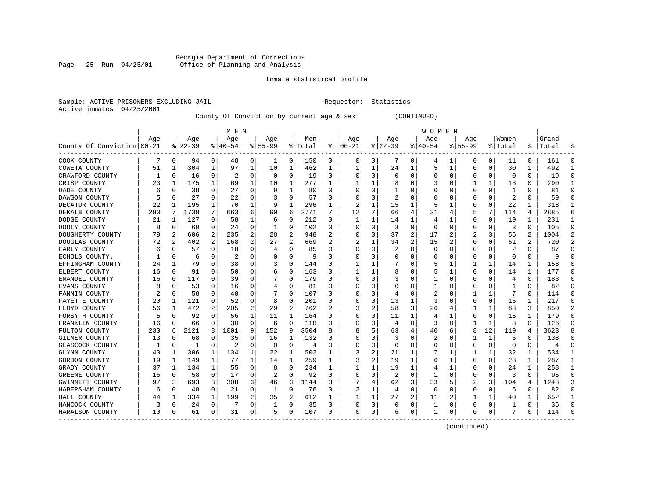#### Georgia Department of Corrections Page 25 Run 04/25/01 Office of Planning and Analysis

# Inmate statistical profile

| Sample: ACTIVE PRISONERS EXCLUDING JAIL | Requestor: Statistics |  |
|-----------------------------------------|-----------------------|--|
| Active inmates 04/25/2001               |                       |  |

County Of Conviction by current age & sex (CONTINUED)

|                            |     |             |          |          | M E N     |                |           |                |         |              |          |              |          |                | W O M E N   |                |             |          |                         |          |           |                |
|----------------------------|-----|-------------|----------|----------|-----------|----------------|-----------|----------------|---------|--------------|----------|--------------|----------|----------------|-------------|----------------|-------------|----------|-------------------------|----------|-----------|----------------|
|                            | Age |             | Age      |          | Age       |                | Age       |                | Men     |              | Age      |              | Age      |                | Age         |                | Age         |          | Women                   |          | Grand     |                |
| County Of Conviction 00-21 |     |             | $ 22-39$ |          | $8 40-54$ |                | $8 55-99$ |                | % Total | ႜ            | $ 00-21$ |              | $ 22-39$ |                | $ 40-54$    |                | $8155 - 99$ |          | % Total                 |          | %   Total |                |
| COOK COUNTY                |     | 0           | 94       | 0        | 48        | 0              |           | 0              | 150     | 0            | 0        | 0            | 7        | 0              | 4           | 1              | 0           | 0        | 11                      | 0        | 161       | $\Omega$       |
| COWETA COUNTY              | 51  | 1           | 304      | 1        | 97        | 1              | 10        | 1              | 462     | 1            |          | 1            | 24       | 1              | 5           | 1              | 0           | 0        | 30                      | 1        | 492       | -1             |
| CRAWFORD COUNTY            | 1   | $\Omega$    | 16       | 0        | 2         | O              | $\Omega$  | $\Omega$       | 19      | 0            | C        | $\Omega$     | $\Omega$ | $\Omega$       | U           | 0              | $\Omega$    | $\Omega$ | $\Omega$                | $\Omega$ | 19        | ∩              |
| CRISP COUNTY               | 23  | 1           | 175      | 1        | 69        | 1              | 10        | 1              | 277     | 1            |          | 1            | 8        | O              |             | 0              | 1           | 1        | 13                      | $\Omega$ | 290       |                |
| DADE COUNTY                | 6   | $\Omega$    | 38       | $\Omega$ | 27        | $\Omega$       |           | 1              | 80      | U            |          | $\Omega$     |          | O              |             | 0              | $\Omega$    | $\Omega$ | -1                      | O        | 81        |                |
| DAWSON COUNTY              |     | 0           | 27       | 0        | 22        | 0              |           | 0              | 57      | U            |          | 0            | 2        | 0              |             | 0              | 0           | $\Omega$ | $\overline{c}$          | $\Omega$ | 59        |                |
| DECATUR COUNTY             | 22  | 1           | 195      | 1        | 70        | 1              | 9         | 1              | 296     | $\mathbf{1}$ |          | 1            | 15       | 1              | 5           | 1              | O           | $\Omega$ | 22                      | 1        | 318       | -1             |
| DEKALB COUNTY              | 280 | 7           | 1738     | 7        | 663       | 6              | 90        | 6              | 2771    | 7            | 12       | 7            | 66       | 4              | 31          | 4              | 5           | 7        | 114                     | 4        | 2885      | 6              |
| DODGE COUNTY               | 21  | 1           | 127      | 0        | 58        | 1              | 6         | 0              | 212     | 0            | -1       | 1            | 14       | 1              | 4           | 1              | 0           | 0        | 19                      | 1        | 231       | 1              |
| DOOLY COUNTY               | 8   | 0           | 69       | 0        | 24        | 0              |           | 0              | 102     | 0            |          | 0            | 3        | $\Omega$       | 0           | 0              | 0           | 0        | 3                       | $\Omega$ | 105       | $\Omega$       |
| DOUGHERTY COUNTY           | 79  | 2           | 606      | 2        | 235       | 2              | 28        | 2              | 948     |              |          | $\Omega$     | 37       | $\overline{2}$ | 17          | 2              |             | 3        | 56                      | 2        | 1004      | 2              |
| DOUGLAS COUNTY             | 72  | 2           | 402      | 2        | 168       | $\overline{a}$ | 27        | 2              | 669     | 2            |          | 1            | 34       | $\overline{2}$ | 15          | $\overline{2}$ | 0           | O        | 51                      | 2        | 720       | $\mathcal{D}$  |
| EARLY COUNTY               | 6   | $\Omega$    | 57       | 0        | 18        | 0              |           | $\Omega$       | 85      | U            | O        | $\Omega$     |          | $\Omega$       | $\Omega$    | $\Omega$       | 0           | O        | $\overline{\mathbf{c}}$ | 0        | 87        | ∩              |
| ECHOLS COUNTY.             |     | $\Omega$    | 6        | 0        | 2         | 0              |           | $\Omega$       | 9       | 0            |          | $\Omega$     | 0        | $\Omega$       | 0           | 0              | 0           | $\Omega$ | $\Omega$                | 0        |           |                |
| EFFINGHAM COUNTY           | 24  | 1           | 79       | 0        | 38        | 0              |           | 0              | 144     | 0            |          | 1            |          | 0              | 5           | 1              |             | 1        | 14                      | 1        | 158       |                |
| ELBERT COUNTY              | 16  | $\Omega$    | 91       | $\Omega$ | 50        | $\Omega$       | 6         | 0              | 163     | U            |          | 1            | 8        | O              | 5           | 1              | $\Omega$    | $\Omega$ | 14                      | 1        | 177       | $\Omega$       |
| EMANUEL COUNTY             | 16  | $\Omega$    | 117      | 0        | 39        | O              |           | $\Omega$       | 179     | U            | C        | $\Omega$     |          | O              | 1           | 0              | O           | $\Omega$ | 4                       | $\Omega$ | 183       | $\cap$         |
| EVANS COUNTY               | 8   | $\Omega$    | 53       | 0        | 16        | 0              | 4         | $\Omega$       | 81      | U            | O        | 0            | $\Omega$ | O              | ı           | 0              | O           | $\Omega$ | 1                       | $\Omega$ | 82        | ∩              |
| FANNIN COUNTY              | 2   | $\Omega$    | 58       | O        | 40        | 0              |           | $\Omega$       | 107     | U            |          | 0            | 4        | $\Omega$       | 2           | 0              |             | 1        |                         | $\Omega$ | 114       |                |
| FAYETTE COUNTY             | 20  | 1           | 121      | $\Omega$ | 52        | O              | 8         | $\Omega$       | 201     | 0            |          | 0            | 13       | 1              | 3           | 0              | $\Omega$    | $\Omega$ | 16                      |          | 217       | $\Omega$       |
| FLOYD COUNTY               | 56  | 1           | 472      | 2        | 205       | 2              | 29        | $\overline{2}$ | 762     | 2            | 3        | 2            | 58       | 3              | 26          | 4              | 1           | 1        | 88                      | 3        | 850       | $\mathfrak{D}$ |
| FORSYTH COUNTY             |     | $\Omega$    | 92       | 0        | 56        | 1              | 11        | 1              | 164     | 0            | O        | 0            | 11       | 1              | 4           | 1              | 0           | $\Omega$ | 15                      | 1        | 179       | ∩              |
| FRANKLIN COUNTY            | 16  | 0           | 66       | 0        | 30        | 0              | 6         | 0              | 118     | 0            |          | 0            | 4        | $\Omega$       | 3           | 0              | 1           | 1        | 8                       | $\Omega$ | 126       |                |
| FULTON COUNTY              | 230 | 6           | 2121     | 8        | 1001      | 9              | 152       | 9              | 3504    | 8            |          | 5            | 63       | 4              | 40          | 6              | 8           | 12       | 119                     | 4        | 3623      |                |
| GILMER COUNTY              | 13  | 0           | 68       | 0        | 35        | $\Omega$       | 16        | 1              | 132     | U            |          | 0            | 3        | 0              |             | 0              | 1           | 1        | 6                       | 0        | 138       | $\cap$         |
| GLASCOCK COUNTY            |     | 0           | 1        | 0        | 2         | 0              | O         | 0              | 4       | 0            |          | 0            | $\Omega$ | 0              | 0           | 0              | 0           | 0        | 0                       | 0        | 4         | $\Omega$       |
| GLYNN COUNTY               | 40  | 1           | 306      | 1        | 134       | 1              | 22        | 1              | 502     | 1            | 3        | 2            | 21       | 1              |             | 1              |             | 1        | 32                      | 1        | 534       | -1             |
| GORDON COUNTY              | 19  | 1           | 149      | 1        | 77        | 1              | 14        | 1              | 259     | 1            | 3        | 2            | 19       | 1              | 6           | 1              | 0           | 0        | 28                      | 1        | 287       | -1             |
| GRADY COUNTY               | 37  | 1           | 134      | 1        | 55        | O              | 8         | $\Omega$       | 234     | 1            |          | $\mathbf{1}$ | 19       | 1              | 4           | 1              | $\Omega$    | O        | 24                      |          | 258       | $\mathbf{1}$   |
| GREENE COUNTY              | 15  | $\Omega$    | 58       | 0        | 17        | $\Omega$       |           | $\Omega$       | 92      | O            | C        | $\Omega$     | 2        | $\Omega$       | -1          | $\Omega$       | $\Omega$    | $\Omega$ | 3                       | $\Omega$ | 95        | $\cap$         |
| GWINNETT COUNTY            | 97  | 3           | 693      | 3        | 308       | 3              | 46        | 3              | 1144    | 3            |          | 4            | 62       | 3              | 33          | 5              | 2           | 3        | 104                     | 4        | 1248      | 3              |
| HABERSHAM COUNTY           | -6  | 0           | 48       | 0        | 21        | 0              | 1         | 0              | 76      | O            | 2        | 1            | 4        | $\Omega$       | $\mathbf 0$ | $\mathbf 0$    | $\Omega$    | $\Omega$ | 6                       | $\Omega$ | 82        |                |
| HALL COUNTY                | 44  | 1           | 334      | 1        | 199       | 2              | 35        | 2              | 612     |              |          | 1            | 27       | 2              | 11          | 2              |             | 1        | 40                      |          | 652       |                |
| HANCOCK COUNTY             | 3   | $\mathbf 0$ | 24       | 0        |           | 0              |           | 0              | 35      | 0            | O        | 0            | 0        | 0              | 1           | 0              | $\Omega$    | 0        |                         | 0        | 36        | $\cap$         |
| HARALSON COUNTY            | 10  | 0           | 61       | 0        | 31        | 0              | 5         | 0              | 107     | 0            | $\Omega$ | 0            | 6        | 0              | 1           | 0              | O           | 0        | 7                       | 0        | 114       | ∩              |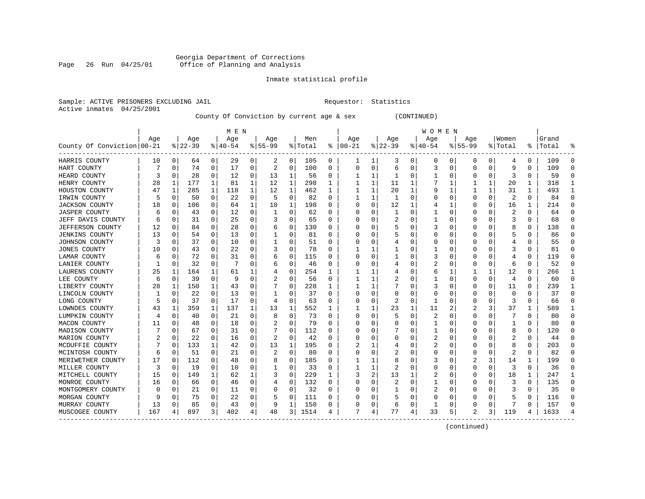### Georgia Department of Corrections Page 26 Run 04/25/01 Office of Planning and Analysis

#### Inmate statistical profile

Sample: ACTIVE PRISONERS EXCLUDING JAIL **Requestor:** Statistics Active inmates 04/25/2001

County Of Conviction by current age & sex (CONTINUED)

|                            |     |             |          |   | M E N    |   |                |   |         |   |           |          |          |          | W O M E N |                |             |          |          |          |           |          |
|----------------------------|-----|-------------|----------|---|----------|---|----------------|---|---------|---|-----------|----------|----------|----------|-----------|----------------|-------------|----------|----------|----------|-----------|----------|
|                            | Age |             | Age      |   | Age      |   | Age            |   | Men     |   | Age       |          | Age      |          | Age       |                | Aqe         |          | Women    |          | Grand     |          |
| County Of Conviction 00-21 |     |             | $ 22-39$ |   | $ 40-54$ |   | $8 55-99$      |   | % Total | ႜ | $00 - 21$ |          | $ 22-39$ |          | $ 40-54$  |                | $8155 - 99$ |          | % Total  |          | %   Total |          |
| HARRIS COUNTY              | 10  | 0           | 64       | 0 | 29       | 0 | 2              | 0 | 105     | 0 | 1         | 1        | 3        | 0        | 0         | 0              | 0           | 0        | 4        | 0        | 109       |          |
| HART COUNTY                |     | 0           | 74       | 0 | 17       | 0 | 2              | 0 | 100     | 0 | O         | 0        | 6        | 0        | 3         | 0              | 0           | 0        | 9        | 0        | 109       | n        |
| HEARD COUNTY               | 3   | $\Omega$    | 28       | 0 | 12       | 0 | 13             | 1 | 56      | 0 |           | 1        | -1       | 0        |           | 0              | 0           | 0        | 3        | 0        | 59        | $\cap$   |
| HENRY COUNTY               | 28  | 1           | 177      | 1 | 81       | 1 | 12             | 1 | 298     | 1 |           | 1        | 11       | 1        |           | 1              |             | 1        | 20       | 1        | 318       |          |
| HOUSTON COUNTY             | 47  | 1           | 285      | 1 | 118      | 1 | 12             | 1 | 462     | 1 |           | 1        | 20       | 1        | q         | 1              |             | 1        | 31       | 1        | 493       |          |
| IRWIN COUNTY               | 5   | $\mathbf 0$ | 50       | 0 | 22       | 0 | 5              | 0 | 82      | O |           | 1        | 1        | $\Omega$ |           | $\mathbf 0$    | $\Omega$    | $\Omega$ | 2        | $\Omega$ | 84        | $\Omega$ |
| <b>JACKSON COUNTY</b>      | 18  | $\Omega$    | 106      | 0 | 64       | 1 | 10             | 1 | 198     | U | C         | 0        | 12       | 1        | 4         | 1              | O           | O        | 16       | 1        | 214       | $\Omega$ |
| <b>JASPER COUNTY</b>       | 6   | 0           | 43       | 0 | 12       | 0 | 1              | 0 | 62      | 0 | O         | 0        | -1       | 0        |           | 0              | 0           | O        | 2        | 0        | 64        | ∩        |
| JEFF DAVIS COUNTY          | 6   | 0           | 31       | 0 | 25       | 0 | 3              | 0 | 65      | 0 |           | 0        |          | 0        |           | 0              | 0           | O        | 3        | 0        | 68        | $\Omega$ |
| JEFFERSON COUNTY           | 12  | 0           | 84       | 0 | 28       | 0 | b              | 0 | 130     | 0 |           | 0        |          | 0        |           | C              | 0           |          | 8        | 0        | 138       | ∩        |
| <b>JENKINS COUNTY</b>      | 13  | 0           | 54       | 0 | 13       | 0 |                | 0 | 81      | U |           | O        |          | O        |           | C              | O           |          |          | O        | 86        |          |
| JOHNSON COUNTY             | 3   | n           | 37       | 0 | 10       | 0 |                | 0 | 51      | U |           | 0        |          | 0        | $\Omega$  | 0              | O           | U        |          | 0        | 55        | ∩        |
| <b>JONES COUNTY</b>        | 10  | 0           | 43       | 0 | 22       | 0 | 3              | 0 | 78      | 0 |           | 1        |          | 0        |           | 0              | O           | O        | 3        | 0        | 81        |          |
| LAMAR COUNTY               | 6   | 0           | 72       | 0 | 31       | 0 |                | 0 | 115     | 0 |           | 0        |          | 0        |           | 0              | 0           | 0        |          | 0        | 119       |          |
| LANIER COUNTY              |     | 0           | 32       | 0 |          | 0 | 6              | 0 | 46      | 0 |           | 0        | 4        | 0        |           | 0              | O           | 0        | 6        | 0        | 52        | $\Omega$ |
| LAURENS COUNTY             | 25  | 1           | 164      | 1 | 61       | 1 |                | 0 | 254     | 1 |           | 1        | 4        | 0        | 6         | 1              |             | 1        | 12       | $\Omega$ | 266       | -1       |
| LEE COUNTY                 | 6   | 0           | 39       | 0 | -9       | 0 |                | 0 | 56      | 0 |           | 1        |          | 0        |           | 0              | 0           | $\Omega$ | 4        | $\Omega$ | 60        | ∩        |
| LIBERTY COUNTY             | 28  | 1           | 150      |   | 43       | 0 |                | 0 | 228     |   |           | 1        |          | 0        | 3         | 0              | 0           | 0        | 11       | 0        | 239       | -1       |
| LINCOLN COUNTY             |     | 0           | 22       | 0 | 13       | 0 |                | 0 | 37      | 0 |           | 0        | O        | 0        |           | C              | 0           | 0        | $\Omega$ | 0        | 37        | ∩        |
| LONG COUNTY                | 5   | $\Omega$    | 37       | 0 | 17       | 0 | 4              | 0 | 63      | 0 |           | $\Omega$ | 2        | 0        | 1         | C              | 0           | O        | 3        | 0        | 66        |          |
| LOWNDES COUNTY             | 43  | 1           | 359      | 1 | 137      | 1 | 13             | 1 | 552     | 1 |           | 1        | 23       | 1        | 11        | $\overline{c}$ |             | 3        | 37       | 1        | 589       |          |
| LUMPKIN COUNTY             | 4   | 0           | 40       | 0 | 21       | 0 | 8              | 0 | 73      | 0 | O         | $\Omega$ | 5        | $\Omega$ | 2         | $\Omega$       | 0           | U        |          | 0        | 80        |          |
| MACON COUNTY               | 11  | 0           | 48       | 0 | 18       | 0 | 2              | 0 | 79      | 0 |           | 0        |          | 0        |           | 0              | 0           | O        | 1        | 0        | 80        |          |
| MADISON COUNTY             |     | 0           | 67       | 0 | 31       | 0 |                | 0 | 112     | 0 |           | U        |          | 0        |           | 0              | O           | U        | 8        | 0        | 120       |          |
| MARION COUNTY              |     | 0           | 22       | 0 | 16       | 0 | $\overline{2}$ | 0 | 42      | 0 |           | $\Omega$ | C        | O        | 2         | 0              | O           | O        | 2        | 0        | 44        | ∩        |
| MCDUFFIE COUNTY            |     | 0           | 133      | 1 | 42       | 0 | 13             | 1 | 195     | 0 |           | 1        |          | 0        | 2         | 0              | 0           | O        | 8        | 0        | 203       | ∩        |
| MCINTOSH COUNTY            | 6   | 0           | 51       | 0 | 21       | 0 | 2              | 0 | 80      | 0 |           | 0        | 2        | 0        | 0         | 0              | 0           | 0        | 2        | 0        | 82        |          |
| MERIWETHER COUNTY          | 17  | 0           | 112      | 0 | 48       | 0 | 8              | 0 | 185     | 0 |           |          | 8        | 0        | 3         | 0              | 2           | 3        | 14       | 1        | 199       |          |
| MILLER COUNTY              | 3   | $\Omega$    | 19       | 0 | 10       | 0 |                | 0 | 33      | 0 |           |          |          | O        | 0         | C              | 0           | O        | 3        | 0        | 36        |          |
| MITCHELL COUNTY            | 15  | $\Omega$    | 149      | 1 | 62       | 1 |                | 0 | 229     | 1 |           | 2        | 13       | 1        |           | $\Omega$       | 0           | O        | 18       | 1        | 247       |          |
| MONROE COUNTY              | 16  | 0           | 66       | 0 | 46       | 0 | 4              | 0 | 132     | 0 |           | $\Omega$ |          | 0        |           | $\Omega$       | 0           | O        | 3        | 0        | 135       | $\Omega$ |
| MONTGOMERY COUNTY          |     | 0           | 21       | 0 | 11       | 0 |                | 0 | 32      | 0 |           | 0        | -1       | 0        | 2         | 0              | 0           | 0        | 3        | 0        | 35        | $\Omega$ |
| MORGAN COUNTY              |     | 0           | 75       | 0 | 22       | 0 |                | 0 | 111     | 0 |           | 0        |          | 0        |           | 0              | 0           | O        |          | 0        | 116       |          |
| MURRAY COUNTY              | 13  | 0           | 85       | 0 | 43       | 0 |                | 1 | 150     | 0 |           | 0        | 6        | $\Omega$ |           | 0              | O           | $\Omega$ |          | 0        | 157       | $\Omega$ |
| MUSCOGEE COUNTY            | 167 | 4           | 897      | 3 | 402      | 4 | 48             | 3 | 1514    | 4 | 7         | 4        | 77       | 4        | 33        | 5              | 2           | 3        | 119      | 4        | 1633      |          |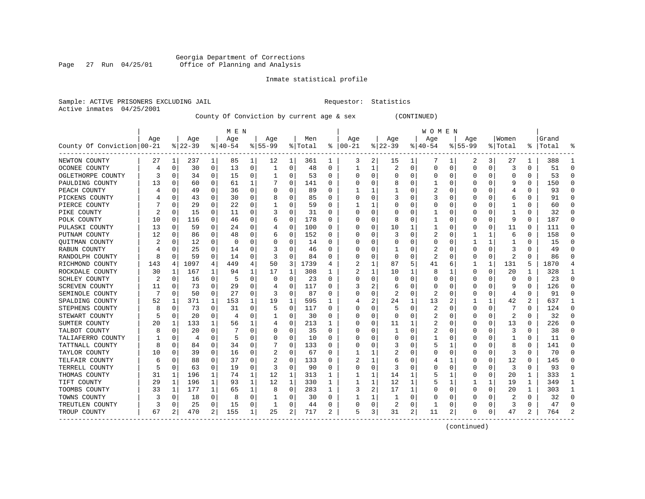### Georgia Department of Corrections<br>Page 27 Run 04/25/01 Office of Planning and Analysis Page 27 Run 04/25/01 Office of Planning and Analysis

#### Inmate statistical profile

Sample: ACTIVE PRISONERS EXCLUDING JAIL **Requestor:** Statistics Active inmates 04/25/2001

County Of Conviction by current age & sex (CONTINUED)

|                            |     |          |          |          | M E N    |   |           |          |         |    |          |   |                |          | W O M E N |    |              |          |         |   |           |              |
|----------------------------|-----|----------|----------|----------|----------|---|-----------|----------|---------|----|----------|---|----------------|----------|-----------|----|--------------|----------|---------|---|-----------|--------------|
|                            | Age |          | Age      |          | Age      |   | Age       |          | Men     |    | Age      |   | Age            |          | Age       |    | Aqe          |          | Women   |   | Grand     |              |
| County Of Conviction 00-21 |     |          | $ 22-39$ |          | $ 40-54$ |   | $8 55-99$ |          | % Total | ៖  | $ 00-21$ |   | $ 22-39$       |          | $ 40-54$  |    | $8155 - 99$  |          | % Total |   | %   Total |              |
| NEWTON COUNTY              | 27  | 1        | 237      | 1        | 85       | 1 | 12        | 1        | 361     | 1  | 3        | 2 | 15             | ı        | 7         | 1  | 2            | 3        | 27      | 1 | 388       |              |
| OCONEE COUNTY              | 4   | 0        | 30       | 0        | 13       | 0 | 1         | 0        | 48      | O  | 1        | 1 | $\overline{2}$ | 0        | 0         | C  | $\Omega$     | 0        | 3       | 0 | 51        | ∩            |
| OGLETHORPE COUNTY          |     | 0        | 34       | 0        | 15       | 0 |           | 0        | 53      | 0  | C        | 0 | 0              | O        | 0         | C  | O            | O        | 0       | 0 | 53        | n            |
| PAULDING COUNTY            | 13  | 0        | 60       | 0        | 61       | 1 |           | 0        | 141     | 0  |          | 0 | 8              | 0        |           | C  |              | O        | 9       | 0 | 150       | n            |
| PEACH COUNTY               |     | 0        | 49       | 0        | 36       | 0 |           | 0        | 89      | 0  |          |   |                |          | 2         | C  |              |          |         | 0 | 93        | O            |
| PICKENS COUNTY             |     | 0        | 43       | 0        | 30       | 0 |           | 0        | 85      | O  |          | 0 |                | O        | 3         | C  |              |          | 6       | 0 | 91        | n            |
| PIERCE COUNTY              |     | 0        | 29       | 0        | 22       | 0 |           | 0        | 59      | 0  |          |   |                | O        | Ω         | C  | O            |          |         | 0 | 60        | n            |
| PIKE COUNTY                |     | 0        | 15       | 0        | 11       | 0 |           | $\Omega$ | 31      | 0  | C        | 0 | O              | 0        |           | C  |              | O        |         | 0 | 32        | $\Omega$     |
| POLK COUNTY                | 10  | 0        | 116      | 0        | 46       | 0 | b         | $\Omega$ | 178     | 0  | C        | 0 | 8              | $\Omega$ |           | C  |              | 0        | 9       | 0 | 187       | $\Omega$     |
| PULASKI COUNTY             | 13  | C        | 59       | 0        | 24       | 0 |           | $\Omega$ | 100     | 0  |          | 0 | 10             |          |           | ſ  |              | 0        | 11      | 0 | 111       | <sup>0</sup> |
| PUTNAM COUNTY              | 12  | $\Omega$ | 86       | 0        | 48       | 0 | b         | $\Omega$ | 152     | O  | C        | 0 |                | $\Omega$ | 2         | C  |              |          | 6       | 0 | 158       | ∩            |
| QUITMAN COUNTY             |     | $\Omega$ | 12       | 0        | $\Omega$ | 0 |           | $\Omega$ | 14      | 0  |          | 0 | O              | O        | 0         | C  |              |          |         | 0 | 15        | n            |
| RABUN COUNTY               |     | $\Omega$ | 25       | 0        | 14       | 0 | 3         | $\Omega$ | 46      | O  |          | 0 |                | 0        | 2         | C  |              | $\Omega$ | 3       | 0 | 49        | n            |
| RANDOLPH COUNTY            | 8   | 0        | 59       | 0        | 14       | 0 |           | 0        | 84      | 0  |          | 0 | $\Omega$       | $\Omega$ | 2         | C  |              | 0        | 2       | 0 | 86        |              |
| RICHMOND COUNTY            | 143 | 4        | 1097     | 4        | 449      | 4 | 50        | 3        | 1739    | 4  |          | 1 | 87             | 5        | 41        | 6  |              | 1        | 131     | 5 | 1870      |              |
| ROCKDALE COUNTY            | 30  | 1        | 167      | 1        | 94       | 1 | 17        | 1        | 308     | 1  |          | 1 | 10             |          | 8         | -1 | <sup>0</sup> | $\Omega$ | 20      | 1 | 328       |              |
| SCHLEY COUNTY              | 2   | 0        | 16       | $\Omega$ | 5        | 0 | O         | 0        | 23      | 0  | C        | 0 | O              | $\Omega$ | 0         | C  | O            | O        | O       | 0 | 23        | $\Omega$     |
| <b>SCREVEN COUNTY</b>      | 11  | 0        | 73       | O        | 29       | 0 |           | $\Omega$ | 117     | O  |          | 2 | b              | $\Omega$ | 0         | C  |              |          | 9       | O | 126       | O            |
| SEMINOLE COUNTY            |     | $\Omega$ | 50       | $\Omega$ | 27       | O | 3         | $\Omega$ | 87      | U  |          | U |                | $\Omega$ | 2         | C  |              | O        | 4       | 0 | 91        |              |
| SPALDING COUNTY            | 52  | 1        | 371      | 1        | 153      | 1 | 19        | 1        | 595     | 1  |          | 2 | 24             | 1        | 13        |    |              | 1        | 42      | 2 | 637       |              |
| STEPHENS COUNTY            | 8   | 0        | 73       | $\Omega$ | 31       | 0 | 5         | 0        | 117     | O  |          | O | 5              | $\Omega$ | 2         | C  | O            | $\Omega$ |         | 0 | 124       | O            |
| STEWART COUNTY             |     | 0        | 20       | 0        | 4        | 0 |           | 0        | 30      | 0  | $\Omega$ | 0 | O              | O        | 2         | C  |              | $\Omega$ | 2       | 0 | 32        | n            |
| SUMTER COUNTY              | 20  | 1        | 133      | 1        | 56       |   |           | 0        | 213     | 1  |          | 0 | 11             |          | 2         | C  |              | 0        | 13      | 0 | 226       |              |
| TALBOT COUNTY              | 8   | 0        | 20       | 0        |          | 0 |           | 0        | 35      | O  |          | U |                | O        | 2         | C  |              |          | 3       | 0 | 38        | ∩            |
| TALIAFERRO COUNTY          |     | 0        | 4        | 0        | 5        | 0 |           | 0        | 10      | 0  | n        | 0 | O              | O        |           | C  |              | O        |         | 0 | 11        | n            |
| TATTNALL COUNTY            | 8   | 0        | 84       | 0        | 34       | 0 |           | 0        | 133     | O  | C        | 0 |                | $\left($ | 5         |    |              | O        | 8       | 0 | 141       | O            |
| TAYLOR COUNTY              | 10  | 0        | 39       | 0        | 16       | 0 | 2         | $\Omega$ | 67      | U  |          |   |                |          | O         | C  |              | O        | 3       | 0 | 70        | n            |
| TELFAIR COUNTY             | 6   | C        | 88       | 0        | 37       | 0 |           | $\Omega$ | 133     | N  |          |   | 6              |          |           |    |              | O        | 12      | 0 | 145       |              |
| TERRELL COUNTY             |     | 0        | 63       | 0        | 19       | 0 | 3         | $\Omega$ | 90      | O  | C        | 0 | 3              | O        | C         |    |              | O        | 3       | 0 | 93        |              |
| THOMAS COUNTY              | 31  | 1        | 196      | 1        | 74       | 1 | 12        | 1        | 313     | 1  |          | 1 | 14             |          | 5         |    |              | 0        | 20      | 1 | 333       |              |
| TIFT COUNTY                | 29  | 1        | 196      | 1        | 93       | 1 | 12        | 1        | 330     | 1  |          | 1 | 12             | 1        | 5         |    |              |          | 19      | 1 | 349       |              |
| TOOMBS COUNTY              | 33  | 1        | 177      | 1        | 65       | 1 | 8         | 0        | 283     | 1  |          | 2 | 17             | 1        | C         | C  |              | 0        | 20      | 1 | 303       |              |
| TOWNS COUNTY               |     | 0        | 18       | 0        | 8        | 0 |           | 0        | 30      | O  |          | 1 |                | $\Omega$ | C         | C  |              | O        |         | 0 | 32        | ∩            |
| TREUTLEN COUNTY            |     | 0        | 25       | 0        | 15       | 0 |           | $\Omega$ | 44      | 0  | C        | 0 | 2              | $\Omega$ | 1         | C  |              | 0        | 3       | 0 | 47        | ſ            |
| TROUP COUNTY               | 67  | 2        | 470      | 2        | 155      | 1 | 25        | 2        | 717     | 2. | 5        | 3 | 31             | 2        | 11        | 2  | 0            | 0        | 47      | 2 | 764       |              |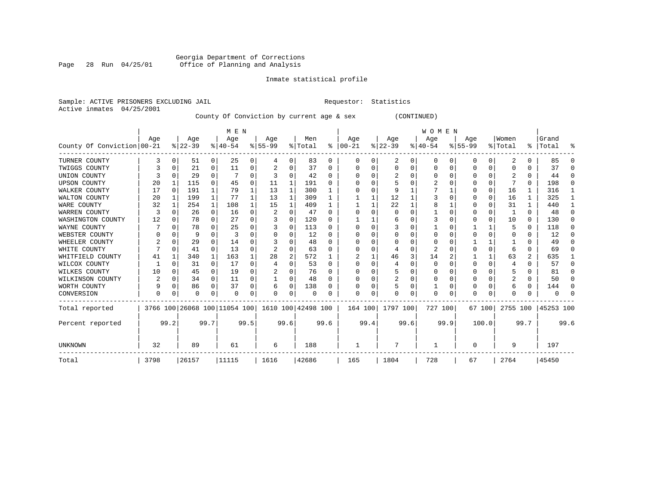# Georgia Department of Corrections Page 28 Run 04/25/01 Office of Planning and Analysis

#### Inmate statistical profile

Sample: ACTIVE PRISONERS EXCLUDING JAIL **Requestor:** Statistics Active inmates 04/25/2001

County Of Conviction by current age & sex (CONTINUED)

|                            |      |          |          |              | M E N                        |          |                    |          |         |              |          |      |          |      | <b>WOMEN</b> |      |           |          |          |               |           |          |
|----------------------------|------|----------|----------|--------------|------------------------------|----------|--------------------|----------|---------|--------------|----------|------|----------|------|--------------|------|-----------|----------|----------|---------------|-----------|----------|
|                            | Age  |          | Age      |              | Age                          |          | Age                |          | Men     |              | Age      |      | Age      |      | Age          |      | Age       |          | Women    |               | Grand     |          |
| County Of Conviction 00-21 |      |          | $ 22-39$ |              | $8140 - 54$                  |          | $8 55-99$          |          | % Total | ႜ            | $ 00-21$ |      | $ 22-39$ |      | $ 40-54$     |      | $8 55-99$ |          | % Total  | $\frac{1}{6}$ | Total     | ႜ        |
| TURNER COUNTY              |      | 0        | 51       | 0            | 25                           | 0        | 4                  | 0        | 83      | 0            | O        |      | 2        | 0    | $\Omega$     | 0    | 0         | 0        | 2        |               | 85        | ∩        |
| TWIGGS COUNTY              |      | 0        | 21       | 0            | 11                           | 0        |                    | 0        | 37      | $\Omega$     |          |      | 0        | U    |              | O    |           | $\Omega$ |          |               | 37        | $\Omega$ |
| UNION COUNTY               |      | U        | 29       | $\Omega$     |                              | $\Omega$ |                    | U        | 42      | $\Omega$     |          |      |          |      |              |      |           | 0        |          |               | 44        | $\Omega$ |
| <b>UPSON COUNTY</b>        | 20   |          | 115      | $\Omega$     | 45                           | 0        | 11                 | 1        | 191     | <sup>0</sup> |          |      |          |      |              |      |           | U        |          | 0             | 198       | $\Omega$ |
| WALKER COUNTY              | 17   | 0        | 191      | 1            | 79                           |          | 13                 | 1        | 300     |              |          |      |          |      |              |      |           | $\Omega$ | 16       |               | 316       |          |
| WALTON COUNTY              | 20   | 1        | 199      | $\mathbf{1}$ | 77                           |          | 13                 | 1        | 309     |              |          |      | 12       |      |              |      |           | 0        | 16       |               | 325       |          |
| WARE COUNTY                | 32   |          | 254      | 1            | 108                          |          | 15                 | 1        | 409     |              |          |      | 22       |      |              |      |           | U        | 31       |               | 440       |          |
| WARREN COUNTY              | 3    |          | 26       | $\Omega$     | 16                           | $\Omega$ |                    | $\Omega$ | 47      | $\Omega$     |          |      | n        | U    |              |      |           | U        |          | 0             | 48        | ∩        |
| WASHINGTON COUNTY          | 12   |          | 78       | $\Omega$     | 27                           | $\Omega$ |                    | O        | 120     | <sup>0</sup> |          |      | 6        |      |              |      |           | U        | 10       | 0             | 130       | $\Omega$ |
| WAYNE COUNTY               |      |          | 78       | O            | 25                           |          |                    | 0        | 113     | <sup>0</sup> |          |      |          |      |              |      |           |          |          | U             | 118       | $\Omega$ |
| WEBSTER COUNTY             |      |          | 9        | 0            | 3                            | $\Omega$ |                    | 0        | 12      | $\Omega$     |          |      | 0        | U    |              |      |           | U        |          | O             | 12        | $\Omega$ |
| WHEELER COUNTY             |      | O        | 29       | $\Omega$     | 14                           | U        |                    | U        | 48      | $\Omega$     |          |      | O        |      |              |      |           |          |          |               | 49        | $\Omega$ |
| WHITE COUNTY               |      | $\Omega$ | 41       | $\Omega$     | 13                           | 0        |                    | 0        | 63      |              |          |      |          | U    | 2            |      |           | U        |          | U             | 69        | O        |
| WHITFIELD COUNTY           | 41   |          | 340      | 1            | 163                          |          | 28                 | 2        | 572     |              |          |      | 46       | 3    | 14           |      |           |          | 63       | 2             | 635       |          |
| WILCOX COUNTY              |      | O        | 31       | $\Omega$     | 17                           | 0        |                    | O        | 53      | $\Omega$     |          |      |          | U    | $\Omega$     |      |           | 0        |          |               | 57        | $\Omega$ |
| WILKES COUNTY              | 10   |          | 45       | 0            | 19                           | 0        |                    | 0        | 76      | 0            |          |      | 5        |      |              |      |           | U        |          |               | 81        | $\Omega$ |
| WILKINSON COUNTY           | 2    | 0        | 34       | 0            | 11                           | 0        |                    | 0        | 48      | 0            |          |      | 2        | 0    |              |      |           | 0        | 2        | 0             | 50        | $\Omega$ |
| WORTH COUNTY               |      | 0        | 86       | $\Omega$     | 37                           | 0        | 6                  | $\Omega$ | 138     | 0            |          |      |          | U    |              |      |           | U        |          | 0             | 144       | ∩        |
| CONVERSION                 | O    |          | U        | 0            | $\Omega$                     | 0        | 0                  | 0        | O       |              | n        | 0    | U        | 0    | $\Omega$     | 0    | U         | 0        |          |               |           |          |
| Total reported             |      |          |          |              | 3766 100 26068 100 11054 100 |          | 1610 100 42498 100 |          |         |              | 164 100  |      | 1797 100 |      | 727 100      |      |           | 67 100   | 2755 100 |               | 45253 100 |          |
| Percent reported           |      | 99.2     |          | 99.7         |                              | 99.5     |                    | 99.6     |         | 99.6         |          | 99.4 |          | 99.6 |              | 99.9 |           | 100.0    |          | 99.7          |           | 99.6     |
| <b>UNKNOWN</b>             | 32   |          | 89       |              | 61                           |          | 6                  |          | 188     |              |          |      |          |      |              |      | U         |          | 9        |               | 197       |          |
| Total                      | 3798 |          | 26157    |              | 11115                        |          | 1616               |          | 42686   |              | 165      |      | 1804     |      | 728          |      | 67        |          | 2764     |               | 45450     |          |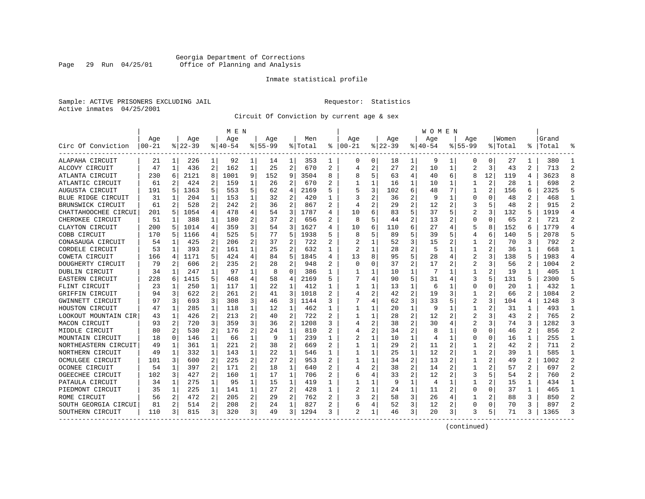### Georgia Department of Corrections Page 29 Run 04/25/01 Office of Planning and Analysis

#### Inmate statistical profile

Sample: ACTIVE PRISONERS EXCLUDING JAIL **Requestor:** Statistics Active inmates 04/25/2001

Circuit Of Conviction by current age & sex

|                      |            |                |          |                | M E N     |                |             |                |         |                |                |                |             |                | W O M E N   |    |                |    |         |                |           |                |
|----------------------|------------|----------------|----------|----------------|-----------|----------------|-------------|----------------|---------|----------------|----------------|----------------|-------------|----------------|-------------|----|----------------|----|---------|----------------|-----------|----------------|
|                      | Age        |                | Age      |                | Age       |                | Aqe         |                | Men     |                | Age            |                | Age         |                | Aqe         |    | Aqe            |    | Women   |                | Grand     |                |
| Circ Of Conviction   | $ 00 - 21$ |                | $ 22-39$ |                | $8 40-54$ |                | $8155 - 99$ |                | % Total | ະ              | 00-21          |                | $8$   22-39 |                | $8140 - 54$ |    | $8155 - 99$    |    | % Total |                | %   Total |                |
| ALAPAHA CIRCUIT      | 21         | 1              | 226      | $\mathbf{1}$   | 92        | 1              | 14          | 1              | 353     | 1              | 0              | 0              | 18          | 1              | 9           | 1  | 0              | 0  | 27      | 1              | 380       |                |
| ALCOVY CIRCUIT       | 47         | 1              | 436      | 2              | 162       | 1              | 25          | $\overline{2}$ | 670     | 2              |                | 2              | 27          | $\overline{a}$ | 10          | 1  | $\overline{a}$ | 3  | 43      | 2              | 713       | $\overline{2}$ |
| ATLANTA CIRCUIT      | 230        | 6              | 2121     | 8              | 1001      | 9              | 152         | 9              | 3504    | 8              |                |                | 63          | 4              | 40          | 6  | 8              | 12 | 119     | 4              | 3623      | 8              |
| ATLANTIC CIRCUIT     | 61         | 2              | 424      | 2              | 159       | 1              | 26          | 2              | 670     | 2              |                |                | 16          | 1              | 10          | 1  |                | 2  | 28      |                | 698       |                |
| AUGUSTA CIRCUIT      | 191        | 5              | 1363     | 5              | 553       | 5              | 62          | 4              | 2169    | 5              |                | 3              | 102         | 6              | 48          |    |                | 2  | 156     | 6              | 2325      |                |
| BLUE RIDGE CIRCUIT   | 31         | 1              | 204      | 1              | 153       | 1              | 32          | 2              | 420     | 1              |                |                | 36          | 2              |             | 1  | $\Omega$       | U  | 48      | 2              | 468       | $\mathbf{1}$   |
| BRUNSWICK CIRCUIT    | 61         | 2              | 528      | 2              | 242       | $\overline{a}$ | 36          | 2              | 867     | $\mathfrak{D}$ |                | 2              | 29          | 2              | 12          | 2  | 3              | 5  | 48      | 2              | 915       | $\mathcal{D}$  |
| CHATTAHOOCHEE CIRCUI | 201        | 5              | 1054     | 4              | 478       | 4              | 54          | 3              | 1787    | 4              | 10             |                | 83          | 5              | 37          | 5  | $\overline{c}$ | 3  | 132     | 5              | 1919      | $\overline{4}$ |
| CHEROKEE CIRCUIT     | 51         | 1              | 388      | 1              | 180       | 2              | 37          | 2              | 656     | 2              | 8              | 5              | 44          | 2              | 13          | 2  | 0              | U  | 65      | 2              | 721       | 2              |
| CLAYTON CIRCUIT      | 200        | 5              | 1014     | 4              | 359       | 3              | 54          | 3              | 1627    | 4              | 10             | 6              | 110         | 6              | 27          |    | 5              | 8  | 152     | 6              | 1779      | $\overline{4}$ |
| COBB CIRCUIT         | 170        |                | 1166     | 4              | 525       | 5              | 77          | 5              | 1938    |                |                | 5              | 89          | 5              | 39          |    | 4              | 6  | 140     |                | 2078      |                |
| CONASAUGA CIRCUIT    | 54         | 1              | 425      | 2              | 206       | 2              | 37          | 2              | 722     | $\overline{c}$ |                |                | 52          | 3              | 15          |    |                |    | 70      | 3              | 792       | $\mathcal{D}$  |
| CORDELE CIRCUIT      | 53         | 1              | 393      | 2              | 161       | 1              | 25          | 2              | 632     | 1              | 2              |                | 28          | $\overline{2}$ | 5           | -1 | 1              |    | 36      |                | 668       |                |
| COWETA CIRCUIT       | 166        | 4              | 1171     | 5              | 424       | 4              | 84          | 5              | 1845    | 4              | 13             | 8              | 95          | 5              | 28          | 4  | 2              | 3  | 138     | 5              | 1983      |                |
| DOUGHERTY CIRCUIT    | 79         | 2              | 606      | 2              | 235       | 2              | 28          | 2              | 948     |                | $\Omega$       | O              | 37          | $\overline{a}$ | 17          | 2  | 2              | 3  | 56      | 2              | 1004      |                |
| DUBLIN CIRCUIT       | 34         | 1              | 247      | 1              | 97        | 1              | 8           | $\Omega$       | 386     | 1              |                |                | 10          | 1              | 7           | 1  | 1              | 2  | 19      | 1              | 405       | -1             |
| EASTERN CIRCUIT      | 228        | 6              | 415<br>1 | 5.             | 468       | 4              | 58          | 4              | 2169    | 5              |                | 4              | 90          | 5.             | 31          | 4  | 3              | 5  | 131     | 5              | 2300      | 5              |
| FLINT CIRCUIT        | 23         | 1              | 250      | 1              | 117       | 1              | 22          | 1              | 412     | 1              |                |                | 13          | 1              | 6           | 1  | 0              | U  | 20      |                | 432       | 1              |
| GRIFFIN CIRCUIT      | 94         | 3              | 622      | 2              | 261       | 2              | 41          | 3              | 1018    |                |                | 2              | 42          | 2              | 19          | 3  |                |    | 66      |                | 1084      | 2              |
| GWINNETT CIRCUIT     | 97         | 3              | 693      | 3              | 308       | 3              | 46          | 3              | 1144    | 3              |                | 4              | 62          | 3              | 33          |    | 2              | 3  | 104     | 4              | 1248      | 3              |
| HOUSTON CIRCUIT      | 47         | 1              | 285      | 1              | 118       | 1              | 12          | 1              | 462     | 1              |                |                | 20          | $\mathbf{1}$   | 9           |    |                |    | 31      | 1              | 493       |                |
| LOOKOUT MOUNTAIN CIR | 43         | 1              | 426      | 2              | 213       | $\overline{a}$ | 40          | 2              | 722     | 2              |                | 1              | 28          | $\overline{a}$ | 12          | 2  | 2              | 3  | 43      | 2              | 765       | 2              |
| MACON CIRCUIT        | 93         | 2              | 720      | 3              | 359       | 3              | 36          | 2              | 1208    | 3              |                | $\overline{a}$ | 38          | $\overline{2}$ | 30          |    | $\overline{c}$ | 3  | 74      | 3              | 1282      | 3              |
| MIDDLE CIRCUIT       | 80         | $\overline{2}$ | 530      | $\overline{a}$ | 176       | 2              | 24          | $\mathbf{1}$   | 810     |                |                | 2              | 34          | $\overline{a}$ |             | 1  | $\Omega$       | O  | 46      | $\overline{a}$ | 856       | $\mathfrak{D}$ |
| MOUNTAIN CIRCUIT     | 18         | $\Omega$       | 146      | 1              | 66        | 1              | 9           | $\mathbf{1}$   | 239     | 1              |                | 1              | 10          | 1              |             | 1  | U              | U  | 16      | 1              | 255       | $\mathbf{1}$   |
| NORTHEASTERN CIRCUIT | 49         | 1              | 361      | 1              | 221       | $\overline{a}$ | 38          | 2              | 669     | 2              |                |                | 29          | $\overline{2}$ | 11          | 2  |                |    | 42      | 2              | 711       | $\overline{2}$ |
| NORTHERN CIRCUIT     | 49         | 1              | 332      | 1              | 143       | 1              | 22          | 1              | 546     | 1              |                |                | 25          | 1              | 12          | 2  |                | 2  | 39      |                | 585       | $\mathbf{1}$   |
| OCMULGEE CIRCUIT     | 101        | 3              | 600      | 2              | 225       | 2              | 27          | 2              | 953     |                |                |                | 34          | 2              | 13          | 2  |                |    | 49      | 2              | 1002      | 2              |
| OCONEE CIRCUIT       | 54         | 1              | 397      | 2              | 171       | 2              | 18          | 1              | 640     |                |                |                | 38          | 2              | 14          |    |                |    | 57      | 2              | 697       |                |
| OGEECHEE CIRCUIT     | 102        | 3              | 427      | 2              | 160       | 1              | 17          | 1              | 706     | 2              |                |                | 33          | $\overline{a}$ | 12          | 2  | 3              | 5  | 54      | $\mathbf{2}$   | 760       | $\mathcal{D}$  |
| PATAULA CIRCUIT      | 34         | 1              | 275      | 1              | 95        | 1              | 15          | 1              | 419     | 1              |                | 1              | 9           | $\mathbf{1}$   | 4           | 1  |                | 2  | 15      | 1              | 434       | -1             |
| PIEDMONT CIRCUIT     | 35         | 1              | 225      | 1              | 141       | 1              | 27          | $\overline{2}$ | 428     | 1              | 2              | 1              | 24          | $\mathbf{1}$   | 11          | 2  | 0              | 0  | 37      | 1              | 465       | -1             |
| ROME CIRCUIT         | 56         | 2              | 472      | 2              | 205       | 2              | 29          | 2              | 762     |                |                | 2              | 58          | 3              | 26          | 4  |                |    | 88      | 3              | 850       | 2              |
| SOUTH GEORGIA CIRCUI | 81         | 2              | 514      | 2              | 208       | 2              | 24          | 1              | 827     | $\overline{2}$ | 6              | 4              | 52          | 3              | 12          | 2  | U              | U  | 70      | 3              | 897       | $\mathcal{D}$  |
| SOUTHERN CIRCUIT     | 110        | 3              | 815      | 3              | 320       | 3              | 49          | 3              | 1294    |                | $\mathfrak{D}$ | 1              | 46          | 3              | 20          | 3  | ζ              | 5  | 71      | 3              | 1365      | 3              |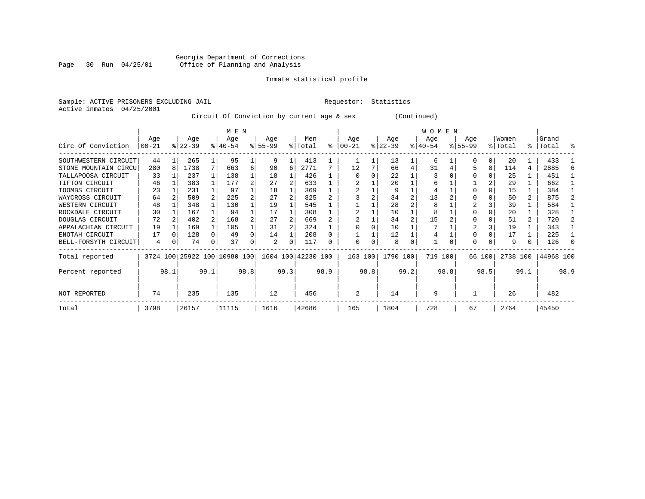# Georgia Department of Corrections<br>Page 30 Run 04/25/01 Office of Planning and Analysis Page 30 Run 04/25/01 Office of Planning and Analysis

#### Inmate statistical profile

Sample: ACTIVE PRISONERS EXCLUDING JAIL **Requestor:** Statistics Active inmates 04/25/2001

Circuit Of Conviction by current age & sex (Continued)

|                      |                 |      |                  |      | M E N                        |      |                  |      |                    |      |                 |      |                  |      | W O M E N        |      |                    |          |                  |      |                |      |
|----------------------|-----------------|------|------------------|------|------------------------------|------|------------------|------|--------------------|------|-----------------|------|------------------|------|------------------|------|--------------------|----------|------------------|------|----------------|------|
| Circ Of Conviction   | Age<br>$ 00-21$ |      | Age<br>$ 22-39 $ |      | Age<br>$8 40-54$             |      | Age<br>$ 55-99 $ |      | Men<br>% Total     | ະ    | Age<br>$ 00-21$ |      | Age<br>$ 22-39 $ |      | Age<br>$ 40-54 $ |      | Age<br>$8155 - 99$ |          | Women<br>% Total | ႜ    | Grand<br>Total | °    |
| SOUTHWESTERN CIRCUIT | 44              |      | 265              |      | 95                           |      | 9                |      | 413                |      |                 |      | 13               |      | 6                |      |                    | 0        | 20               |      | 433            |      |
| STONE MOUNTAIN CIRCU | 280             | 8    | 1738             |      | 663                          | 6    | 90               | 6    | 2771               |      | 12              |      | 66               | 4    | 31               |      |                    | 8        | 114              | 4    | 2885           |      |
| TALLAPOOSA CIRCUIT   | 33              |      | 237              |      | 138                          |      | 18               |      | 426                |      |                 |      | 22               |      |                  |      |                    |          | 25               |      | 451            |      |
| TIFTON CIRCUIT       | 46              |      | 383              |      | 177                          |      | 27               |      | 633                |      |                 |      | 20               |      | 6                |      |                    |          | 29               |      | 662            |      |
| TOOMBS CIRCUIT       | 23              |      | 231              |      | 97                           |      | 18               |      | 369                |      |                 |      |                  |      |                  |      |                    |          | 15               |      | 384            |      |
| WAYCROSS CIRCUIT     | 64              |      | 509              |      | 225                          |      | 27               |      | 825                |      |                 |      | 34               |      | 13               |      |                    |          | 50               | 2    | 875            |      |
| WESTERN CIRCUIT      | 48              |      | 348              |      | 130                          |      | 19               |      | 545                |      |                 |      | 28               |      | 8                |      |                    |          | 39               |      | 584            |      |
| ROCKDALE CIRCUIT     | 30              |      | 167              |      | 94                           |      | 17               |      | 308                |      |                 |      | 10               |      | 8                |      |                    |          | 20               |      | 328            |      |
| DOUGLAS CIRCUIT      | 72              |      | 402              |      | 168                          |      | 27               |      | 669                |      |                 |      | 34               |      | 15               |      |                    |          | 51               |      | 720            |      |
| APPALACHIAN CIRCUIT  | 19              |      | 169              |      | 105                          |      | 31               |      | 324                |      |                 |      | 10               |      |                  |      |                    |          | 19               |      | 343            |      |
| ENOTAH CIRCUIT       | 17              |      | 128              |      | 49                           |      | 14               |      | 208                |      |                 |      | 12               |      |                  |      |                    |          | 17               |      | 225            |      |
| BELL-FORSYTH CIRCUIT | 4               | 0    | 74               | 0    | 37                           |      | 2                | 0    | 117                | 0    | $\Omega$        | 0    | 8                | 0    |                  |      | $\Omega$           | $\Omega$ | 9                | 0    | 126            |      |
| Total reported       |                 |      |                  |      | 3724 100 25922 100 10980 100 |      |                  |      | 1604 100 42230 100 |      | 163 100         |      | 1790 100         |      | 719 100          |      | 66 100             |          | 2738 100         |      | 44968 100      |      |
| Percent reported     |                 | 98.1 |                  | 99.1 |                              | 98.8 |                  | 99.3 |                    | 98.9 |                 | 98.8 |                  | 99.2 |                  | 98.8 |                    | 98.5     |                  | 99.1 |                | 98.9 |
| NOT REPORTED         | 74              |      | 235              |      | 135                          |      | 12               |      | 456                |      | 2               |      | 14               |      | 9                |      |                    |          | 26               |      | 482            |      |
| Total                | 3798            |      | 26157            |      | 11115                        |      | 1616             |      | 42686              |      | 165             |      | 1804             |      | 728              |      | 67                 |          | 2764             |      | 45450          |      |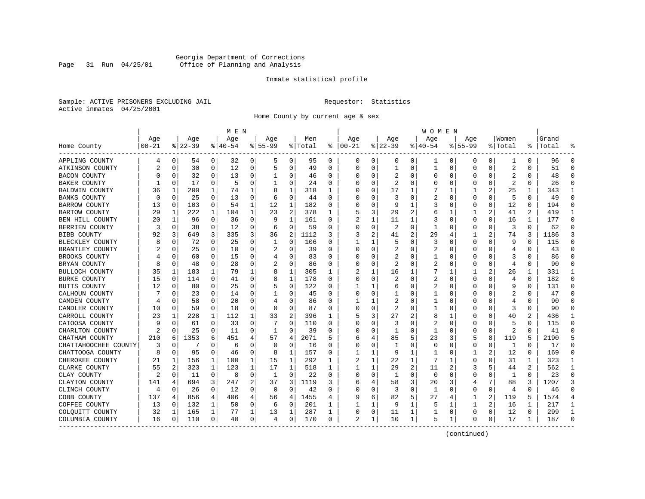### Georgia Department of Corrections Page 31 Run 04/25/01 Office of Planning and Analysis

#### Inmate statistical profile

Sample: ACTIVE PRISONERS EXCLUDING JAIL **Requestor:** Statistics Active inmates 04/25/2001

Home County by current age & sex

|                       |            |          |          |              | M E N       |          |             |              |         |              |               |          |              |    | W O M E N    |          |             |             |                |                |           |                |
|-----------------------|------------|----------|----------|--------------|-------------|----------|-------------|--------------|---------|--------------|---------------|----------|--------------|----|--------------|----------|-------------|-------------|----------------|----------------|-----------|----------------|
|                       | Age        |          | Age      |              | Age         |          | Age         |              | Men     |              | Age           |          | Age          |    | Age          |          | Aqe         |             | Women          |                | Grand     |                |
| Home County           | $ 00 - 21$ |          | $ 22-39$ |              | $8140 - 54$ |          | $8155 - 99$ |              | % Total | နွ           | $ 00-21$      |          | $ 22-39$     |    | $ 40-54$     |          | $8155 - 99$ |             | % Total        |                | %   Total |                |
| APPLING COUNTY        | 4          | 0        | 54       | 0            | 32          | 0        | 5           | 0            | 95      | 0            | 0             | 0        | 0            | 0  | ı            | 0        | 0           | 0           | 1              | 0              | 96        | $\Omega$       |
| ATKINSON COUNTY       |            | 0        | 30       | 0            | 12          | 0        | 5           | 0            | 49      | $\Omega$     | $\Omega$      | $\Omega$ | $\mathbf{1}$ | 0  | 1            | 0        | $\Omega$    | 0           | $\overline{2}$ | 0              | 51        | $\Omega$       |
| <b>BACON COUNTY</b>   |            | 0        | 32       | 0            | 13          | 0        | 1           | 0            | 46      | 0            |               | O        | 2            | 0  | Ω            | 0        | 0           | 0           | 2              | 0              | 48        | $\Omega$       |
| BAKER COUNTY          |            | $\Omega$ | 17       | 0            | .5          | 0        | 1           | 0            | 24      | $\Omega$     |               |          | 2            | 0  |              | $\Omega$ | 0           | 0           | $\overline{2}$ | $\Omega$       | 26        | $\Omega$       |
| <b>BALDWIN COUNTY</b> | 36         | 1        | 200      | 1            | 74          | 1        | 8           | 1            | 318     | 1            |               |          | 17           | 1  |              | -1       |             |             | 25             | 1              | 343       | -1             |
| BANKS COUNTY          | n          | $\Omega$ | 25       | $\Omega$     | 13          | 0        | 6           | 0            | 44      | $\Omega$     |               |          | 3            | U  | 2            | $\Omega$ | U           | $\Omega$    | 5              | 0              | 49        | $\Omega$       |
| BARROW COUNTY         | 13         | 0        | 103      | 0            | 54          | 1        | 12          | 1            | 182     | $\Omega$     |               | O        | 9            | 1  | 3            | 0        | 0           | 0           | 12             | 0              | 194       | $\Omega$       |
| BARTOW COUNTY         | 29         | 1        | 222      | $\mathbf{1}$ | 104         | 1        | 23          | 2            | 378     | $\mathbf{1}$ |               | 3        | 29           |    |              | 1        |             | 2           | 41             | $\overline{a}$ | 419       | $\mathbf{1}$   |
| BEN HILL COUNTY       | 20         | 1        | 96       | $\Omega$     | 36          | 0        | 9           | $\mathbf{1}$ | 161     | $\Omega$     | $\mathcal{D}$ | 1        | 11           | 1  |              | $\Omega$ | O           | O           | 16             | 1              | 177       | $\Omega$       |
| BERRIEN COUNTY        | 3          | 0        | 38       | 0            | 12          | 0        | 6           | 0            | 59      | 0            |               | O        | 2            | 0  |              | $\Omega$ | O           | 0           | 3              | $\Omega$       | 62        | $\Omega$       |
| <b>BIBB COUNTY</b>    | 92         | 3        | 649      | 3            | 335         | 3        | 36          | 2            | 1112    |              |               | 2        | 41           | 2  | 29           | 4        |             | 2           | 74             | 3              | 1186      |                |
| BLECKLEY COUNTY       |            | $\Omega$ | 72       | 0            | 25          | 0        | 1           | 0            | 106     | 0            |               | 1        | 5            | U  | 3            | $\Omega$ | 0           | U           | 9              | 0              | 115       | ∩              |
| BRANTLEY COUNTY       |            | 0        | 25       | 0            | 10          | 0        | 2           | 0            | 39      | 0            |               | $\Omega$ | 2            | 0  | 2            | 0        | 0           | 0           | 4              | 0              | 43        |                |
| BROOKS COUNTY         |            | $\Omega$ | 60       | $\Omega$     | 1.5         | 0        | 4           | $\mathbf 0$  | 83      | $\Omega$     |               | O        |              | 0  |              | $\Omega$ | $\Omega$    | 0           | 3              | $\Omega$       | 86        | $\Omega$       |
| BRYAN COUNTY          |            | $\Omega$ | 48       | 0            | 28          | 0        |             | 0            | 86      | 0            |               | O        | 2            | U  | 2            | 0        | O           | 0           | 4              | $\Omega$       | 90        | $\Omega$       |
| BULLOCH COUNTY        | 35         | 1        | 183      | 1            | 79          | 1        | 8           | 1            | 305     | 1            |               |          | 16           | 1  |              | 1        |             | 2           | 26             | 1              | 331       | 1              |
| <b>BURKE COUNTY</b>   | 15         | 0        | 114      | 0            | 41          | 0        | 8           | 1            | 178     | $\Omega$     |               |          |              | U  | 2            | $\Omega$ | $\Omega$    | 0           | 4              | $\Omega$       | 182       | $\Omega$       |
| BUTTS COUNTY          | 12         | $\Omega$ | 80       | 0            | 25          | 0        |             | $\Omega$     | 122     | $\Omega$     |               | 1        | 6            | U  | 2            | $\Omega$ | 0           | U           | q              | $\Omega$       | 131       | ∩              |
| CALHOUN COUNTY        |            | $\Omega$ | 23       | $\Omega$     | 14          | 0        | 1           | 0            | 45      | $\Omega$     |               | O        |              | U  |              | $\Omega$ | U           | 0           | 2              | 0              | 47        | ∩              |
| CAMDEN COUNTY         |            | $\Omega$ | 58       | 0            | 20          | 0        | 4           | 0            | 86      | $\Omega$     |               |          |              | U  |              | 0        | U           | U           | 4              | U              | 90        | $\Omega$       |
| CANDLER COUNTY        | 10         | $\Omega$ | 59       | 0            | 18          | 0        | $\Omega$    | 0            | 87      | $\Omega$     |               | 0        | 2            | U  |              | 0        | U           | 0           | 3              | 0              | 90        | ∩              |
| CARROLL COUNTY        | 23         | 1        | 228      | 1            | 112         | 1        | 33          | 2            | 396     | 1            |               | 3        | 27           |    | 8            | 1        | 0           | 0           | 40             | 2              | 436       | -1             |
| CATOOSA COUNTY        |            | $\Omega$ | 61       | 0            | 33          | 0        |             | 0            | 110     | 0            |               |          | 3            | U  | 2            | $\Omega$ | 0           | 0           | 5              | 0              | 115       | $\Omega$       |
| CHARLTON COUNTY       | 2          | $\Omega$ | 25       | 0            | 11          | 0        | -1          | 0            | 39      | $\Omega$     |               | 0        | -1           | U  | -1           | $\Omega$ | U           | $\Omega$    | $\overline{2}$ | $\Omega$       | 41        |                |
| CHATHAM COUNTY        | 210        | 6        | 1353     | 6            | 451         | 4        | 57          | 4            | 2071    | 5            | 6             |          | 85           | 5. | 23           | 3        | 5           | 8           | 119            | 5              | 2190      |                |
| CHATTAHOOCHEE COUNTY  | 3          | 0        | 7        | 0            | 6           | 0        | $\Omega$    | 0            | 16      | $\Omega$     |               | O        | -1           | 0  | <sup>0</sup> | 0        | 0           | 0           | 1              | $\Omega$       | 17        | $\Omega$       |
| CHATTOOGA COUNTY      |            | 0        | 95       | 0            | 46          | 0        | 8           | 1            | 157     | 0            |               | 1        | 9            | 1  | $\mathbf{1}$ | 0        | 1           | 2           | 12             | 0              | 169       | $\Omega$       |
| CHEROKEE COUNTY       | 21         | 1        | 156      | 1            | 100         | 1        | 15          | 1            | 292     | 1            |               |          | 22           | 1  | 7            | 1        | 0           | U           | 31             | 1              | 323       | -1             |
| CLARKE COUNTY         | 55         | 2        | 323      | 1            | 123         | 1        | 17          | 1            | 518     | 1            |               |          | 29           | 2  | 11           | 2        | 3           | 5           | 44             | 2              | 562       | -1             |
| CLAY COUNTY           | 2          | $\Omega$ | 11       | 0            | 8           | 0        | 1           | 0            | 22      | $\Omega$     |               | O        | -1           | U  | $\Omega$     | $\Omega$ | U           | U           | -1             | $\Omega$       | 23        | ∩              |
| CLAYTON COUNTY        | 141        | 4        | 694      | 3            | 247         | 2        | 37          | 3            | 1119    | 3            | 6             |          | 58           | 3  | 20           | 3        | 4           | 7           | 88             | 3              | 1207      | 3              |
| CLINCH COUNTY         | 4          | $\Omega$ | 26       | 0            | 12          | $\Omega$ | $\Omega$    | $\mathbf 0$  | 42      | $\Omega$     |               | O        | 3            | 0  | $\mathbf{1}$ | $\Omega$ | $\Omega$    | $\mathbf 0$ | $\overline{4}$ | $\Omega$       | 46        | $\cap$         |
| COBB COUNTY           | 137        | 4        | 856      | 4            | 406         | 4        | 56          | 4            | 1455    | 4            |               | 6        | 82           | 5  | 27           | 4        | 1           | 2           | 119            | 5              | 1574      | $\overline{4}$ |
| COFFEE COUNTY         | 13         | 0        | 132      | 1            | 50          | 0        | 6           | 0            | 201     | 1            |               |          | 9            | 1  | 5            | 1        | 1           | 2           | 16             | 1              | 217       | 1              |
| COLQUITT COUNTY       | 32         | 1        | 165      | 1            | 77          | 1        | 13          | 1            | 287     | 1            |               | 0        | 11           | 1  |              | 0        | 0           | 0           | 12             | 0              | 299       | -1             |
| COLUMBIA COUNTY       | 16         | 0        | 110      | 0            | 40          | 0        | 4           | 0            | 170     | 0            | 2             | 1        | 10           | 1  | 5            | 1        | $\Omega$    | 0           | 17             | 1              | 187       |                |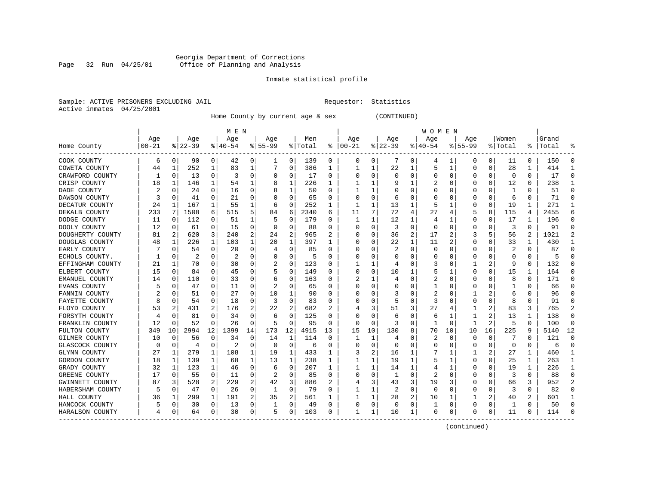#### Georgia Department of Corrections Page 32 Run 04/25/01 Office of Planning and Analysis

# Inmate statistical profile

|  | Sample: ACTIVE PRISONERS EXCLUDING JAII |  |
|--|-----------------------------------------|--|
|  | Active inmates 04/25/2001               |  |

L Bample: Active Prequestor: Statistics

Home County by current age & sex (CONTINUED)

|                  |           |          |          |          | M E N     |                |           |             |         |    |              |          |          |          | W O M E N |          |           |          |              |              |       |    |
|------------------|-----------|----------|----------|----------|-----------|----------------|-----------|-------------|---------|----|--------------|----------|----------|----------|-----------|----------|-----------|----------|--------------|--------------|-------|----|
|                  | Age       |          | Age      |          | Age       |                | Age       |             | Men     |    | Age          |          | Age      |          | Age       |          | Age       |          | Women        |              | Grand |    |
| Home County      | $00 - 21$ |          | $ 22-39$ |          | $8 40-54$ |                | $8 55-99$ |             | % Total | ⊱  | $ 00 - 21$   |          | $ 22-39$ |          | $ 40-54$  | %        | $55 - 99$ |          | % Total      | ႜ            | Total |    |
| COOK COUNTY      | 6         | 0        | 90       | 0        | 42        | 0              |           | 0           | 139     | 0  | 0            | 0        |          | 0        | 4         |          | 0         | 0        | 11           | 0            | 150   |    |
| COWETA COUNTY    | 44        | 1        | 252      | 1        | 83        | 1              |           | 0           | 386     | 1  |              | 1        | 22       |          | 5         | -1       | U         | 0        | 28           | 1            | 414   |    |
| CRAWFORD COUNTY  |           | $\Omega$ | 13       | 0        | З         | $\Omega$       | O         | 0           | 17      | 0  | O            | 0        | $\Omega$ | $\Omega$ | 0         | O        |           | 0        | $\Omega$     | $\Omega$     | 17    |    |
| CRISP COUNTY     | 18        | 1        | 146      | 1        | 54        | 1              | 8         | 1           | 226     | ı. |              | 1        |          |          | 2         | O        |           | $\Omega$ | 12           | $\Omega$     | 238   |    |
| DADE COUNTY      |           | 0        | 24       | 0        | 16        | 0              |           | 1           | 50      | U  |              | 1        |          | O        | O         |          |           | 0        | $\mathbf{1}$ | O            | 51    |    |
| DAWSON COUNTY    |           | 0        | 41       | 0        | 21        | 0              |           | 0           | 65      | U  |              | O        | 6        | O        |           |          |           | $\Omega$ | 6            | $\Omega$     | 71    |    |
| DECATUR COUNTY   | 24        | 1        | 167      | 1        | 55        | 1              | 6         | $\Omega$    | 252     | 1  | -1           | 1        | 13       |          | 5         |          |           | 0        | 19           | $\mathbf{1}$ | 271   |    |
| DEKALB COUNTY    | 233       | 7        | 1508     | 6        | 515       | 5              | 84        | 6           | 2340    | 6  | 11           | 7        | 72       |          | 27        |          |           | 8        | 115          | 4            | 2455  |    |
| DODGE COUNTY     | 11        | 0        | 112      | 0        | 51        | 1              | 5         | 0           | 179     | U  |              |          | 12       |          | 4         |          | O         | 0        | 17           | 1            | 196   | U  |
| DOOLY COUNTY     | 12        | 0        | 61       | 0        | 15        | 0              | O         | 0           | 88      | 0  | O            | 0        | 3        | $\Omega$ | 0         | C        |           | 0        | 3            | 0            | 91    | U  |
| DOUGHERTY COUNTY | 81        | 2        | 620      | 3        | 240       | 2              | 24        | 2           | 965     |    |              | U        | 36       | 2        | 17        |          |           | 5        | 56           | 2            | 1021  |    |
| DOUGLAS COUNTY   | 48        | 1        | 226      | 1        | 103       | 1              | 20        | 1           | 397     |    |              | U        | 22       | 1        | 11        |          |           | U        | 33           | 1            | 430   |    |
| EARLY COUNTY     |           | O        | 54       | 0        | 20        | 0              |           | $\Omega$    | 85      | U  |              | O        |          | $\Omega$ | 0         |          |           | U        | 2            | $\Omega$     | 87    |    |
| ECHOLS COUNTY.   |           | 0        | 2        | 0        | 2         | 0              |           | 0           | 5       | U  |              | U        | O        | O        | $\Omega$  |          |           | U        | O            | 0            | 5     |    |
| EFFINGHAM COUNTY | 21        | 1        | 70       | 0        | 30        | 0              |           | 0           | 123     | 0  |              | 1        |          | $\Omega$ | 3         | C        |           | 2        | 9            | 0            | 132   |    |
| ELBERT COUNTY    | 15        | 0        | 84       | 0        | 45        | $\Omega$       |           | $\mathbf 0$ | 149     | U  |              | 0        | 10       |          | 5         |          |           | 0        | 15           | $\mathbf{1}$ | 164   |    |
| EMANUEL COUNTY   | 14        | 0        | 110      | 0        | 33        | 0              | 6         | 0           | 163     | U  |              |          | 4        | $\Omega$ | 2         | C        |           | O        | 8            | $\Omega$     | 171   |    |
| EVANS COUNTY     |           | 0        | 47       | 0        | 11        | 0              |           | $\Omega$    | 65      | U  |              | 0        | O        | O        |           | C        |           | 0        | 1            | 0            | 66    |    |
| FANNIN COUNTY    |           | O        | 51       | U        | 27        | 0              | 10        | 1           | 90      | U  | O            | U        |          | O        | 2         |          |           | 2        | 6            | U            | 96    |    |
| FAYETTE COUNTY   |           | $\Omega$ | 54       | 0        | 18        | 0              | 3         | 0           | 83      | U  |              | U        | 5        | $\Omega$ | 3         |          |           | 0        | 8            | O            | 91    |    |
| FLOYD COUNTY     | 53        |          | 431      | 2        | 176       | 2              | 22        | 2           | 682     |    |              | 3        | 51       | 3        | 27        |          |           | 2        | 83           | 3            | 765   |    |
| FORSYTH COUNTY   |           | $\Omega$ | 81       | U        | 34        | $\Omega$       | 6         | $\Omega$    | 125     | U  |              | U        | 6        | $\Omega$ | 6         |          |           | 2        | 13           | 1            | 138   |    |
| FRANKLIN COUNTY  | 12        | $\Omega$ | 52       | $\Omega$ | 26        | $\Omega$       | 5         | $\Omega$    | 95      | U  | <sup>0</sup> | $\Omega$ | 3        | $\Omega$ | -1        | $\Omega$ | -1        | 2        | 5            | $\Omega$     | 100   | ∩  |
| FULTON COUNTY    | 349       | 10       | 2994     | 12       | 1399      | 14             | 173       | 12          | 4915    | 13 | 15           | 10       | 130      | 8        | 70        | 10       | 10        | 16       | 225          | 9            | 5140  | 12 |
| GILMER COUNTY    | 10        | 0        | 56       | 0        | 34        | $\mathbf 0$    | 14        | 1           | 114     | 0  | 1            | 1        | 4        | $\Omega$ | 2         | O        |           | $\Omega$ |              | O            | 121   |    |
| GLASCOCK COUNTY  |           | $\Omega$ | 4        | 0        | 2         | 0              | $\Omega$  | $\mathbf 0$ | 6       | U  |              | $\Omega$ | O        | O        | C         |          |           | $\Omega$ | $\Omega$     | $\Omega$     | 6     |    |
| GLYNN COUNTY     | 27        | 1        | 279      | 1        | 108       | 1              | 19        | 1           | 433     | 1  |              | 2        | 16       |          |           |          |           | 2        | 27           | $\mathbf{1}$ | 460   |    |
| GORDON COUNTY    | 18        | 1        | 139      | 1        | 68        | 1              | 13        | 1           | 238     | 1  |              | 1        | 19       | 1        | 5         |          | O         | 0        | 25           | $\mathbf{1}$ | 263   |    |
| GRADY COUNTY     | 32        | 1        | 123      | 1        | 46        | $\mathbf 0$    | 6         | 0           | 207     | 1  |              |          | 14       |          | 4         |          | n         | 0        | 19           | $\mathbf{1}$ | 226   |    |
| GREENE COUNTY    | 17        | 0        | 55       | 0        | 11        | 0              |           | 0           | 85      | 0  |              | 0        |          | $\Omega$ | 2         | C        |           | 0        | 3            | 0            | 88    | U  |
| GWINNETT COUNTY  | 87        | 3        | 528      | 2        | 229       | 2              | 42        | 3           | 886     |    |              | 3        | 43       | 3        | 19        |          |           | U        | 66           | 3            | 952   |    |
| HABERSHAM COUNTY |           | $\Omega$ | 47       | 0        | 26        | 0              | 1         | 0           | 79      | U  |              |          |          | $\Omega$ | $\Omega$  |          |           | U        | 3            | O            | 82    |    |
| HALL COUNTY      | 36        | 1        | 299      | 1        | 191       | $\overline{a}$ | 35        | 2           | 561     |    |              | 1        | 28       |          | 10        |          |           | 2        | 40           | 2            | 601   |    |
| HANCOCK COUNTY   |           | 0        | 30       | 0        | 13        | 0              |           | 0           | 49      | U  | C            | 0        | $\Omega$ | $\Omega$ |           | C        | O         | 0        | -1           | 0            | 50    |    |
| HARALSON COUNTY  |           | 0        | 64       | 0        | 30        | 0              | 5         | 0           | 103     | U  |              | 1        | 10       | 1        | O         | O        |           | $\Omega$ | 11           | 0            | 114   |    |

------------------------------------------------------------------------------------------------------------------------------------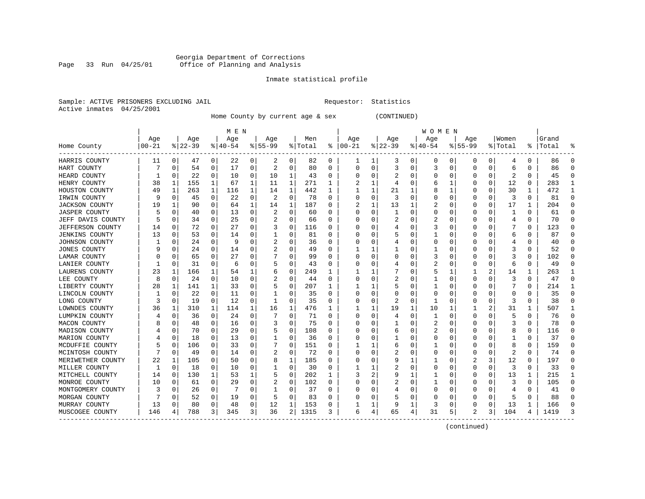#### Georgia Department of Corrections Page 33 Run 04/25/01 Office of Planning and Analysis

# Inmate statistical profile

|  | Sample: ACTIVE PRISONERS EXCLUDING JAII |  |
|--|-----------------------------------------|--|
|  | Active inmates 04/25/2001               |  |

L Requestor: Statistics

Home County by current age & sex (CONTINUED)

|                         |          |             |           |          | M E N     |   |           |             |         |          |          |              |             |          | W O M E N |    |          |          |         |          |       |              |
|-------------------------|----------|-------------|-----------|----------|-----------|---|-----------|-------------|---------|----------|----------|--------------|-------------|----------|-----------|----|----------|----------|---------|----------|-------|--------------|
|                         | Age      |             | Age       |          | Age       |   | Age       |             | Men     |          | Age      |              | Age         |          | Age       |    | Age      |          | Women   |          | Grand |              |
| Home County             | $ 00-21$ |             | $ 22-39 $ |          | $8 40-54$ |   | $8 55-99$ |             | % Total | ႜ        | $ 00-21$ |              | $8$   22-39 |          | $ 40-54$  |    | $ 55-99$ |          | % Total | ະ        | Total |              |
| HARRIS COUNTY           | 11       | 0           | 47        | 0        | 22        | 0 | 2         | 0           | 82      | 0        |          | 1            | 3           | 0        | 0         | 0  | 0        | 0        | 4       | 0        | 86    |              |
| HART COUNTY             |          | 0           | 54        | 0        | 17        | 0 | 2         | 0           | 80      | U        | C        | 0            | 3           | O        | 3         | 0  | 0        | 0        | 6       | 0        | 86    |              |
| HEARD COUNTY            |          | 0           | 22        | $\Omega$ | 10        | 0 | 10        | 1           | 43      | 0        |          | 0            |             |          | 0         | 0  | O        | 0        |         | 0        | 45    |              |
| HENRY COUNTY            | 38       | 1           | 155       | 1        | 67        | 1 | 11        | 1           | 271     | 1        |          | $\mathbf{1}$ |             | O        | 6         | -1 |          | $\Omega$ | 12      | 0        | 283   |              |
| HOUSTON COUNTY          | 49       | 1           | 263       | 1        | 116       | 1 | 14        | 1           | 442     | 1        |          | 1            | 21          |          | 8         | 1  | O        | $\Omega$ | 30      | 1        | 472   |              |
| IRWIN COUNTY            | 9        | $\mathbf 0$ | 45        | 0        | 22        | 0 | 2         | $\mathbf 0$ | 78      | $\Omega$ |          | 0            | 3           | $\Omega$ | 0         | 0  | O        | 0        | 3       | $\Omega$ | 81    | $\cap$       |
| <b>JACKSON COUNTY</b>   | 19       | 1           | 90        | $\Omega$ | 64        | 1 | 14        | 1           | 187     | U        |          | 1            | 13          |          | 2         | 0  | 0        | 0        | 17      | 1        | 204   | U            |
| <b>JASPER COUNTY</b>    |          | 0           | 40        | 0        | 13        | 0 | 2         | 0           | 60      | U        | C        | 0            |             | U        | U         | O  | 0        | O        |         | $\Omega$ | 61    | n            |
| JEFF DAVIS COUNTY       |          | 0           | 34        | 0        | 25        | 0 |           | 0           | 66      | 0        | $\Box$   | 0            |             |          |           | 0  | 0        | 0        | 4       | 0        | 70    | <sup>0</sup> |
| <b>JEFFERSON COUNTY</b> | 14       | 0           | 72        | 0        | 27        | 0 | 3         | 0           | 116     | U        | $\Box$   | 0            |             |          | 3         | 0  | 0        | 0        |         | 0        | 123   |              |
| <b>JENKINS COUNTY</b>   | 13       | 0           | 53        | 0        | 14        | 0 |           | $\Omega$    | 81      | U        |          | N            |             |          |           |    |          | O        | 6       | O        | 87    |              |
| JOHNSON COUNTY          |          | $\Omega$    | 24        | 0        | 9         | 0 |           | $\Omega$    | 36      | U        |          | O            |             |          | U         |    | O        | O        |         | 0        | 40    |              |
| <b>JONES COUNTY</b>     |          | 0           | 24        | 0        | 14        | 0 |           | O           | 49      | U        |          |              |             |          |           | O  |          | U        |         | 0        | 52    |              |
| LAMAR COUNTY            |          | 0           | 65        | 0        | 27        | 0 |           | $\Omega$    | 99      | U        |          | 0            |             |          | 3         | U  |          | U        |         | 0        | 102   |              |
| LANIER COUNTY           |          | 0           | 31        | 0        | 6         | 0 |           | 0           | 43      | U        |          | 0            |             |          | 2         | 0  | O        | 0        | 6       | 0        | 49    |              |
| LAURENS COUNTY          | 23       | 1           | 166       | 1        | 54        |   |           | 0           | 249     | 1        |          |              |             |          | 5         | 1  |          | 2        | 14      | 1        | 263   |              |
| LEE COUNTY              | 8        | $\mathbf 0$ | 24        | 0        | 10        | 0 |           | 0           | 44      | O        |          | 0            |             |          |           | U  | 0        | $\Omega$ | 3       | $\Omega$ | 47    | n            |
| LIBERTY COUNTY          | 28       | 1           | 141       | 1        | 33        | 0 |           | 0           | 207     | 1        |          | 1            |             |          |           | O  | 0        | 0        |         | 0        | 214   |              |
| LINCOLN COUNTY          |          | 0           | 22        | $\Omega$ | 11        | 0 |           | 0           | 35      | U        | C        | 0            |             |          | U         | U  | O        | O        | U       | 0        | 35    | ∩            |
| LONG COUNTY             | 3        | 0           | 19        | 0        | 12        | 0 |           | $\Omega$    | 35      | U        | $\Box$   | 0            | 2           | O        |           |    | O        | U        | 3       | O        | 38    |              |
| LOWNDES COUNTY          | 36       | 1           | 310       | 1        | 114       | 1 | 16        | 1           | 476     | 1        |          |              | 19          | 1        | 10        |    |          | 2        | 31      | 1        | 507   |              |
| LUMPKIN COUNTY          |          | $\Omega$    | 36        | 0        | 24        | 0 |           | $\Omega$    | 71      | U        |          | 0            |             |          | 1         |    | O        | O        | 5       | 0        | 76    |              |
| MACON COUNTY            |          | 0           | 48        | 0        | 16        | 0 | 3         | $\Omega$    | 75      | U        |          | O            |             |          | 2         | O  |          | O        |         | 0        | 78    |              |
| MADISON COUNTY          |          | 0           | 70        | 0        | 29        | 0 | 5         | 0           | 108     | U        |          | 0            | h           |          |           | U  |          | U        | 8       | 0        | 116   |              |
| MARION COUNTY           |          | $\mathbf 0$ | 18        | 0        | 13        | 0 |           | 0           | 36      | U        |          | 0            |             |          |           |    |          | U        |         | 0        | 37    |              |
| MCDUFFIE COUNTY         |          | $\mathbf 0$ | 106       | 0        | 33        | 0 |           | 0           | 151     | 0        |          |              |             |          |           |    |          | N        | 8       | $\Omega$ | 159   |              |
| MCINTOSH COUNTY         |          | 0           | 49        | 0        | 14        | 0 | 2         | 0           | 72      | U        |          | 0            |             |          | U         | U  | C        | O        | 2       | 0        | 74    | U            |
| MERIWETHER COUNTY       | 22       | 1           | 105       | 0        | 50        | 0 |           | 1           | 185     | U        |          | 0            |             |          |           | O  | 2        | 3        | 12      | 0        | 197   |              |
| MILLER COUNTY           |          | $\mathbf 0$ | 18        | 0        | 10        | 0 |           | 0           | 30      | 0        |          |              |             |          | 0         | 0  | 0        | 0        | 3       | 0        | 33    | n            |
| MITCHELL COUNTY         | 14       | 0           | 130       | 1        | 53        | 1 |           | 0           | 202     |          |          | 2            |             |          |           | 0  | 0        | 0        | 13      |          | 215   |              |
| MONROE COUNTY           | 10       | 0           | 61        | 0        | 29        | 0 |           | $\Omega$    | 102     | U        |          | 0            |             |          |           |    |          | O        |         | 0        | 105   |              |
| MONTGOMERY COUNTY       | 3        | $\Omega$    | 26        | 0        |           | 0 |           | $\Omega$    | 37      | U        |          | O            |             |          | U         |    |          | O        |         | 0        | 41    |              |
| MORGAN COUNTY           |          | $\Omega$    | 52        | 0        | 19        | 0 |           | $\Omega$    | 83      | U        |          | O            |             |          |           |    |          | 0        |         | 0        | 88    |              |
| MURRAY COUNTY           | 13       | 0           | 80        | 0        | 48        | 0 | 12        | 1           | 153     | U        |          | 1            |             | ı        |           | U  | 0        | 0        | 13      | 1        | 166   |              |
| MUSCOGEE COUNTY         | 146      | 4           | 788       | 3        | 345       | 3 | 36        | 2           | 1315    | 3        |          | 4            | 65          | 4        | 31        | 5  |          | 3        | 104     | 4        | 1419  |              |

------------------------------------------------------------------------------------------------------------------------------------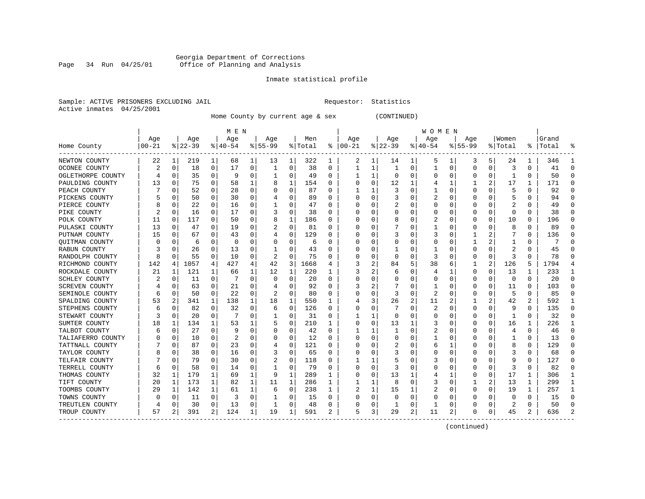#### Georgia Department of Corrections Page 34 Run 04/25/01 Office of Planning and Analysis

# Inmate statistical profile

|  | Sample: ACTIVE PRISONERS EXCLUDING JAII |  |
|--|-----------------------------------------|--|
|  | Active inmates 04/25/2001               |  |

L Requestor: Statistics

Home County by current age & sex (CONTINUED)

|                   |           |             |           |          | M E N     |   |           |          |         |    |               |   |             |          | W O M E N |              |              |          |          |              |       |   |
|-------------------|-----------|-------------|-----------|----------|-----------|---|-----------|----------|---------|----|---------------|---|-------------|----------|-----------|--------------|--------------|----------|----------|--------------|-------|---|
|                   | Age       |             | Age       |          | Age       |   | Age       |          | Men     |    | Age           |   | Age         |          | Age       |              | Age          |          | Women    |              | Grand |   |
| Home County       | $00 - 21$ |             | $8 22-39$ |          | $ 40-54 $ |   | $8 55-99$ |          | % Total |    | $8   00 - 21$ |   | $8$   22-39 |          | $ 40-54$  |              | $8 55-99$    |          | % Total  | ႜ            | Total |   |
| NEWTON COUNTY     | 22        | 1           | 219       | 1        | 68        | 1 | 13        | 1        | 322     | 1  | 2             | 1 | 14          | ı.       | 5         | 1            | 3            | 5.       | 24       | 1            | 346   |   |
| OCONEE COUNTY     | 2         | 0           | 18        | 0        | 17        | 0 |           | 0        | 38      | 0  |               | 1 |             | 0        | 1         | 0            | 0            | 0        | 3        | 0            | 41    |   |
| OGLETHORPE COUNTY |           | 0           | 35        | $\Omega$ | q         | 0 |           | 0        | 49      | U  |               | 1 | $\Omega$    | O        | U         | U            | O            | 0        |          | 0            | 50    |   |
| PAULDING COUNTY   | 13        | 0           | 75        | 0        | 58        |   |           | 1        | 154     | O  |               | 0 | 12          |          |           | $\mathbf{1}$ |              | 2        | 17       | 1            | 171   |   |
| PEACH COUNTY      |           | 0           | 52        | 0        | 28        | 0 |           | 0        | 87      | U  |               |   |             | U        |           | U            | 0            | $\Omega$ | 5        | $\Omega$     | 92    |   |
| PICKENS COUNTY    |           | 0           | 50        | 0        | 30        | 0 |           | 0        | 89      | U  |               | 0 |             |          | 2         | 0            | 0            | 0        |          | 0            | 94    | n |
| PIERCE COUNTY     | 8         | 0           | 22        | 0        | 16        | 0 |           | 0        | 47      | U  | C             | 0 |             |          | U         | 0            | 0            | 0        |          | 0            | 49    | n |
| PIKE COUNTY       | 2         | 0           | 16        | 0        | 17        | 0 | 3         | 0        | 38      | U  | $\Box$        | O |             |          | U         | U            | 0            | 0        | $\Omega$ | 0            | 38    |   |
| POLK COUNTY       | 11        | 0           | 117       | 0        | 50        | 0 |           | 1        | 186     | U  |               | U |             |          | 2         |              |              | 0        | 10       | O            | 196   |   |
| PULASKI COUNTY    | 13        | 0           | 47        | 0        | 19        | 0 |           | 0        | 81      | U  |               | O |             |          |           | U            | O            | 0        | 8        | $\Omega$     | 89    |   |
| PUTNAM COUNTY     | 15        | 0           | 67        | 0        | 43        | 0 |           | 0        | 129     | U  |               | O |             |          |           | 0            |              | 2        |          | 0            | 136   |   |
| QUITMAN COUNTY    |           | 0           | 6         | 0        | 0         | 0 |           | 0        | 6       | U  |               | 0 |             |          | U         | U            |              | 2        |          | 0            | 7     |   |
| RABUN COUNTY      |           | 0           | 26        | 0        | 13        | 0 |           | $\Omega$ | 43      |    |               | 0 |             |          |           |              | O            | 0        | 2        | 0            | 45    |   |
| RANDOLPH COUNTY   | 8         | $\Omega$    | 55        | 0        | 10        | U |           | $\Omega$ | 75      | U  |               | O |             | O        | 3         |              | O            | 0        | κ        | <sup>0</sup> | 78    |   |
| RICHMOND COUNTY   | 142       | 4           | 1057      | 4        | 427       | 4 | 42        | 3        | 1668    | 4  |               | 2 | 84          |          | 38        | 6            | 1            | 2        | 126      | 5            | 1794  |   |
| ROCKDALE COUNTY   | 21        | 1           | 121       | 1        | 66        | 1 | 12        | 1        | 220     | 1. |               | 2 |             | O        | 4         | -1           | 0            | 0        | 13       | 1            | 233   |   |
| SCHLEY COUNTY     |           | 0           | 11        | $\Omega$ |           | 0 | O         | 0        | 20      | U  | C             | 0 |             |          | 0         | 0            | 0            | 0        | $\Omega$ | $\Omega$     | 20    | n |
| SCREVEN COUNTY    |           | 0           | 63        | 0        | 21        | 0 |           | $\Omega$ | 92      | 0  |               | 2 |             |          |           |              | O            | 0        | 11       | 0            | 103   |   |
| SEMINOLE COUNTY   | 6         | 0           | 50        | 0        | 22        | 0 |           | $\Omega$ | 80      | U  |               | O |             | O        |           |              |              | O        | 5        | 0            | 85    |   |
| SPALDING COUNTY   | 53        | 2           | 341       | 1        | 138       | 1 | 18        | 1        | 550     | 1  |               | 3 | 26          | 2        | 11        |              |              | 2        | 42       | 2            | 592   |   |
| STEPHENS COUNTY   | 6         | 0           | 82        | 0        | 32        | 0 | 6         | 0        | 126     | U  | $\Box$        | 0 |             | U        | 2         | U            | 0            | 0        | 9        | 0            | 135   |   |
| STEWART COUNTY    | 3         | $\Omega$    | 20        | $\Omega$ | 7         | 0 |           | 0        | 31      | U  |               | 1 |             |          | 0         | U            | O            | 0        |          | 0            | 32    |   |
| SUMTER COUNTY     | 18        | 1           | 134       | 1        | 53        |   |           | 0        | 210     | 1  | O             | 0 | 13          |          | 3         | 0            | O            | 0        | 16       | 1            | 226   |   |
| TALBOT COUNTY     | 6         | $\mathbf 0$ | 27        | $\Omega$ | 9         | O |           | 0        | 42      | O  |               |   |             |          |           |              | C            | N        | 4        | $\Omega$     | 46    |   |
| TALIAFERRO COUNTY |           | 0           | 10        | 0        | 2         | 0 |           | $\Omega$ | 12      | 0  |               | 0 |             |          |           | O            | <sup>0</sup> | O        |          | 0            | 13    | ∩ |
| TATTNALL COUNTY   |           | 0           | 87        | 0        | 23        | 0 |           | 0        | 121     | U  |               | 0 |             |          | 6         | 1            | 0            | 0        | 8        | 0            | 129   | n |
| TAYLOR COUNTY     |           | 0           | 38        | 0        | 16        | 0 | 3         | 0        | 65      | U  | C             | 0 |             |          | 0         | 0            | 0            | O        | 3        | 0            | 68    |   |
| TELFAIR COUNTY    |           | 0           | 79        | 0        | 30        | 0 | 2         | $\Omega$ | 118     | 0  |               |   |             |          | 3         |              |              | 0        | 9        | 0            | 127   |   |
| TERRELL COUNTY    | 6         | $\mathbf 0$ | 58        | $\Omega$ | 14        | 0 |           | $\Omega$ | 79      | O  |               | O |             |          | O         | U            |              | $\Omega$ | 3        | $\Omega$     | 82    |   |
| THOMAS COUNTY     | 32        | 1           | 179       | 1        | 69        | 1 | 9         | 1        | 289     | 1. |               | O | 13          |          | 4         | 1            | O            | 0        | 17       | 1            | 306   |   |
| TIFT COUNTY       | 20        | 1           | 173       | 1        | 82        | 1 | 11        | 1        | 286     | 1  |               | 1 | 8           | U        | 3         | 0            |              | 2        | 13       | 1            | 299   |   |
| TOOMBS COUNTY     | 29        | 1           | 142       | 1        | 61        | 1 | 6         | 0        | 238     | 1  | 2             | 1 | 15          |          | 2         | 0            | 0            | 0        | 19       | 1            | 257   |   |
| TOWNS COUNTY      |           | 0           | 11        | 0        | 3         | 0 |           | 0        | 15      | U  |               | 0 |             | O        | U         |              | O            | O        | O        | 0            | 15    |   |
| TREUTLEN COUNTY   |           | $\mathbf 0$ | 30        | 0        | 13        | 0 |           | 0        | 48      | O  |               | 0 |             | $\Omega$ |           | U            |              | O        |          | $\Omega$     | 50    |   |
| TROUP COUNTY      | 57        | 2           | 391       | 2        | 124       | 1 | 19        | 1        | 591     | 2  | 5             | 3 | 29          | 2        | 11        | 2            | $\Omega$     | 0        | 45       | 2            | 636   |   |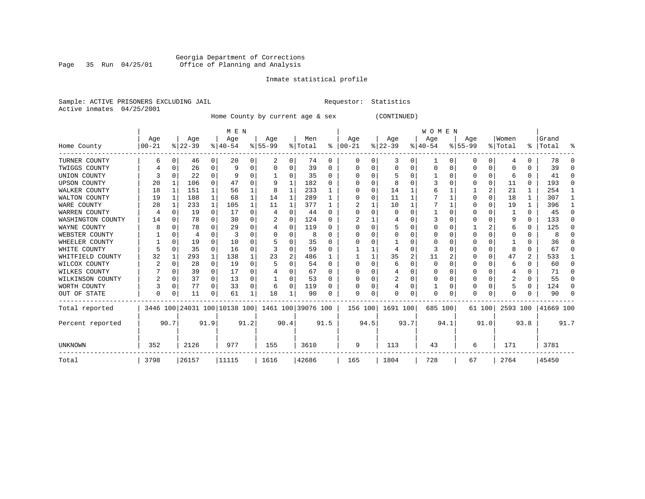#### Georgia Department of Corrections Page 35 Run 04/25/01 Office of Planning and Analysis

# Inmate statistical profile

|  | Sample: ACTIVE PRISONERS EXCLUDING JAIL | Requestor: Statistics |  |
|--|-----------------------------------------|-----------------------|--|
|  | Active inmates 04/25/2001               |                       |  |

Home County by current age & sex (CONTINUED)

|                     |                 |              |                 |                | M E N            |          |                                                 |          |                |          |                 |      |                  |      | <b>WOMEN</b>     |          |                 |      |                  |          |                      |        |
|---------------------|-----------------|--------------|-----------------|----------------|------------------|----------|-------------------------------------------------|----------|----------------|----------|-----------------|------|------------------|------|------------------|----------|-----------------|------|------------------|----------|----------------------|--------|
| Home County         | Age<br>$ 00-21$ |              | Age<br>$ 22-39$ |                | Age<br>$8 40-54$ |          | Age<br>$8 55-99$                                |          | Men<br>% Total | ွေ       | Age<br>$ 00-21$ |      | Age<br>$ 22-39$  |      | Age<br>$8 40-54$ |          | Age<br>$ 55-99$ |      | Women<br>% Total |          | Grand<br>%   Total   | ႜ      |
| TURNER COUNTY       | 6               |              | 46              | $\overline{0}$ | 20               | 0        | 2                                               | 0        | 74             | 0        | $\Omega$        | 0    | 3                | 0    | 1                | 0        | 0               | 0    | 4                | 0        | 78                   | $\cap$ |
| TWIGGS COUNTY       |                 | U            | 26              | 0              | 9                |          |                                                 | 0        | 39             | $\Omega$ |                 |      | U                | U    | $\Omega$         | $\Omega$ | 0               | 0    | 0                | U        | 39                   | n      |
| UNION COUNTY        |                 |              | 22              | $\Omega$       |                  | 0        |                                                 | 0        | 35             | 0        |                 |      | 5                | U    |                  | $\Omega$ | 0               | 0    | 6                | 0        | 41                   | ∩      |
| <b>UPSON COUNTY</b> | 20              |              | 106             | 0              | 47               | 0        | 9                                               | 1        | 182            | 0        |                 |      | 8                | U    |                  |          |                 | 0    | 11               | 0        | 193                  | n      |
| WALKER COUNTY       | 18              | 1            | 151             | 1              | 56               |          | 8                                               | 1        | 233            |          |                 |      | 14               |      |                  |          |                 | 2    | 21               |          | 254                  |        |
| WALTON COUNTY       | 19              | 1            | 188             | $\mathbf 1$    | 68               | 1        | 14                                              | 1        | 289            |          |                 |      | 11               |      |                  |          | U               | 0    | 18               | 1        | 307                  |        |
| WARE COUNTY         | 28              |              | 233             | $\mathbf{1}$   | 105              |          | 11                                              | 1        | 377            | 1        |                 |      | 10               |      |                  |          | U               |      | 19               | 1        | 396                  |        |
| WARREN COUNTY       | 4               |              | 19              | $\Omega$       | 17               | $\Omega$ | 4                                               | O        | 44             | $\Omega$ |                 |      | $\Omega$         |      |                  |          |                 | U    |                  | $\Omega$ | 45                   |        |
| WASHINGTON COUNTY   | 14              |              | 78              | 0              | 30               | 0        |                                                 | $\Omega$ | 124            | 0        |                 |      |                  |      |                  |          | U               | O    | 9                | $\Omega$ | 133                  |        |
| WAYNE COUNTY        |                 |              | 78              | 0              | 29               | 0        | 4                                               | 0        | 119            | $\Omega$ |                 |      | 5                | U    |                  |          |                 | 2    | 6                | 0        | 125                  | ∩      |
| WEBSTER COUNTY      |                 | <sup>0</sup> | 4               | 0              | 3                | U        |                                                 | 0        | 8              | $\Omega$ |                 |      |                  |      |                  | O        | 0               | O    | 0                | 0        | 8                    | ∩      |
| WHEELER COUNTY      |                 | $\Omega$     | 19              | 0              | 10               | U        |                                                 | U        | 35             | $\Omega$ |                 |      |                  |      |                  |          | U               | U    |                  | 0        | 36                   |        |
| WHITE COUNTY        |                 |              | 35              | 0              | 16               | 0        |                                                 | 0        | 59             | $\Omega$ |                 |      |                  | U    | 3                |          |                 | 0    | 8                | 0        | 67                   |        |
| WHITFIELD COUNTY    | 32              |              | 293             | $\mathbf 1$    | 138              |          | 23                                              | 2        | 486            |          |                 |      | 35               | 2    | 11               |          | O               | 0    | 47               | 2        | 533                  |        |
| WILCOX COUNTY       |                 |              | 28              | 0              | 19               | U        |                                                 | U        | 54             | $\Omega$ | $\Omega$        |      | 6                | 0    | $\Omega$         |          | O               | U    | 6                | 0        | 60                   | ∩      |
| WILKES COUNTY       |                 | 0            | 39              | $\overline{0}$ | 17               | 0        |                                                 | 0        | 67             | 0        |                 |      | 4                | U    | 0                | O        | 0               | 0    | 4                | 0        | 71                   | ∩      |
| WILKINSON COUNTY    |                 | $\Omega$     | 37              | $\Omega$       | 13               | 0        |                                                 | 0        | 53             | $\Omega$ |                 |      | 2                | U    |                  | $\Omega$ | 0               | O    | 2                | 0        | 55                   | ∩      |
| WORTH COUNTY        |                 | 0            | 77              | 0              | 33               | 0        | 6                                               | $\Omega$ | 119            | 0        |                 |      | 4                | 0    |                  | $\Omega$ | 0               | 0    |                  | 0        | 124                  | ∩      |
| OUT OF STATE        | $\Omega$        | 0            | 11              | 0              | 61               |          | 18                                              |          | 90             | $\Omega$ | $\Omega$        | 0    | U                | 0    | $\Omega$         | 0        | O               | 0    | $\Omega$         | U        | 90                   | $\cap$ |
| Total reported      |                 |              |                 |                |                  |          | 3446 100 24031 100 10138 100 1461 100 39076 100 |          |                |          |                 |      | 156 100 1691 100 |      | 685 100          |          | 61 100          |      |                  |          | 2593 100   41669 100 |        |
| Percent reported    |                 | 90.7         |                 | 91.9           |                  | 91.2     |                                                 | 90.4     |                | 91.5     |                 | 94.5 |                  | 93.7 |                  | 94.1     |                 | 91.0 |                  | 93.8     |                      | 91.7   |
| UNKNOWN             | 352             |              | 2126            |                | 977              |          | 155                                             |          | 3610           |          | 9               |      | 113              |      | 43               |          | 6               |      | 171              |          | 3781                 |        |
| Total               | 3798            |              | 26157           |                | 11115            |          | 1616                                            |          | 42686          |          | 165             |      | 1804             |      | 728              |          | 67              |      | 2764             |          | 45450                |        |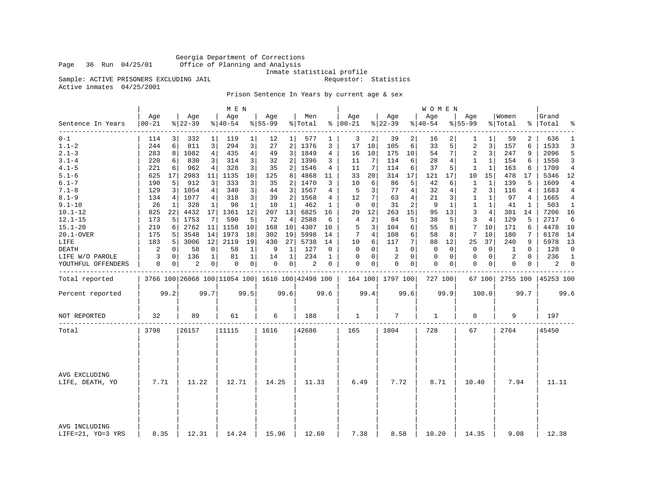Georgia Department of Corrections Office of Planning and Analysis

Inmate statistical profile<br>Requestor: Statistics

Sample: ACTIVE PRISONERS EXCLUDING JAIL Active inmates 04/25/2001

Prison Sentence In Years by current age & sex

|                                    |                |      |                  |                | M E N            |                |                  |      |                                                 |             |                      |      |                  |              | W O M E N          |      |                    |                |                  |          |                 |                |
|------------------------------------|----------------|------|------------------|----------------|------------------|----------------|------------------|------|-------------------------------------------------|-------------|----------------------|------|------------------|--------------|--------------------|------|--------------------|----------------|------------------|----------|-----------------|----------------|
| Sentence In Years                  | Age<br>00-21   |      | Age<br>$8 22-39$ |                | Age<br>$8 40-54$ |                | Age<br>$8 55-99$ |      | Men<br>% Total                                  |             | Age<br>$8   00 - 21$ |      | Age<br>$8 22-39$ |              | Age<br>$8140 - 54$ |      | Age<br>$8155 - 99$ |                | Women<br>% Total | ွေ       | Grand<br> Total | ٩,             |
| ---------<br>$0 - 1$               | 114            |      | 332              | 1              | 119              | $\mathbf{1}$   | 12               |      | 577                                             |             | 3                    | 2    | 39               | 2            | 16                 | 2    | 1                  | 1              | 59               | 2        | 636             | 1              |
| $1.1 - 2$                          | 244            | 6    | 811              | 3              | 294              | 3              | 27               | 2    | 1376                                            | 3           | 17                   | 10   | 105              | 6            | 33                 | 5    | 2                  | 3              | 157              | 6        | 1533            | 3              |
| $2.1 - 3$                          | 283            | 8    | 1082             | $\overline{4}$ | 435              | $\overline{4}$ | 49               | 3    | 1849                                            | 4           | 16                   | 10   | 175              | 10           | 54                 | 7    | $\overline{2}$     | 3              | 247              | 9        | 2096            | 5              |
| $3.1 - 4$                          | 220            | 6    | 830              | 3              | 314              | 3              | 32               | 2    | 1396                                            | 3           | 11                   | 7    | 114              | 6            | 28                 | 4    | 1                  | 1              | 154              | 6        | 1550            | 3              |
| $4.1 - 5$                          | 221            | 6    | 962              | 4              | 328              | 3              | 35               | 2    | 1546                                            | 4           | 11                   | 7    | 114              | 6            | 37                 | 5    | 1                  | 1              | 163              | 6        | 1709            | $\overline{4}$ |
| $5.1 - 6$                          | 625            | 17   | 2983             | 11             | 1135             | 10             | 125              | 8    | 4868                                            | 11          | 33                   | 20   | 314              | 17           | 121                | 17   | 10                 | 15             | 478              | 17       | 5346            | 12             |
| $6.1 - 7$                          | 190            | 5    | 912              | 3              | 333              | 3              | 35               | 2    | 1470                                            | 3           | 10                   | 6    | 86               | 5            | 42                 | 6    | $\mathbf{1}$       | $\mathbf{1}$   | 139              | 5        | 1609            | $\overline{4}$ |
| $7.1 - 8$                          | 129            | 3    | 1054             | 4              | 340              | 3              | 44               | 3    | 1567                                            | 4           | 5                    | 3    | 77               | 4            | 32                 | 4    | 2                  | 3              | 116              | 4        | 1683            | 4              |
| $8.1 - 9$                          | 134            | 4    | 1077             | $\overline{4}$ | 318              | 3              | 39               | 2    | 1568                                            | 4           | 12                   | 7    | 63               | 4            | 21                 | 3    | $\mathbf 1$        | $\mathbf{1}$   | 97               | 4        | 1665            | $\overline{4}$ |
| $9.1 - 10$                         | 26             | 1    | 328              | 1              | 98               | $\mathbf{1}$   | 10               | 1    | 462                                             | 1           | $\mathbf 0$          | 0    | 31               | 2            | 9                  | 1    | 1                  | $\mathbf{1}$   | 41               | 1        | 503             | 1              |
| $10.1 - 12$                        | 825            | 22   | 4432             | 17             | 1361             | 12             | 207              | 13   | 6825                                            | 16          | 20                   | 12   | 263              | 15           | 95                 | 13   | 3                  | $\overline{4}$ | 381              | 14       | 7206            | 16             |
| $12.1 - 15$                        | 173            | 5    | 1753             | 7              | 590              | 5              | 72               | 4    | 2588                                            | 6           | 4                    | 2    | 84               | 5            | 38                 | 5    | 3                  | 4              | 129              | 5        | 2717            | 6              |
| $15.1 - 20$                        | 219            | 6    | 2762             | 11             | 1158             | 10             | 168              | 10   | 4307                                            | 10          | 5                    | 3    | 104              | 6            | 55                 | 8    | 7                  | 10             | 171              | 6        | 4478            | 10             |
| 20.1-OVER                          | 175            | 5    | 3548             | 14             | 1973             | 18             | 302              | 19   | 5998                                            | 14          | 7                    | 4    | 108              | 6            | 58                 | 8    | 7                  | 10             | 180              | 7        | 6178            | 14             |
| LIFE                               | 183            | 5    | 3006             | 12             | 2119             | 19             | 430              | 27   | 5738                                            | 14          | 10                   | 6    | 117              | 7            | 88                 | 12   | 25                 | 37             | 240              | 9        | 5978            | 13             |
| <b>DEATH</b>                       | $\overline{c}$ | 0    | 58               | 0              | 58               | 1              | 9                | 1    | 127                                             | 0           | $\mathbf 0$          | 0    | 1                | $\Omega$     | $\mathbf 0$        | 0    | $\mathbf 0$        | 0              | 1                | $\Omega$ | 128             | $\mathbf 0$    |
| LIFE W/O PAROLE                    | 3              | 0    | 136              | 1              | 81               | 1              | 14               | 1    | 234                                             | 1           | $\Omega$             | 0    | 2                | $\Omega$     | 0                  | 0    | $\mathbf 0$        | $\mathbf 0$    | 2                | $\Omega$ | 236             | $\mathbf{1}$   |
| YOUTHFUL OFFENDERS                 | $\mathbf 0$    | 0    | 2                | $\overline{0}$ | 0                | 0              | 0                | 0    | $\overline{c}$                                  | $\mathbf 0$ | $\Omega$             | 0    | $\mathbf 0$      | $\mathbf{0}$ | $\mathbf 0$        | 0    | $\mathbf 0$        | 0              | 0                | 0        | 2               | $\mathbf 0$    |
| Total reported                     |                |      |                  |                |                  |                |                  |      | 3766 100 26068 100 11054 100 1610 100 42498 100 |             |                      |      | 164 100 1797 100 |              | 727 100            |      |                    | 67 100         | 2755 100         |          | 45253 100       |                |
| Percent reported                   |                | 99.2 |                  | 99.7           |                  | 99.5           |                  | 99.6 |                                                 | 99.6        |                      | 99.4 |                  | 99.6         |                    | 99.9 |                    | 100.0          |                  | 99.7     |                 | 99.6           |
| NOT REPORTED                       | 32             |      | 89               |                | 61               |                | 6                |      | 188                                             |             | $\mathbf{1}$         |      | 7                |              | 1                  |      | $\mathbf 0$        |                | 9                |          | 197             |                |
| Total                              | 3798           |      | 26157            |                | 11115            |                | 1616             |      | 42686                                           |             | 165                  |      | 1804             |              | 728                |      | 67                 |                | 2764             |          | 45450           |                |
|                                    |                |      |                  |                |                  |                |                  |      |                                                 |             |                      |      |                  |              |                    |      |                    |                |                  |          |                 |                |
| AVG EXCLUDING<br>LIFE, DEATH, YO   | 7.71           |      | 11.22            |                | 12.71            |                | 14.25            |      | 11.33                                           |             | 6.49                 |      | 7.72             |              | 8.71               |      | 10.40              |                | 7.94             |          | 11.11           |                |
|                                    |                |      |                  |                |                  |                |                  |      |                                                 |             |                      |      |                  |              |                    |      |                    |                |                  |          |                 |                |
| AVG INCLUDING<br>LIFE=21, YO=3 YRS | 8.35           |      | 12.31            |                | 14.24            |                | 15.96            |      | 12.60                                           |             | 7.38                 |      | 8.58             |              | 10.20              |      | 14.35              |                | 9.08             |          | 12.38           |                |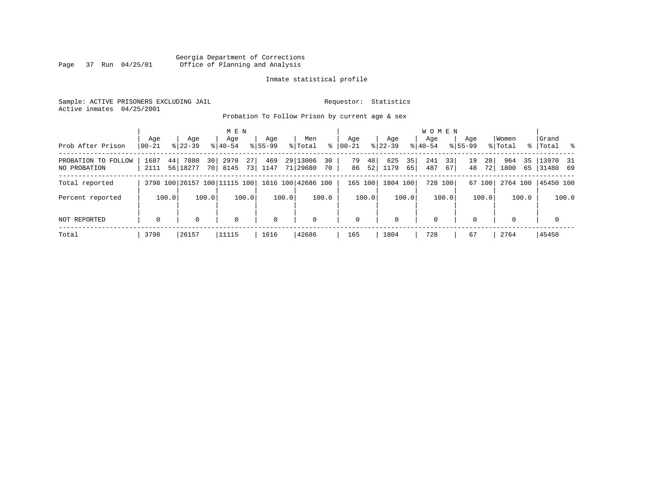### Georgia Department of Corrections Page 37 Run 04/25/01 Office of Planning and Analysis

#### Inmate statistical profile

Sample: ACTIVE PRISONERS EXCLUDING JAIL **Requestor:** Statistics Active inmates 04/25/2001

Probation To Follow Prison by current age & sex

| Prob After Prison                   | Aqe<br>$00 - 21$ | Age<br>$8122 - 39$     | M E N<br>Age<br>$8 40-54$                                    | Age<br>$8155 - 99$ | Men<br>ွေ<br>% Total             | Age<br>$00 - 21$     | Aqe<br>$ 22 - 39 $      | <b>WOMEN</b><br>Aqe<br>$8 40-54$ | Age<br>$8155 - 99$   | Women<br>% Total  | Grand<br>%   Total %       |
|-------------------------------------|------------------|------------------------|--------------------------------------------------------------|--------------------|----------------------------------|----------------------|-------------------------|----------------------------------|----------------------|-------------------|----------------------------|
| PROBATION TO FOLLOW<br>NO PROBATION | 1687<br>2111     | 7880<br>44<br>56 18277 | 27 <sup>1</sup><br>30 <sup>1</sup><br>2970<br>73 <br>70 8145 | 469<br>1147        | 29 13006<br>30<br>71 29680<br>70 | 79<br>48<br>86<br>52 | 625<br>35<br>1179<br>65 | 241<br>33<br>487<br>67           | 19<br>28<br>48<br>72 | 964<br>1800<br>65 | 35   13970 31<br> 31480 69 |
| Total reported                      |                  |                        | 3798 100 26157 100 111115 100                                |                    | 1616 100 42686 100               | 165 100              | 1804 100                | 728 100                          | 67 100               |                   | 2764 100 45450 100         |
| Percent reported                    | 100.0            | 100.0                  | 100.0                                                        | 100.0              | 100.0                            | 100.0                | 100.0                   | 100.0                            | 100.0                | 100.0             | 100.0                      |
| NOT REPORTED                        | $\mathbf 0$      | $\Omega$               | $\Omega$                                                     | $\mathbf 0$        | $\mathbf 0$                      | $\mathbf 0$          | $\Omega$                | $\mathbf 0$                      | $\Omega$             | $\Omega$          | $\mathbf 0$                |
| Total                               | 3798             | 26157                  | 11115                                                        | 1616               | 42686                            | 165                  | 1804                    | 728                              | 67                   | 2764              | 45450                      |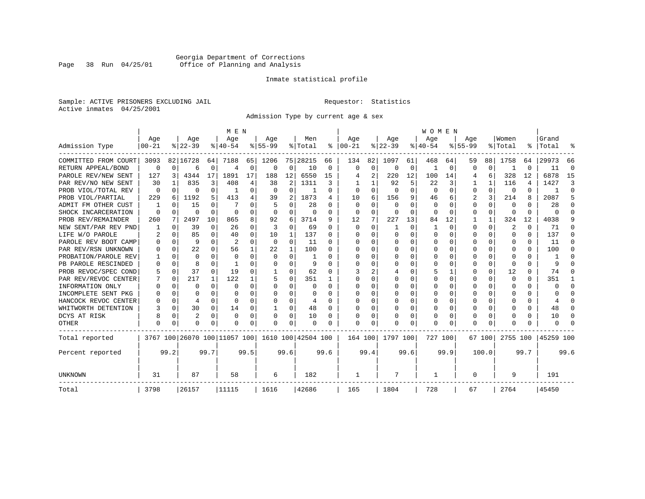# Georgia Department of Corrections Page 38 Run 04/25/01 Office of Planning and Analysis

#### Inmate statistical profile

Sample: ACTIVE PRISONERS EXCLUDING JAIL **Requestor:** Statistics Active inmates 04/25/2001

Admission Type by current age & sex

|                      |                  |              |                  |          | M E N                        |          |                  |                |                    |          |                 |          |                  |      | <b>WOMEN</b>     |          |                    |              |                  |                |                    |          |
|----------------------|------------------|--------------|------------------|----------|------------------------------|----------|------------------|----------------|--------------------|----------|-----------------|----------|------------------|------|------------------|----------|--------------------|--------------|------------------|----------------|--------------------|----------|
| Admission Type       | Age<br>$00 - 21$ |              | Age<br>$8 22-39$ |          | Age<br>$8 40-54$             |          | Age<br>$8 55-99$ |                | Men<br>% Total     | ៖        | Age<br>$ 00-21$ |          | Age<br>$ 22-39 $ |      | Age<br>$8 40-54$ |          | Age<br>$8155 - 99$ |              | Women<br>% Total |                | Grand<br>%   Total | ႜ        |
|                      |                  |              |                  |          |                              |          |                  |                |                    |          |                 |          |                  |      |                  |          |                    |              |                  |                |                    |          |
| COMMITTED FROM COURT | 3093             |              | 82 16728         | 64       | 7188                         | 65       | 1206             |                | 75 28215           | 66       | 134             | 82       | 1097             | 61   | 468              | 64       | 59                 | 88           | 1758             | 64             | 29973              | 66       |
| RETURN APPEAL/BOND   | $\Omega$         | $\Omega$     | б                | 0        | 4                            | $\Omega$ | O                | 0              | 10                 | $\Omega$ | $\Omega$        | $\Omega$ | $\Omega$         | 0    |                  | 0        | U                  | $\Omega$     | ำ                | $\Omega$       | 11                 | $\Omega$ |
| PAROLE REV/NEW SENT  | 127              | 3            | 4344             | 17       | 1891                         | 17       | 188              | 12             | 6550               | 15       |                 | 2        | 220              | 12   | 100              | 14       | 4                  | 6            | 328              | 12             | 6878               | 15       |
| PAR REV/NO NEW SENT  | 30               |              | 835              | 3        | 408                          |          | 38               | $\overline{2}$ | 1311               | ζ        |                 |          | 92               | 5    | 22               | 3        |                    | $\mathbf{1}$ | 116              | $\overline{4}$ | 1427               | 3        |
| PROB VIOL/TOTAL REV  | $\Omega$         | 0            | 0                | $\Omega$ |                              | O        | $\Omega$         | $\Omega$       |                    | O        | O               | O        | $\Omega$         | O    | $\Omega$         | $\Omega$ | 0                  | $\Omega$     | 0                | $\Omega$       |                    | $\Omega$ |
| PROB VIOL/PARTIAL    | 229              | 6            | 1192             | 5        | 413                          | 4        | 39               | 2              | 1873               | 4        | 10              | 6        | 156              | 9    | 46               | 6        | 2                  | 3            | 214              | 8              | 2087               | 5        |
| ADMIT FM OTHER CUST  |                  | 0            | 15               | $\Omega$ |                              |          | 5                | 0              | 28                 | U        | $\Omega$        | O        | 0                | U    | $\Omega$         | $\Omega$ | 0                  | $\Omega$     | $\Omega$         | <sup>0</sup>   | 28                 | $\cap$   |
| SHOCK INCARCERATION  | $\Omega$         | $\Omega$     | U                | $\Omega$ | $\Omega$                     | O        | O                | 0              | $\Omega$           | O        | $\Omega$        | $\Omega$ | $\Omega$         | 0    | $\Omega$         | O        | 0                  | $\Omega$     | 0                | $\Omega$       |                    | $\cap$   |
| PROB REV/REMAINDER   | 260              | 7            | 2497             | 10       | 865                          | 8        | 92               | 6              | 3714               | 9        | 12              | 7        | 227              | 13   | 84               | 12       |                    | $\mathbf{1}$ | 324              | 12             | 4038               | 9        |
| NEW SENT/PAR REV PND |                  | $\Omega$     | 39               | $\Omega$ | 26                           | $\Omega$ | 3                | $\Omega$       | 69                 | U        | $\Omega$        | $\Omega$ |                  | O    |                  | $\Omega$ | U                  | $\Omega$     | $\overline{2}$   | $\Omega$       | 71                 |          |
| LIFE W/O PAROLE      |                  | <sup>0</sup> | 85               | $\Omega$ | 40                           | O        | 10               | 1              | 137                | U        | $\Omega$        | $\Omega$ | $\Omega$         | U    |                  | U        | 0                  | 0            | $\Omega$         | $\Omega$       | 137                | ∩        |
| PAROLE REV BOOT CAMP |                  | $\Omega$     | 9                | U        | $\overline{2}$               | $\Omega$ | $\Omega$         | $\Omega$       | 11                 | U        | O               | $\Omega$ | O                | O    |                  | $\Omega$ | U                  | 0            | 0                | 0              | 11                 | ∩        |
| PAR REV/RSN UNKNOWN  |                  | $\Omega$     | 22               | $\Omega$ | 56                           |          | 22               | $\mathbf{1}$   | 100                | U        |                 |          | n                | U    |                  | U        |                    | 0            | $\Omega$         | 0              | 100                | ∩        |
| PROBATION/PAROLE REV |                  | $\Omega$     | U                | U        | $\Omega$                     |          | U                | U              |                    | ∩        |                 |          | n                | U    |                  | U        |                    | 0            | $\Omega$         | 0              |                    |          |
| PB PAROLE RESCINDED  |                  | $\Omega$     | 8                | U        |                              |          | O                | O              |                    | ∩        | ∩               |          |                  | U    | U                | 0        | U                  | 0            | $\Omega$         | 0              |                    |          |
| PROB REVOC/SPEC COND |                  | $\Omega$     | 37               | $\Omega$ | 19                           |          |                  | U              | 62                 | O        |                 |          |                  | U    |                  |          |                    | 0            | 12               | 0              | 74                 |          |
| PAR REV/REVOC CENTER |                  | 0            | 217              | 1        | 122                          |          | 5                | 0              | 351                |          |                 |          |                  | U    |                  | O        | U                  | 0            | 0                | 0              | 351                |          |
| INFORMATION ONLY     |                  | 0            | U                | $\Omega$ | $\Omega$                     | O        | U                | U              | $\Omega$           | O        | $\Omega$        | O        | O                | U    |                  | $\Omega$ | U                  | 0            | 0                | 0              |                    | ∩        |
| INCOMPLETE SENT PKG  |                  | 0            |                  | $\Omega$ | ∩                            | O        | U                | U              | n                  | U        | O               | O        |                  | U    |                  | $\Omega$ | U                  | 0            | $\Omega$         | 0              |                    | $\cap$   |
| HANCOCK REVOC CENTER |                  | 0            | 4                | $\Omega$ | ∩                            | O        | U                | 0              | 4                  | U        |                 | O        |                  | U    |                  | $\Omega$ | U                  | 0            | $\Omega$         | 0              |                    | $\cap$   |
| WHITWORTH DETENTION  |                  | 0            | 30               | 0        | 14                           | O        |                  | 0              | 48                 | U        |                 | O        |                  | U    | U                | $\Omega$ | U                  | 0            | $\cap$           | 0              | 48                 | $\cap$   |
| DCYS AT RISK         |                  | 0            | 2                | $\Omega$ | $\Omega$                     | $\Omega$ |                  | $\Omega$       | 10                 | O        |                 | $\Omega$ | 0                | 0    |                  | $\Omega$ | 0                  | 0            | 0                | 0              | 10                 | ∩        |
| OTHER                | $\Omega$         | 0            | U                | U        | ∩                            | 0        |                  | O              | $\cap$             |          | $\Omega$        | $\Omega$ | O                | U    | U                | O        | U                  | O            | $\Omega$         | N              |                    |          |
| Total reported       |                  |              |                  |          | 3767 100 26070 100 11057 100 |          |                  |                | 1610 100 42504 100 |          | 164 100         |          | 1797 100         |      | 727 100          |          |                    | 67 100       | 2755 100         |                | 45259 100          |          |
| Percent reported     |                  | 99.2         |                  | 99.7     |                              | 99.5     |                  | 99.6           |                    | 99.6     |                 | 99.4     |                  | 99.6 |                  | 99.9     |                    | 100.0        |                  | 99.7           |                    | 99.6     |
| UNKNOWN              | 31               |              | 87               |          | 58                           |          | 6                |                | 182                |          |                 |          | 7                |      |                  |          | 0                  |              | 9                |                | 191                |          |
| Total                | 3798             |              | 26157            |          | 11115                        |          | 1616             |                | 42686              |          | 165             |          | 1804             |      | 728              |          | 67                 |              | 2764             |                | 45450              |          |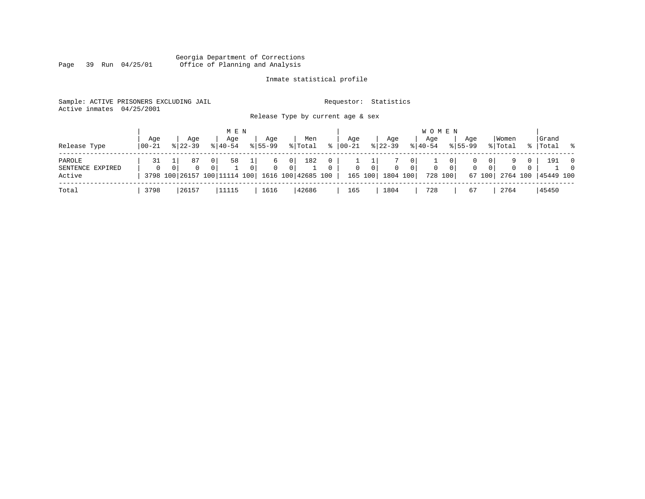#### Georgia Department of Corrections Page 39 Run 04/25/01 Office of Planning and Analysis

# Inmate statistical profile

| Sample: ACTIVE PRISONERS EXCLUDING JAIL |                                   | Requestor: Statistics |
|-----------------------------------------|-----------------------------------|-----------------------|
| Active inmates 04/25/2001               |                                   |                       |
|                                         | Release Type by current age & sex |                       |

| Release Type                         | Age<br>$100 - 21$ | Age<br>$8122 - 39$ |                            | M E N<br>Aqe<br>$8140 - 54$                                             | Age<br>$8155 - 99$ |     | Men<br>% Total | °≈                       | Aqe<br>$00 - 21$ |                           | Aqe<br>$8 \mid 22 - 39$ |          | W O M E N<br>Age<br>$\frac{1}{6}$   40-54 |          | Aqe<br>$8155 - 99$ |                  | Women<br>% Total     | °≈       | Grand<br> Total  | - 옹                        |
|--------------------------------------|-------------------|--------------------|----------------------------|-------------------------------------------------------------------------|--------------------|-----|----------------|--------------------------|------------------|---------------------------|-------------------------|----------|-------------------------------------------|----------|--------------------|------------------|----------------------|----------|------------------|----------------------------|
| PAROLE<br>SENTENCE EXPIRED<br>Active | $\Omega$          |                    | 87<br>$\Omega$<br>$\Omega$ | 58<br>0 <sup>1</sup><br>3798 100 26157 100 11114 100 1616 100 42685 100 | b                  | 0 I | 182            | $\Omega$<br>$\mathbf{0}$ | $\mathbf{0}$     | 0 <sup>1</sup><br>165 100 | 0<br>1804 100           | $\Omega$ | 0<br>728 100                              | $\Omega$ | $\mathbf{0}$       | 0<br>0<br>67 100 | $\Omega$<br>2764 100 | $\Omega$ | 191<br>45449 100 | $\overline{0}$<br>$\Omega$ |
| Total                                | 3798              | 26157              |                            | 11115                                                                   | 1616               |     | 42686          |                          | 165              |                           | 1804                    |          | 728                                       |          | 67                 |                  | 2764                 |          | 45450            |                            |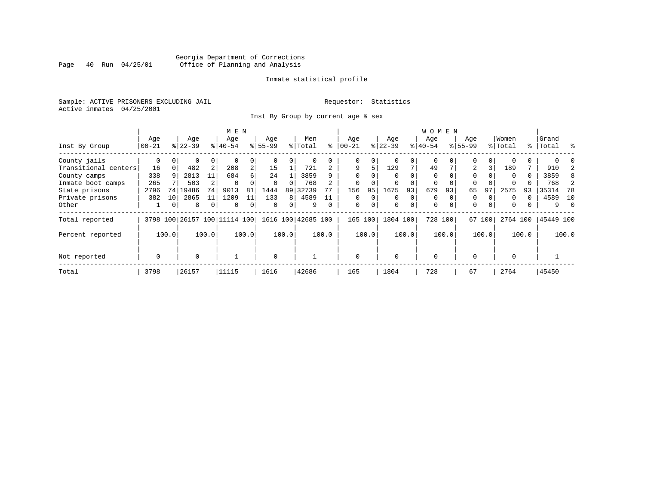# Georgia Department of Corrections<br>Page 40 Run 04/25/01 Office of Planning and Analysis Page 40 Run 04/25/01 Office of Planning and Analysis

#### Inmate statistical profile

Sample: ACTIVE PRISONERS EXCLUDING JAIL **Requestor:** Statistics Active inmates 04/25/2001

Inst By Group by current age & sex

| M E N                |           |       |           |                |                              |                |             |       |                    |          |             |          |          | <b>WOMEN</b> |             |          |             |        |          |       |           |          |
|----------------------|-----------|-------|-----------|----------------|------------------------------|----------------|-------------|-------|--------------------|----------|-------------|----------|----------|--------------|-------------|----------|-------------|--------|----------|-------|-----------|----------|
|                      | Age       |       | Age       |                | Age                          |                | Age         |       | Men                |          | Aqe         |          | Age      |              | Age         |          | Age         |        | Women    |       | Grand     |          |
| Inst By Group        | $00 - 21$ |       | $8 22-39$ |                | $ 40-54 $                    |                | $8155 - 99$ |       | % Total            | ి        | $ 00 - 21$  |          | $ 22-39$ |              | $ 40-54$    |          | $8155 - 99$ |        | % Total  |       | %   Total | ႜ        |
| County jails         | 0         |       | 0         | 0              |                              | 0              |             |       | 0                  |          | 0           | 0        |          |              | 0           |          | $\Omega$    | 0      |          |       |           |          |
| Transitional centers | 16        |       | 482       | 2              | 208                          | $\overline{a}$ | 15          |       | 721                |          | 9           | 5.       | 129      | 7            | 49          |          | 2           | 3      | 189      |       | 910       |          |
| County camps         | 338       | 9     | 2813      | 11             | 684                          | б.             | 24          |       | 3859               | q        | $\Omega$    |          |          |              | $\Omega$    |          | $\Omega$    |        | $\Omega$ | 0     | 3859      | 8        |
| Inmate boot camps    | 265       |       | 503       |                | 0                            |                | $\Omega$    |       | 768                |          | $\mathbf 0$ |          |          |              | 0           |          | $\Omega$    |        |          |       | 768       |          |
| State prisons        | 2796      | 74    | 19486     | 74             | 9013                         | 81             | 1444        | 89    | 32739              |          | 156         | 95       | 1675     | 93           | 679         | 93       | 65          | 97     | 2575     | 93    | 35314     | 78       |
| Private prisons      | 382       | 10    | 2865      | 11             | 1209                         | 11             | 133         | 8     | 4589               |          | $\Omega$    | $\Omega$ | $\Omega$ | $\Omega$     | $\Omega$    |          | $\Omega$    |        | $\Omega$ | 0     | 4589      | 10       |
| Other                |           | 0     | 8         | $\overline{0}$ | $\Omega$                     | 0              | $\Omega$    | 0     | 9                  | $\Omega$ | $\mathbf 0$ | 0        | 0        | 0            | $\mathbf 0$ | $\Omega$ | $\mathbf 0$ | 0      | $\Omega$ |       | 9         | $\Omega$ |
| Total reported       |           |       |           |                | 3798 100 26157 100 11114 100 |                |             |       | 1616 100 42685 100 |          | 165 100     |          | 1804 100 |              | 728 100     |          |             | 67 100 | 2764 100 |       | 45449 100 |          |
| Percent reported     |           | 100.0 |           | 100.0          |                              | 100.0          |             | 100.0 |                    | 100.0    |             | 100.0    |          | 100.0        |             | 100.0    |             | 100.0  |          | 100.0 |           | 100.0    |
| Not reported         | 0         |       | $\Omega$  |                |                              |                | $\Omega$    |       |                    |          | $\Omega$    |          | $\Omega$ |              | $\mathbf 0$ |          | $\Omega$    |        | $\Omega$ |       |           |          |
|                      |           |       |           |                |                              |                |             |       |                    |          |             |          |          |              |             |          |             |        |          |       |           |          |
| Total                | 3798      |       | 26157     |                | 11115                        |                | 1616        |       | 42686              |          | 165         |          | 1804     |              | 728         |          | 67          |        | 2764     |       | 45450     |          |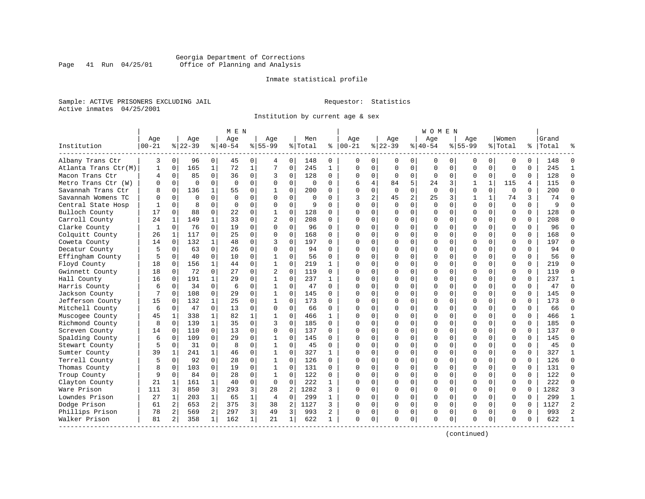### Georgia Department of Corrections<br>Page 41 Run 04/25/01 Office of Planning and Analysis Page 41 Run 04/25/01 Office of Planning and Analysis

#### Inmate statistical profile

Sample: ACTIVE PRISONERS EXCLUDING JAIL **Requestor:** Statistics Active inmates 04/25/2001

Institution by current age & sex

|                      |           |             |           |              | M E N       |             |                |             |          |              |              |                |             |             | W O M E N   |             |              |              |             |          |           |                |
|----------------------|-----------|-------------|-----------|--------------|-------------|-------------|----------------|-------------|----------|--------------|--------------|----------------|-------------|-------------|-------------|-------------|--------------|--------------|-------------|----------|-----------|----------------|
|                      | Age       |             | Age       |              | Age         |             | Age            |             | Men      |              | Age          |                | Age         |             | Aqe         |             | Aqe          |              | Women       |          | Grand     |                |
| Institution          | $00 - 21$ |             | $8 22-39$ |              | $8 40-54$   |             | $8 55-99$      |             | % Total  | နွ           | $ 00-21$     |                | $ 22-39$    |             | $ 40-54$    |             | $8155 - 99$  |              | % Total     |          | %   Total |                |
| Albany Trans Ctr     | 3         | 0           | 96        | 0            | 45          | 0           | 4              | 0           | 148      | 0            | 0            | $\Omega$       | 0           | 0           | 0           | 0           | 0            | 0            | 0           | $\Omega$ | 148       | n              |
| Atlanta Trans Ctr(M) | 1         | $\mathbf 0$ | 165       | $\mathbf{1}$ | 72          | $\mathbf 1$ | 7              | $\mathbf 0$ | 245      | $\mathbf{1}$ | $\Omega$     | $\Omega$       | $\mathbf 0$ | $\mathbf 0$ | $\Omega$    | $\mathbf 0$ | $\Omega$     | $\Omega$     | $\mathbf 0$ | $\Omega$ | 245       | $\mathbf{1}$   |
| Macon Trans Ctr      | 4         | $\mathbf 0$ | 85        | $\Omega$     | 36          | 0           | 3              | $\mathbf 0$ | 128      | 0            | $\Omega$     | $\mathbf{0}$   | $\Omega$    | 0           | $\Omega$    | $\mathbf 0$ | $\Omega$     | $\Omega$     | $\Omega$    | $\Omega$ | 128       | $\Omega$       |
| Metro Trans Ctr (W)  | U         | $\mathbf 0$ | $\Omega$  | $\Omega$     | 0           | $\mathbf 0$ | O              | $\mathbf 0$ | $\Omega$ | $\Omega$     | 6            | 4              | 84          | 5           | 24          | 3           | $\mathbf{1}$ | $\mathbf{1}$ | 115         | 4        | 115       | $\Omega$       |
| Savannah Trans Ctr   |           | $\Omega$    | 136       | $\mathbf{1}$ | 55          | $\Omega$    | 1              | $\Omega$    | 200      | O            | $\cap$       | $\Omega$       | $\Omega$    | $\Omega$    | $\Omega$    | $\Omega$    | $\Omega$     | $\Omega$     | $\Omega$    | $\Omega$ | 200       | $\Omega$       |
| Savannah Womens TC   | $\Omega$  | $\Omega$    | $\Omega$  | $\Omega$     | $\Omega$    | 0           | $\Omega$       | 0           | $\Omega$ | 0            | 3            | $\overline{a}$ | 45          | 2           | 25          | 3           | 1            | $\mathbf{1}$ | 74          | 3        | 74        | $\Omega$       |
| Central State Hosp   |           | $\mathbf 0$ | 8         | $\mathbf 0$  | $\mathbf 0$ | 0           | $\Omega$       | $\mathbf 0$ | 9        | $\Omega$     | $\cap$       | $\Omega$       | $\Omega$    | $\mathbf 0$ | $\mathbf 0$ | 0           | $\Omega$     | 0            | $\mathbf 0$ | $\Omega$ | 9         |                |
| Bulloch County       | 17        | $\mathbf 0$ | 88        | $\mathbf 0$  | 22          | 0           | $\mathbf 1$    | $\mathbf 0$ | 128      | 0            |              | $\Omega$       | $\Omega$    | 0           | C           | $\mathbf 0$ | $\Omega$     | $\Omega$     | $\mathbf 0$ | $\Omega$ | 128       |                |
| Carroll County       | 24        | 1           | 149       | $\mathbf{1}$ | 33          | $\Omega$    | $\mathfrak{D}$ | $\Omega$    | 208      | $\Omega$     | $\Omega$     | 0              | $\Omega$    | $\Omega$    | $\Omega$    | 0           | $\Omega$     | $\Omega$     | $\Omega$    | $\Omega$ | 208       | $\Omega$       |
| Clarke County        | 1         | 0           | 76        | $\Omega$     | 19          | $\mathbf 0$ | $\Omega$       | $\Omega$    | 96       | $\Omega$     | $\cap$       | $\Omega$       | $\Omega$    | 0           | $\Omega$    | 0           | $\Omega$     | $\Omega$     | $\Omega$    | $\Omega$ | 96        | $\Omega$       |
| Colquitt County      | 26        | 1           | 117       | 0            | 25          | $\Omega$    | $\Omega$       | $\Omega$    | 168      | $\Omega$     | ∩            | $\cap$         | $\Omega$    | 0           | $\Omega$    | $\Omega$    | $\Omega$     | $\Omega$     | $\Omega$    | $\cap$   | 168       | $\Omega$       |
| Coweta County        | 14        | 0           | 132       | $\mathbf{1}$ | 48          | 0           | 3              | $\mathbf 0$ | 197      | $\Omega$     | ∩            | 0              | $\Omega$    | $\Omega$    | $\Omega$    | 0           | $\Omega$     | $\Omega$     | $\mathbf 0$ | $\Omega$ | 197       | $\Omega$       |
| Decatur County       |           | $\mathbf 0$ | 63        | $\mathbf 0$  | 26          | $\mathbf 0$ | $\Omega$       | $\mathbf 0$ | 94       | 0            | <sup>0</sup> | $\Omega$       | 0           | $\mathbf 0$ | C           | $\mathbf 0$ | $\Omega$     | $\Omega$     | $\mathbf 0$ | $\Omega$ | 94        | $\Omega$       |
| Effingham County     | 5         | 0           | 40        | 0            | 10          | $\Omega$    | 1              | 0           | 56       | $\Omega$     | $\cap$       | 0              | 0           | 0           | $\Omega$    | 0           | $\Omega$     | $\Omega$     | $\mathbf 0$ | $\Omega$ | 56        | $\Omega$       |
| Floyd County         | 18        | 0           | 156       | $\mathbf{1}$ | 44          | 0           | 1              | 0           | 219      | 1            | $\Omega$     | 0              | $\Omega$    | 0           | $\Omega$    | 0           | $\Omega$     | $\Omega$     | $\mathbf 0$ | 0        | 219       | $\Omega$       |
| Gwinnett County      | 18        | 0           | 72        | $\Omega$     | 27          | $\Omega$    | $\overline{c}$ | $\Omega$    | 119      | 0            | ∩            | 0              | $\Omega$    | 0           | $\Omega$    | $\Omega$    | $\Omega$     | $\Omega$     | $\Omega$    | $\Omega$ | 119       | $\Omega$       |
| Hall County          | 16        | $\Omega$    | 191       | $\mathbf{1}$ | 29          | $\Omega$    | $\mathbf{1}$   | $\Omega$    | 237      | $\mathbf{1}$ | ∩            | $\Omega$       | $\Omega$    | $\Omega$    | $\Omega$    | $\Omega$    | $\Omega$     | $\Omega$     | $\Omega$    | $\Omega$ | 237       | $\mathbf{1}$   |
| Harris County        | 6         | $\Omega$    | 34        | $\Omega$     | 6           | 0           | 1              | $\mathbf 0$ | 47       | $\Omega$     | <sup>0</sup> | $\Omega$       | $\Omega$    | 0           | $\Omega$    | $\Omega$    | $\Omega$     | $\Omega$     | $\Omega$    | $\Omega$ | 47        | $\Omega$       |
| Jackson County       |           | $\mathbf 0$ | 108       | $\mathbf 0$  | 29          | $\mathbf 0$ | $\mathbf 1$    | $\mathbf 0$ | 145      | $\Omega$     | ∩            | $\Omega$       | O           | 0           | U           | $\mathbf 0$ | $\Omega$     | $\Omega$     | $\mathbf 0$ | $\Omega$ | 145       | $\Omega$       |
| Jefferson County     | 15        | 0           | 132       | $\mathbf{1}$ | 25          | $\Omega$    | $\mathbf 1$    | $\mathbf 0$ | 173      | $\Omega$     | $\cap$       | 0              | 0           | 0           | U           | 0           | $\Omega$     | $\Omega$     | $\Omega$    | $\Omega$ | 173       | $\Omega$       |
| Mitchell County      | 6         | 0           | 47        | $\Omega$     | 13          | 0           | $\Omega$       | 0           | 66       | $\Omega$     | ∩            | 0              | $\Omega$    | $\Omega$    | $\Omega$    | 0           | $\Omega$     | $\Omega$     | $\Omega$    | $\Omega$ | 66        | ∩              |
| Muscogee County      | 45        | 1           | 338       | $\mathbf 1$  | 82          | 1           | 1              | $\mathbf 0$ | 466      | 1            | ∩            | 0              | $\Omega$    | 0           | $\Omega$    | 0           | $\Omega$     | $\Omega$     | $\Omega$    | $\Omega$ | 466       | 1              |
| Richmond County      | 8         | $\Omega$    | 139       | $\mathbf{1}$ | 35          | $\Omega$    | 3              | $\Omega$    | 185      | $\Omega$     | $\cap$       | $\Omega$       | $\Omega$    | 0           | $\Omega$    | $\Omega$    | $\Omega$     | $\Omega$     | $\Omega$    | $\Omega$ | 185       | $\Omega$       |
| Screven County       | 14        | $\Omega$    | 110       | $\Omega$     | 13          | $\Omega$    | $\Omega$       | $\Omega$    | 137      | $\Omega$     | $\Omega$     | $\Omega$       | $\Omega$    | $\Omega$    | $\Omega$    | $\Omega$    | $\Omega$     | $\Omega$     | $\Omega$    | $\Omega$ | 137       | $\Omega$       |
| Spalding County      | 6         | 0           | 109       | $\Omega$     | 29          | $\Omega$    | $\mathbf{1}$   | $\mathbf 0$ | 145      | $\Omega$     | $\Omega$     | $\Omega$       | 0           | 0           | C           | $\mathbf 0$ | $\Omega$     | $\Omega$     | $\mathbf 0$ | $\Omega$ | 145       | $\Omega$       |
| Stewart County       | 5         | 0           | 31        | $\Omega$     | 8           | $\Omega$    | $\mathbf 1$    | $\Omega$    | 45       | $\Omega$     | $\Omega$     | 0              | O           | 0           | U           | 0           | $\Omega$     | $\Omega$     | $\Omega$    | $\Omega$ | 45        | $\Omega$       |
| Sumter County        | 39        | 1           | 241       | $\mathbf{1}$ | 46          | 0           | $\mathbf{1}$   | $\mathbf 0$ | 327      | 1            | $\cap$       | 0              | $\Omega$    | $\Omega$    | $\Omega$    | 0           | $\Omega$     | $\Omega$     | $\mathbf 0$ | $\Omega$ | 327       | 1              |
| Terrell County       | 5         | 0           | 92        | $\Omega$     | 28          | 0           | 1              | $\mathbf 0$ | 126      | 0            |              | 0              | $\Omega$    | $\Omega$    | $\Omega$    | 0           | $\Omega$     | $\Omega$     | $\Omega$    | $\Omega$ | 126       | $\Omega$       |
| Thomas County        | 8         | $\Omega$    | 103       | 0            | 19          | $\Omega$    | $\mathbf{1}$   | $\Omega$    | 131      | $\Omega$     | $\cap$       | $\cap$         | $\Omega$    | O           | $\Omega$    | $\Omega$    | $\Omega$     | $\Omega$     | $\Omega$    | $\Omega$ | 131       | $\Omega$       |
| Troup County         | 9         | 0           | 84        | $\Omega$     | 28          | 0           | 1              | 0           | 122      | $\Omega$     | ∩            | 0              | $\Omega$    | $\mathbf 0$ | $\Omega$    | 0           | $\Omega$     | $\Omega$     | $\mathbf 0$ | $\Omega$ | 122       | $\Omega$       |
| Clayton County       | 21        | 1           | 161       | $\mathbf{1}$ | 40          | 0           | 0              | $\mathbf 0$ | 222      | 1            |              | $\Omega$       | 0           | 0           | $\Omega$    | $\mathbf 0$ | $\Omega$     | 0            | $\mathbf 0$ | $\Omega$ | 222       | $\Omega$       |
| Ware Prison          | 111       | 3           | 850       | 3            | 293         | 3           | 28             | 2           | 1282     | 3            | $\cap$       | $\Omega$       | 0           | $\Omega$    | $\Omega$    | 0           | $\Omega$     | $\Omega$     | $\Omega$    | $\Omega$ | 1282      | 3              |
| Lowndes Prison       | 27        | $\mathbf 1$ | 203       | $\mathbf{1}$ | 65          | 1           | 4              | $\mathbf 0$ | 299      | 1            | ∩            | $\Omega$       | $\Omega$    | 0           | $\Omega$    | 0           | $\Omega$     | $\Omega$     | $\mathbf 0$ | $\Omega$ | 299       | $\mathbf{1}$   |
| Dodge Prison         | 61        | 2           | 653       | 2            | 375         | 3           | 38             | 2           | 1127     | 3            |              | $\Omega$       | $\Omega$    | $\Omega$    | $\Omega$    | 0           | $\Omega$     | $\Omega$     | $\Omega$    | U        | 1127      | $\overline{2}$ |
| Phillips Prison      | 78        | 2           | 569       | 2            | 297         | 3           | 49             | 3           | 993      | 2            | <sup>0</sup> | 0              | 0           | 0           | $\Omega$    | 0           | $\Omega$     | $\Omega$     | $\Omega$    | $\Omega$ | 993       | $\mathcal{D}$  |
| Walker Prison        | 81        | 2           | 358       | 1            | 162         | 1           | 21             | 1           | 622      | 1            | $\Omega$     | 0              | $\Omega$    | 0           | $\Omega$    | 0           | $\Omega$     | 0            | $\Omega$    | 0        | 622       |                |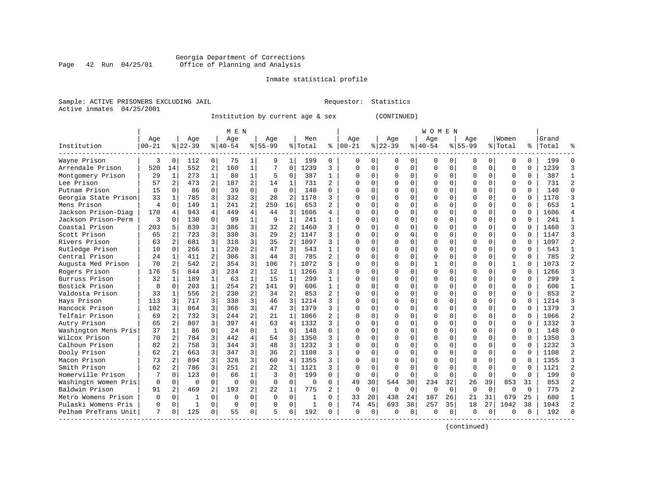#### Georgia Department of Corrections Page 42 Run 04/25/01 Office of Planning and Analysis

# Inmate statistical profile

|  | Sample: ACTIVE PRISONERS EXCLUDING JAII |  |
|--|-----------------------------------------|--|
|  | Active inmates 04/25/2001               |  |

L Bample: Active Prequestor: Statistics

Institution by current age & sex

|                      |                |                |              |                | M E N          |                |              |                |              |                |          |              |             |          | W O M E N    |             |             |          |          |          |           |                |
|----------------------|----------------|----------------|--------------|----------------|----------------|----------------|--------------|----------------|--------------|----------------|----------|--------------|-------------|----------|--------------|-------------|-------------|----------|----------|----------|-----------|----------------|
|                      | Age            |                | Age          |                | Age            |                | Age          |                | Men          |                | Age      |              | Age         |          | Aqe          |             | Aqe         |          | Women    |          | Grand     |                |
| Institution          | $00 - 21$      |                | $ 22-39$     |                | $8 40-54$      |                | $8155 - 99$  |                | % Total      | ႜ              | $ 00-21$ |              | $ 22-39$    |          | $8 40-54$    |             | $8155 - 99$ |          | % Total  |          | %   Total | ៖              |
| Wayne Prison         | 3              | $\Omega$       | 112          | 0              | 75             |                | 9            |                | 199          | 0              | O        | 0            | 0           | 0        | 0            | $\Omega$    | 0           | 0        | $\Omega$ |          | 199       | 0              |
| Arrendale Prison     | 520            | 14             | 552          | 2              | 160            | 1              |              | 0              | 1239         | 3              | $\Omega$ | 0            | $\Omega$    | $\Omega$ | O            | $\Omega$    | $\Omega$    | 0        | $\Omega$ | $\Omega$ | 1239      | 3              |
| Montgomery Prison    | 29             | $\mathbf{1}$   | 273          | $\mathbf{1}$   | 80             | 1              | 5            | $\Omega$       | 387          | 1              | $\cap$   | $\Omega$     | $\Omega$    | $\Omega$ |              | $\Omega$    | $\Omega$    | $\Omega$ | $\Omega$ | $\Omega$ | 387       | $\mathbf{1}$   |
| Lee Prison           | 57             | 2              | 473          | $\overline{2}$ | 187            | $\overline{2}$ | 14           | $\mathbf{1}$   | 731          | $\overline{2}$ |          | $\Omega$     | $\Omega$    | $\Omega$ |              | $\Omega$    | U           | $\Omega$ | $\Omega$ | $\Omega$ | 731       | $\overline{a}$ |
| Putnam Prison        | 15             | $\Omega$       | 86           | $\Omega$       | 39             | $\Omega$       | $\Omega$     | $\Omega$       | 140          | $\Omega$       |          | $\Omega$     | $\Omega$    | $\Omega$ |              | $\Omega$    | U           | $\Omega$ | $\Omega$ | $\Omega$ | 140       | $\Omega$       |
| Georgia State Prison | 33             | 1              | 785          | 3              | 332            | 3              | 28           | 2              | 1178         | 3              |          | $\Omega$     | $\Omega$    | $\Omega$ |              | $\Omega$    | O           | $\Omega$ | $\Omega$ | $\Omega$ | 1178      | 3              |
| Mens Prison          | $\overline{4}$ | $\Omega$       | 149          | $\mathbf{1}$   | 241            | 2              | 259          | 16             | 653          | $\mathfrak{D}$ |          | $\Omega$     | $\cap$      | $\Omega$ |              | $\Omega$    | $\Omega$    | $\Omega$ | $\Omega$ | $\Omega$ | 653       | $\mathbf{1}$   |
| Jackson Prison-Diag  | 170            | 4              | 943          | 4              | 449            | 4              | 44           | 3              | 1606         | 4              |          | $\Omega$     | U           | U        |              | $\Omega$    | U           | $\Omega$ | $\Omega$ | $\cap$   | 1606      | $\overline{4}$ |
| Jackson Prison-Perm  | 3              | $\Omega$       | 130          | $\Omega$       | 99             | $\mathbf 1$    | 9            | $\mathbf{1}$   | 241          | 1              |          | 0            | O           | U        | ∩            | $\Omega$    | 0           | $\Omega$ | $\Omega$ | $\Omega$ | 241       | $\mathbf{1}$   |
| Coastal Prison       | 203            | 5              | 839          | 3              | 386            | 3              | 32           | $\overline{a}$ | 1460         | 3              |          |              | O           | U        |              | $\Omega$    |             | $\Omega$ | $\Omega$ |          | 1460      | 3              |
| Scott Prison         | 65             |                | 723          | 3              | 330            | 3              | 29           | 2              | 1147         | ς              |          | <sup>n</sup> | $\cap$      | U        |              | $\Omega$    | O           | $\Omega$ | $\Omega$ |          | 1147      | 3              |
| Rivers Prison        | 63             | $\overline{2}$ | 681          | 3              | 318            | 3              | 35           | $\overline{c}$ | 1097         | 3              | n        | <sup>n</sup> | U           | U        |              | ∩           | U           | $\Omega$ | $\Omega$ | $\cap$   | 1097      | $\overline{2}$ |
| Rutledge Prison      | 10             | $\Omega$       | 266          | $\mathbf{1}$   | 220            | $\overline{2}$ | 47           | 3              | 543          | 1              |          | $\Omega$     | O           | $\Omega$ |              | $\Omega$    | U           | $\Omega$ | $\Omega$ | $\Omega$ | 543       | $\mathbf{1}$   |
| Central Prison       | 24             | 1              | 411          | 2              | 306            | 3              | 44           | 3              | 785          | $\overline{a}$ |          | $\Omega$     | 0           | $\Omega$ |              | $\Omega$    | U           | $\Omega$ | $\Omega$ | $\Omega$ | 785       | $\overline{a}$ |
| Augusta Med Prison   | 70             | 2              | 542          | $\overline{a}$ | 354            | 3              | 106          | 7              | 1072         | 3              |          | $\Omega$     | $\Omega$    | U        |              | $\Omega$    | U           | $\Omega$ | 1        | $\Omega$ | 1073      | $\overline{a}$ |
| Rogers Prison        | 176            | 5              | 844          | 3              | 234            | $\overline{a}$ | 12           | 1              | 1266         | 3              |          | $\Omega$     | $\Omega$    | U        |              | $\Omega$    | O           | $\Omega$ | $\Omega$ | $\Omega$ | 1266      | $\mathbf{3}$   |
| Burruss Prison       | 32             | $\mathbf{1}$   | 189          | $\mathbf{1}$   | 63             | 1              | 15           | $\mathbf{1}$   | 299          | $\mathbf{1}$   | $\cap$   | $\Omega$     | $\Omega$    | $\Omega$ |              | $\Omega$    | $\Omega$    | $\Omega$ | $\Omega$ | $\Omega$ | 299       | $\mathbf{1}$   |
| Bostick Prison       | 8              | $\Omega$       | 203          | $\mathbf{1}$   | 254            | 2              | 141          | 9              | 606          | 1              |          | $\Omega$     | $\Omega$    | U        | <sup>0</sup> | $\Omega$    | U           | $\Omega$ | $\Omega$ | $\Omega$ | 606       | $\mathbf{1}$   |
| Valdosta Prison      | 33             | $\mathbf{1}$   | 556          | 2              | 230            | 2              | 34           | 2              | 853          | 2              |          |              | $\Omega$    | $\Omega$ |              | $\Omega$    |             | $\Omega$ | $\Omega$ |          | 853       | $\overline{a}$ |
| Hays Prison          | 113            | 3              | 717          | 3              | 338            | 3              | 46           | 3              | 1214         | 3              |          | $\Omega$     | $\Omega$    | $\Omega$ |              | $\Omega$    | O           | $\Omega$ | $\Omega$ | $\Omega$ | 1214      | 3              |
| Hancock Prison       | 102            | 3              | 864          | 3              | 366            | 3              | 47           | 3              | 1379         | 3              |          | $\cap$       | $\cap$      | $\Omega$ | $\cap$       | $\Omega$    | U           | $\cap$   | $\Omega$ | $\cap$   | 1379      | 3              |
| Telfair Prison       | 69             | 2              | 732          | 3              | 244            | $\overline{a}$ | 21           | 1              | 1066         | 2              |          | $\cap$       | U           | $\Omega$ |              | $\Omega$    | U           | $\Omega$ | $\Omega$ | $\cap$   | 1066      | $\overline{2}$ |
| Autry Prison         | 65             | 2              | 807          | 3              | 397            | $\overline{4}$ | 63           | 4              | 1332         | 3              |          | $\Omega$     | O           | $\Omega$ |              | $\Omega$    | 0           | $\Omega$ | 0        |          | 1332      | 3              |
| Washington Mens Pris | 37             | $\mathbf{1}$   | 86           | 0              | 24             | 0              | $\mathbf{1}$ | 0              | 148          | $\Omega$       |          | $\Omega$     | 0           | U        |              | $\Omega$    | O           | $\Omega$ | $\Omega$ | $\Omega$ | 148       | $\mathbf 0$    |
| Wilcox Prison        | 70             | 2              | 784          | 3              | 442            | 4              | 54           | 3              | 1350         |                |          | $\Omega$     | $\Omega$    | U        |              | $\Omega$    | U           | $\Omega$ | $\Omega$ | $\Omega$ | 1350      | 3              |
| Calhoun Prison       | 82             | 2              | 758          | 3              | 344            | 3              | 48           | 3              | 1232         | ς              | $\cap$   | 0            | O           | 0        |              | $\Omega$    | O           | $\Omega$ | 0        | $\Omega$ | 1232      | 3              |
| Dooly Prison         | 62             | 2              | 663          | 3              | 347            | 3              | 36           | $\overline{a}$ | 1108         | 3              |          | 0            | O           | U        |              | $\Omega$    | U           | 0        | $\Omega$ |          | 1108      | $\overline{2}$ |
| Macon Prison         | 73             | 2              | 894          | 3              | 328            | 3              | 60           | 4              | 1355         | ς              |          |              |             | U        |              | $\Omega$    |             | 0        | $\Omega$ |          | 1355      | 3              |
| Smith Prison         | 62             | 2              | 786          | 3              | 251            | 2              | 22           | 1              | 1121         | 3              |          | $\Omega$     | $\Omega$    | $\Omega$ |              | $\Omega$    | $\Omega$    | $\cap$   | $\Omega$ |          | 1121      | $\overline{2}$ |
| Homerville Prison    |                | $\Omega$       | 123          | $\Omega$       | 66             | 1              | ζ            | $\Omega$       | 199          | $\Omega$       | $\Omega$ | $\Omega$     | $\Omega$    | $\Omega$ | $\cap$       | $\Omega$    | $\Omega$    | $\Omega$ | $\Omega$ | $\cap$   | 199       | $\Omega$       |
| Washingtn Women Pris | 0              | $\Omega$       | $\Omega$     | $\Omega$       | $\Omega$       | $\Omega$       | $\Omega$     | $\Omega$       | $\Omega$     | $\Omega$       | 49       | 30           | 544         | 30       | 234          | 32          | 26          | 39       | 853      | 31       | 853       | $\overline{a}$ |
| Baldwin Prison       | 91             | 2              | 469          | 2              | 193            | $\overline{a}$ | 22           | 1              | 775          | 2              | $\Omega$ | $\Omega$     | $\mathbf 0$ | $\Omega$ | $\Omega$     | $\Omega$    | $\Omega$    | $\Omega$ | $\Omega$ | $\Omega$ | 775       | $\overline{a}$ |
| Metro Womens Prison  | 0              | $\Omega$       |              | $\Omega$       | $\Omega$       | $\Omega$       | $\mathbf 0$  | $\mathbf 0$    | 1            | $\Omega$       | 33       | 20           | 438         | 24       | 187          | 26          | 21          | 31       | 679      | 25       | 680       | $\mathbf{1}$   |
| Pulaski Womens Pris  | O              | $\mathbf 0$    | $\mathbf{1}$ | $\Omega$       | $\overline{0}$ | 0              | $\Omega$     | $\mathbf 0$    | $\mathbf{1}$ | $\Omega$       | 74       | 45           | 693         | 38       | 257          | 35          | 18          | 27       | 1042     | 38       | 1043      | $\overline{2}$ |
| Pelham PreTrans Unit | 7              | $\Omega$       | 125          | 0              | 55             | 0              | 5            | $\Omega$       | 192          | $\Omega$       | $\Omega$ | 0            | $\Omega$    | 0        | $\Omega$     | $\mathbf 0$ | 0           | $\Omega$ | $\Omega$ | $\Omega$ | 192       | $\Omega$       |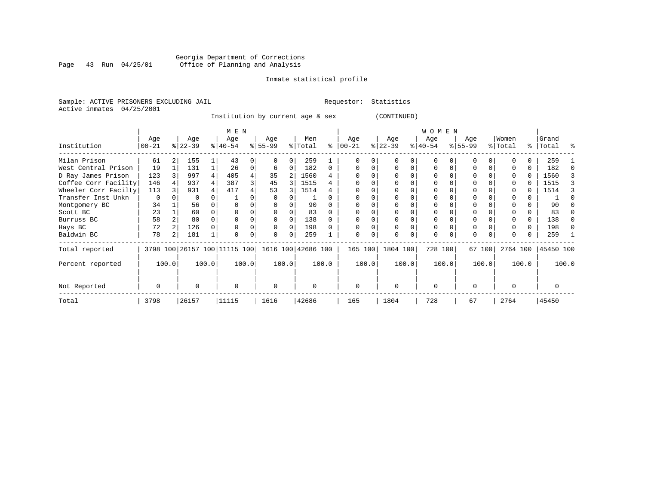# Georgia Department of Corrections<br>Page 43 Run 04/25/01 Office of Planning and Analysis Page 43 Run 04/25/01 Office of Planning and Analysis

#### Inmate statistical profile

Sample: ACTIVE PRISONERS EXCLUDING JAIL **Requestor:** Statistics Active inmates 04/25/2001

Institution by current age & sex (CONTINUED)

|                      |             |       |           |       | M E N                        |       |                    |          |          |       |             |       |           |       | WOMEN     |       |           |        |          |          |           |       |
|----------------------|-------------|-------|-----------|-------|------------------------------|-------|--------------------|----------|----------|-------|-------------|-------|-----------|-------|-----------|-------|-----------|--------|----------|----------|-----------|-------|
|                      | Age         |       | Age       |       | Age                          |       | Age                |          | Men      |       | Age         |       | Age       |       | Age       |       | Age       |        | Women    |          | Grand     |       |
| Institution          | $ 00 - 21$  |       | $ 22-39 $ |       | $ 40-54 $                    |       | $8 55-99$          |          | % Total  | ႜ     | $00 - 21$   |       | $ 22-39 $ |       | $ 40-54 $ |       | $ 55-99 $ |        | % Total  | ွေ       | Total     |       |
| Milan Prison         | 61          |       | 155       |       | 43                           |       |                    |          | 259      |       |             |       |           |       |           |       |           |        |          | 0        | 259       |       |
| West Central Prison  | 19          |       | 131       |       | 26                           |       | 6                  |          | 182      | 0     |             |       |           |       | O         |       |           |        |          | 0        | 182       |       |
| D Ray James Prison   | 123         |       | 997       |       | 405                          |       | 35                 | 2        | 1560     |       |             |       |           |       |           |       |           |        |          | 0        | 1560      |       |
| Coffee Corr Facility | 146         |       | 937       |       | 387                          | 3     | 45                 | 3        | 1515     |       |             |       |           |       | O         |       |           |        |          | 0        | 1515      |       |
| Wheeler Corr Facilty | 113         |       | 931       |       | 417                          |       | 53                 |          | 1514     |       |             |       |           |       | O         |       |           |        | 0        | 0        | 1514      |       |
| Transfer Inst Unkn   | $\mathbf 0$ |       | 0         |       |                              |       |                    |          |          |       |             |       |           |       | 0         |       |           |        |          | 0        |           |       |
| Montgomery BC        | 34          |       | 56        |       |                              |       |                    |          | 90       |       | $\Omega$    |       |           |       | O         |       |           |        |          | 0        | 90        |       |
| Scott BC             | 23          |       | 60        |       |                              |       |                    |          | 83       |       | $\Omega$    |       |           |       | 0         |       |           |        |          | 0        | 83        |       |
| Burruss BC           | 58          |       | 80        |       |                              |       | $\Omega$           |          | 138      |       | $\Omega$    |       |           |       | 0         |       |           |        |          | $\Omega$ | 138       |       |
| Hays BC              | 72          |       | 126       |       |                              |       | $\Omega$           | $\Omega$ | 198      |       | $\Omega$    | O     |           |       | $\Omega$  |       |           |        |          | $\Omega$ | 198       |       |
| Baldwin BC           | 78          |       | 181       |       | $\Omega$                     | 0     | $\Omega$           | $\Omega$ | 259      |       | $\mathbf 0$ | 0     |           |       | $\Omega$  |       | $\Omega$  | 0      |          | 0        | 259       |       |
| Total reported       |             |       |           |       | 3798 100 26157 100 11115 100 |       | 1616 100 42686 100 |          |          |       | 165 100     |       | 1804 100  |       | 728 100   |       |           | 67 100 | 2764 100 |          | 45450 100 |       |
| Percent reported     |             | 100.0 |           | 100.0 |                              | 100.0 |                    | 100.0    |          | 100.0 |             | 100.0 |           | 100.0 |           | 100.0 |           | 100.0  |          | 100.0    |           | 100.0 |
| Not Reported         |             |       | O         |       | $\Omega$                     |       | $\Omega$           |          | $\Omega$ |       | $\Omega$    |       | $\Omega$  |       | $\Omega$  |       | $\Omega$  |        | $\Omega$ |          |           |       |
| Total                | 3798        |       | 26157     |       | 11115                        |       | 1616               |          | 42686    |       | 165         |       | 1804      |       | 728       |       | 67        |        | 2764     |          | 45450     |       |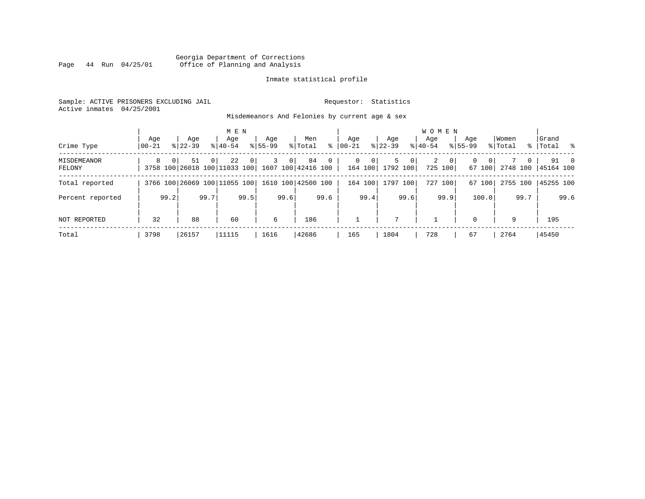### Georgia Department of Corrections Page 44 Run 04/25/01 Office of Planning and Analysis

#### Inmate statistical profile

Sample: ACTIVE PRISONERS EXCLUDING JAIL **Requestor:** Statistics Active inmates 04/25/2001

Misdemeanors And Felonies by current age & sex

| Crime Type                   | Aqe<br>$00 - 21$ |          | Age<br>$8122 - 39$                                    |          | M E N<br>Age<br>$8140 - 54$ |                | Aqe<br>$8155 - 99$ |                | Men<br>% Total | ∻              | Age<br>$ 00-21 $ |                     | Aqe<br>$8$   22-39    |                | <b>WOMEN</b><br>Aqe<br>$ 40-54 $ |                         | Aqe<br>$8155 - 99$ |                          | Women<br>% Total |          | Grand<br>%   Total % |      |
|------------------------------|------------------|----------|-------------------------------------------------------|----------|-----------------------------|----------------|--------------------|----------------|----------------|----------------|------------------|---------------------|-----------------------|----------------|----------------------------------|-------------------------|--------------------|--------------------------|------------------|----------|----------------------|------|
| <b>MISDEMEANOR</b><br>FELONY | 8                | $\Omega$ | 51<br>3758 100 26018 100 11033 100 1607 100 42416 100 | $\Omega$ | 22                          | 0 <sup>1</sup> | 3                  | 0 <sup>1</sup> | 84             | $\overline{0}$ |                  | 0 <sup>1</sup><br>0 | 5<br>164 100 1792 100 | 0 <sup>1</sup> | 2                                | $\mathbf{0}$<br>725 100 | 0                  | 0 <sup>1</sup><br>67 100 | 2748 100         | $\Omega$ | 45164 100            | 91 0 |
| Total reported               |                  |          | 3766 100 26069 100 11055 100 1610 100 42500 100       |          |                             |                |                    |                |                |                |                  | 164 100             | 1797 100              |                |                                  | 727 100                 |                    | 67 100                   | 2755 100         |          | 45255 100            |      |
| Percent reported             |                  | 99.2     |                                                       | 99.7     |                             | 99.5           |                    | 99.6           |                | 99.6           |                  | 99.4                |                       | 99.6           |                                  | 99.9                    |                    | 100.0                    |                  | 99.7     |                      | 99.6 |
| NOT REPORTED                 | 32               |          | 88                                                    |          | 60                          |                | 6                  |                | 186            |                |                  |                     | $\mathbf{r}$          |                |                                  |                         | $\Omega$           |                          | 9                |          | 195                  |      |
| Total                        | 3798             |          | 26157                                                 |          | 11115                       |                | 1616               |                | 42686          |                | 165              |                     | 1804                  |                | 728                              |                         | 67                 |                          | 2764             |          | 45450                |      |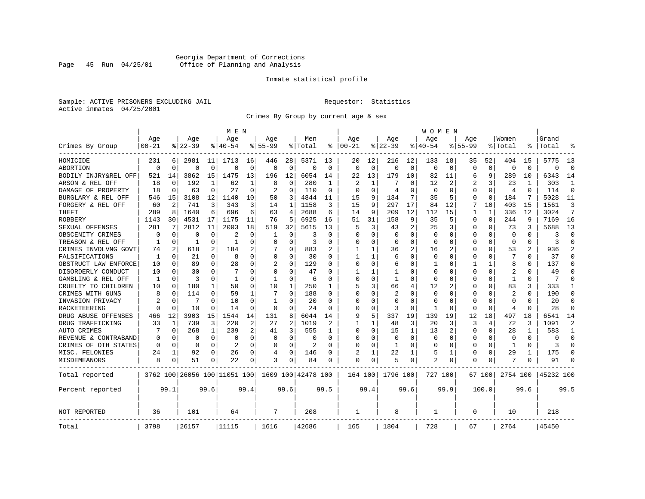# Georgia Department of Corrections<br>Page 45 Run 04/25/01 Office of Planning and Analysis Page 45 Run 04/25/01 Office of Planning and Analysis

#### Inmate statistical profile

Sample: ACTIVE PRISONERS EXCLUDING JAIL **Requestor:** Statistics Active inmates 04/25/2001

Crimes By Group by current age & sex

|                      |           |                |           |              | M E N                        |          |              |              |                    |          |                |          |                |             | W O M E N    |          |              |              |                |              |           |                |
|----------------------|-----------|----------------|-----------|--------------|------------------------------|----------|--------------|--------------|--------------------|----------|----------------|----------|----------------|-------------|--------------|----------|--------------|--------------|----------------|--------------|-----------|----------------|
|                      | Age       |                | Age       |              | Age                          |          | Aqe          |              | Men                |          | Age            |          | Age            |             | Aqe          |          | Aqe          |              | Women          |              | Grand     |                |
| Crimes By Group      | $00 - 21$ |                | $8 22-39$ |              | % 40-54                      |          | $8155 - 99$  |              | % Total            | နွ       | $ 00-21$       |          | $8 22-39$      |             | $ 40-54$     |          | $8155 - 99$  |              | % Total        |              | Total     |                |
| HOMICIDE             | 231       | 6              | 2981      | 11           | 1713                         | 16       | 446          | 28           | 5371               | 13       | 20             | 12       | 216            | 12          | 133          | 18       | 35           | 52           | 404            | 15           | 5775      | 13             |
| ABORTION             | $\Omega$  | $\Omega$       | $\Omega$  | 0            | $\Omega$                     | $\Omega$ | 0            | 0            | $\Omega$           | $\Omega$ | $\Omega$       | $\Omega$ | $\mathbf 0$    | $\mathbf 0$ | $\Omega$     | $\Omega$ | $\Omega$     | $\mathbf 0$  | $\Omega$       | $\Omega$     | $\Omega$  | $\Omega$       |
| BODILY INJRY&REL OFF | 521       | 14             | 3862      | 15           | 1475                         | 13       | 196          | 12           | 6054               | 14       | 22             | 13       | 179            | 10          | 82           | 11       | 6            | 9            | 289            | 10           | 6343      | 14             |
| ARSON & REL OFF      | 18        | $\mathbf 0$    | 192       | $\mathbf{1}$ | 62                           | 1        | 8            | 0            | 280                | -1       | $\overline{2}$ |          |                | O           | 12           | 2        | 2            | 3            | 23             | -1           | 303       | 1              |
| DAMAGE OF PROPERTY   | 18        | $\Omega$       | 63        | 0            | 27                           | $\Omega$ | 2            | $\Omega$     | 110                | $\Omega$ | ∩              | $\Omega$ | 4              | O           | <sup>0</sup> | $\Omega$ | O            | 0            | $\overline{4}$ | <sup>0</sup> | 114       | $\Omega$       |
| BURGLARY & REL OFF   | 546       | 15             | 3108      | 12           | 1140                         | 10       | 50           | 3            | 4844               | 11       | 15             | 9        | 134            | 7           | 35           | 5        | 0            | $\Omega$     | 184            | 7            | 5028      | 11             |
| FORGERY & REL OFF    | 60        | $\overline{2}$ | 741       | 3            | 343                          | 3        | 14           | $\mathbf{1}$ | 1158               | 3        | 15             | 9        | 297            | 17          | 84           | 12       | 7            | 10           | 403            | 15           | 1561      | 3              |
| THEFT                | 289       | 8              | 1640      | 6            | 696                          | 6        | 63           | 4            | 2688               | 6        | 14             | 9        | 209            | 12          | 112          | 15       | $\mathbf{1}$ | $\mathbf{1}$ | 336            | 12           | 3024      | 7              |
| <b>ROBBERY</b>       | 1143      | 30             | 4531      | 17           | 1175                         | 11       | 76           | 5            | 6925               | 16       | 51             | 31       | 158            | 9           | 35           | 5        | 0            | $\Omega$     | 244            | 9            | 7169      | 16             |
| SEXUAL OFFENSES      | 281       | 7              | 2812      | 11           | 2003                         | 18       | 519          | 32           | 5615               | 13       | 5              | 3        | 43             | 2           | 25           | 3        | 0            | 0            | 73             | 3            | 5688      | 13             |
| OBSCENITY CRIMES     | $\Omega$  | $\Omega$       | O         | 0            | 2                            | O        | 1            | $\Omega$     | 3                  | O        | $\Omega$       | $\Omega$ | $\Omega$       | $\Omega$    | <sup>0</sup> | $\Omega$ | U            | $\Omega$     | $\Omega$       | <sup>0</sup> | 3         | $\Omega$       |
| TREASON & REL OFF    | 1         | 0              | -1        | 0            | -1                           | O        | O            | $\Omega$     | २                  | O        | O              | $\Omega$ | $\Omega$       | $\Omega$    | <sup>0</sup> | $\Omega$ | U            | 0            | $\Omega$       | 0            | २         | $\Omega$       |
| CRIMES INVOLVNG GOVT | 74        | $\overline{2}$ | 618       | 2            | 184                          | 2        |              | 0            | 883                |          |                |          | 36             | 2           | 16           | 2        | Ω            | $\Omega$     | 53             | 2            | 936       | $\overline{2}$ |
| FALSIFICATIONS       | 1         | 0              | 21        | 0            | 8                            | 0        | 0            | 0            | 30                 | $\Omega$ | 1              |          | 6              | O           | <sup>0</sup> | $\Omega$ | U            | 0            | 7              | 0            | 37        | $\Omega$       |
| OBSTRUCT LAW ENFORCE | 10        | 0              | 89        | 0            | 28                           | O        |              | 0            | 129                | U        | $\Omega$       | $\Omega$ | 6              | O           |              | $\Omega$ |              | 1            | 8              | U            | 137       | $\Omega$       |
| DISORDERLY CONDUCT   | 10        | 0              | 30        | 0            |                              | O        | U            | 0            | 47                 |          |                |          |                | N           |              | $\Omega$ | Ω            | O            | 2              |              | 49        | $\Omega$       |
| GAMBLING & REL OFF   | -1        | $\Omega$       | ζ         | 0            | -1                           | 0        | $\mathbf{1}$ | $\Omega$     | 6                  | $\Omega$ | $\Omega$       | $\Omega$ | $\mathbf{1}$   | $\Omega$    | <sup>0</sup> | $\Omega$ | U            | $\Omega$     | $\mathbf{1}$   | $\Omega$     | 7         | $\Omega$       |
| CRUELTY TO CHILDREN  | 10        | $\Omega$       | 180       | 1            | 50                           | $\Omega$ | 10           | 1            | 250                | 1        | 5              | 3        | 66             | 4           | 12           | 2        | U            | $\Omega$     | 83             | 3            | 333       | 1              |
| CRIMES WITH GUNS     |           | $\Omega$       | 114       | $\Omega$     | 59                           | 1        | 7            | $\Omega$     | 188                | $\Omega$ | $\Omega$       | $\Omega$ | $\overline{2}$ | $\Omega$    | <sup>0</sup> | $\Omega$ | Ω            | $\Omega$     | $\overline{2}$ | $\Omega$     | 190       | $\Omega$       |
| INVASION PRIVACY     |           | 0              | 7         | 0            | 10                           | $\Omega$ | $\mathbf{1}$ | U            | 20                 | $\Omega$ | $\Omega$       | $\Omega$ | $\Omega$       | O           | <sup>0</sup> | $\Omega$ | O            | 0            | $\Omega$       | <sup>0</sup> | 20        | $\Omega$       |
| RACKETEERING         | $\Omega$  | $\Omega$       | 10        | 0            | 14                           | O        | 0            | $\Omega$     | 24                 | O        | $\Omega$       | $\Omega$ | 3              | 0           |              | 0        | O            | 0            | $\overline{4}$ | O            | 28        | $\Omega$       |
| DRUG ABUSE OFFENSES  | 466       | 12             | 3903      | 15           | 1544                         | 14       | 131          | 8            | 6044               | 14       | 9              | 5        | 337            | 19          | 139          | 19       | 12           | 18           | 497            | 18           | 6541      | 14             |
| DRUG TRAFFICKING     | 33        | 1              | 739       | 3            | 220                          | 2        | 27           | 2            | 1019               |          | 1              |          | 48             | 3           | 20           | 3        | 3            | 4            | 72             | ζ            | 1091      | $\overline{2}$ |
| <b>AUTO CRIMES</b>   |           | 0              | 268       | 1            | 239                          | 2        | 41           | 3            | 555                | 1        | $\Omega$       | $\Omega$ | 15             | 1           | 13           | 2        | $\Omega$     | $\Omega$     | 28             | -1           | 583       | 1              |
| REVENUE & CONTRABAND |           | 0              | 0         | 0            | $\Omega$                     | $\Omega$ | 0            | 0            | $\Omega$           | $\Omega$ | $\Omega$       | $\Omega$ | $\mathbf 0$    | 0           | 0            | $\Omega$ | 0            | 0            | $\Omega$       | $\Omega$     | O         | $\Omega$       |
| CRIMES OF OTH STATES | $\Omega$  | $\Omega$       | 0         | 0            | $\overline{a}$               | $\Omega$ | 0            | $\Omega$     | $\overline{2}$     | $\Omega$ | $\Omega$       | $\Omega$ | -1             | 0           | <sup>0</sup> | $\Omega$ | 0            | 0            | -1             | $\Omega$     | 3         | $\Omega$       |
| MISC. FELONIES       | 24        | 1              | 92        | 0            | 26                           | 0        | 4            | $\Omega$     | 146                | O        |                |          | 22             |             | 5            | 1        | 0            | 0            | 29             |              | 175       | $\Omega$       |
| MISDEMEANORS         | 8         | 0              | 51        | 0            | 22                           | 0        | 3            | 0            | 84                 | O        | $\Omega$       | 0        | 5              | 0           | 2            | 0        | 0            | 0            |                |              | 91        | ∩              |
| Total reported       |           |                |           |              | 3762 100 26056 100 11051 100 |          |              |              | 1609 100 42478 100 |          | 164 100        |          | 1796 100       |             | 727 100      |          |              | 67 1001      | 2754 100       |              | 45232 100 |                |
| Percent reported     |           | 99.1           |           | 99.6         |                              | 99.4     |              | 99.6         |                    | 99.5     |                | 99.4     |                | 99.6        |              | 99.9     |              | 100.0        |                | 99.6         |           | 99.5           |
| NOT REPORTED         | 36        |                | 101       |              | 64                           |          | 7            |              | 208                |          | 1              |          | 8              |             | 1            |          | 0            |              | 10             |              | 218       |                |
| Total                | 3798      |                | 26157     |              | 11115                        |          | 1616         |              | 42686              |          | 165            |          | 1804           |             | 728          |          | 67           |              | 2764           |              | 45450     |                |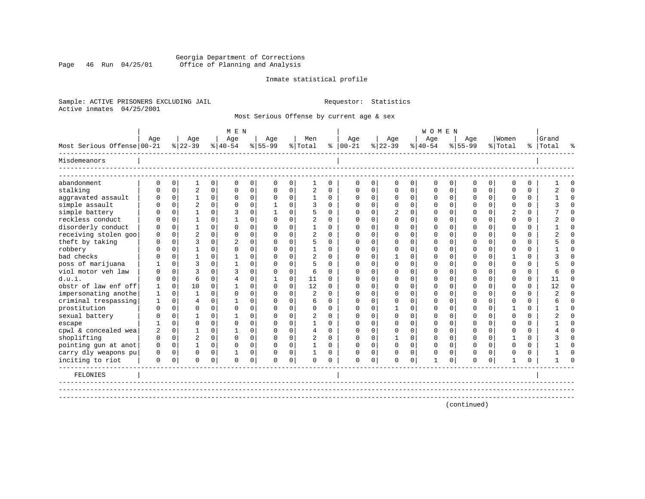### Georgia Department of Corrections Page 46 Run 04/25/01 Office of Planning and Analysis

#### Inmate statistical profile

Sample: ACTIVE PRISONERS EXCLUDING JAIL **Requestor:** Statistics Active inmates 04/25/2001

Most Serious Offense by current age & sex

|                            |              |             |                |             | MEN            |             |             |             |                |             |               |                |                |                | <b>WOMEN</b> |             |             |                |                |          |           |          |
|----------------------------|--------------|-------------|----------------|-------------|----------------|-------------|-------------|-------------|----------------|-------------|---------------|----------------|----------------|----------------|--------------|-------------|-------------|----------------|----------------|----------|-----------|----------|
|                            | Age          |             | Age            |             | Age            |             | Age         |             | Men            |             | Age           |                | Age            |                | Age          |             | Age         |                | Women          |          | Grand     |          |
| Most Serious Offense 00-21 |              |             | $8 22-39$      |             | $8 40-54$      |             | $8 55-99$   |             | % Total        |             | $8   00 - 21$ |                | $8 22-39$      |                | $ 40-54 $    |             | $8155 - 99$ |                | % Total        |          | %   Total | ዱ        |
| Misdemeanors               |              |             |                |             |                |             |             |             |                |             |               |                |                |                |              |             |             |                |                |          |           |          |
| abandonment                | $\Omega$     | $\mathbf 0$ | $\mathbf 1$    | 0           | $\mathbf 0$    | 0           | $\mathbf 0$ | 0           | $\mathbf{1}$   | $\mathbf 0$ | $\Omega$      | $\overline{0}$ | $\mathbf 0$    | 0 <sup>1</sup> | $\mathbf 0$  | 0           | $\Omega$    | 0              | $\Omega$       | $\Omega$ |           | $\Omega$ |
| stalking                   | $\Omega$     | $\Omega$    | $\overline{2}$ | $\mathbf 0$ | $\Omega$       | $\mathbf 0$ | $\Omega$    | $\mathbf 0$ | $\overline{2}$ | $\Omega$    | $\Omega$      | $\Omega$       | $\Omega$       | $\Omega$       | $\cap$       | $\Omega$    | $\Omega$    | 0 <sup>1</sup> | $\Omega$       | $\Omega$ |           | $\Omega$ |
| aggravated assault         | $\Omega$     | $\mathbf 0$ | $\mathbf{1}$   | 0           | $\Omega$       | $\mathbf 0$ | $\mathbf 0$ | $\mathbf 0$ | $\mathbf{1}$   | $\Omega$    | $\Omega$      | $\overline{0}$ | $\mathbf 0$    | 0              | $\Omega$     | 0           | $\Omega$    | $\overline{0}$ | $\Omega$       | 0        |           | $\Omega$ |
| simple assault             | n            | $\Omega$    | $\overline{c}$ | $\Omega$    | $\Omega$       | 0           |             | $\Omega$    | 3              | $\Omega$    | $\Omega$      | $\Omega$       | $\Omega$       | $\Omega$       | ∩            | $\Omega$    | $\Omega$    | $\Omega$       | $\Omega$       | $\Omega$ |           | $\Omega$ |
| simple battery             | n            | $\Omega$    |                | $\Omega$    | 3              | $\mathbf 0$ |             | $\mathbf 0$ | 5              | $\Omega$    | $\Omega$      | $\Omega$       | $\overline{2}$ | $\Omega$       | ∩            | $\Omega$    | U           | 0              | $\overline{2}$ | 0        |           | $\Omega$ |
| reckless conduct           | n            | $\Omega$    |                | $\Omega$    |                | 0           | $\Omega$    | $\mathbf 0$ | $\overline{a}$ | $\Omega$    | U             | <sup>n</sup>   | <sup>0</sup>   | 0              |              | $\Omega$    | U           | $\Omega$       | ∩              | 0        |           | $\Omega$ |
| disorderly conduct         | U            | $\Omega$    |                | $\Omega$    | $\Omega$       | $\Omega$    | $\Omega$    | $\Omega$    |                | $\Omega$    | $\Omega$      | $\cap$         | $\Omega$       | 0              |              | $\Omega$    | U           | $\Omega$       | $\cap$         | $\Omega$ |           | $\Omega$ |
| receiving stolen goo       | $\Omega$     | $\Omega$    | $\mathfrak{D}$ | $\Omega$    | $\Omega$       | $\Omega$    | O           | $\Omega$    | $\mathfrak{D}$ | $\Omega$    | O             | U              | U              | U              |              | $\Omega$    |             | $\Omega$       |                | $\Omega$ |           | $\Omega$ |
| theft by taking            |              | $\Omega$    | ζ              | $\Omega$    | 2              | $\Omega$    | U           | $\Omega$    | 5              | $\Omega$    | ∩             | <sup>n</sup>   | U              | U              |              | $\Omega$    |             | $\Omega$       | $\cap$         | $\Omega$ |           | $\Omega$ |
| robbery                    |              | $\Omega$    |                | $\Omega$    | $\Omega$       | $\Omega$    | $\Omega$    | $\Omega$    |                | $\Omega$    | $\Omega$      | $\cap$         | $\Omega$       | U              |              | $\Omega$    |             | $\Omega$       | $\cap$         | $\Omega$ |           | $\Omega$ |
| bad checks                 |              | $\Omega$    |                | $\Omega$    |                | $\Omega$    | $\Omega$    | $\Omega$    | $\overline{a}$ | $\Omega$    | $\Omega$      | $\cap$         |                | 0              | n            | $\Omega$    |             | $\Omega$       |                | $\Omega$ |           | $\Omega$ |
| poss of marijuana          |              | $\Omega$    | ζ              | $\Omega$    |                | $\Omega$    | O           | $\Omega$    | 5              | $\Omega$    | ∩             | $\cap$         | $\Omega$       | 0              | ∩            | $\Omega$    | U           | 0              | $\cap$         | $\Omega$ |           | $\Omega$ |
| viol motor yeh law         | n            | $\Omega$    | 3              | $\Omega$    | 3              | $\Omega$    | $\Omega$    | $\Omega$    | 6              | $\cap$      | $\Omega$      | $\cap$         | $\cap$         | U              | $\cap$       | $\Omega$    | ∩           | 0              | $\cap$         | $\Omega$ |           | $\cap$   |
| d.u.i.                     | n            | $\Omega$    | 6              | $\Omega$    | $\overline{4}$ | $\Omega$    | 1           | $\Omega$    | 11             | $\Omega$    | n             | $\cap$         | $\cap$         | U              | ∩            | $\Omega$    | ∩           | $\Omega$       | $\cap$         | $\Omega$ | 11        | $\Omega$ |
| obstr of law enf off       | $\mathbf{1}$ | $\Omega$    | 10             | $\Omega$    | 1              | $\Omega$    | $\Omega$    | $\Omega$    | 12             | $\Omega$    | U             | $\cap$         | ∩              | U              | U            | $\cap$      |             | 0              | ∩              | $\Omega$ | 12        | $\Omega$ |
| impersonating anothe       | 1            | $\Omega$    | $\mathbf{1}$   | $\Omega$    | $\Omega$       | $\Omega$    | U           | $\Omega$    | $\overline{a}$ | $\Omega$    | U             | $\cap$         | ∩              | U              |              | $\cap$      |             | $\Omega$       | ∩              | 0        |           | $\Omega$ |
| criminal trespassing       | $\mathbf{1}$ | $\Omega$    | 4              | $\Omega$    |                | $\Omega$    | O           | $\Omega$    | 6              | $\Omega$    | U             | $\cap$         | $\Omega$       | 0              |              | $\Omega$    |             | $\Omega$       | $\Omega$       | $\Omega$ |           | $\Omega$ |
| prostitution               | 0            | $\Omega$    | $\Omega$       | $\Omega$    | $\Omega$       | $\Omega$    | O           | $\Omega$    | $\Omega$       | $\Omega$    | $\Omega$      | $\Omega$       |                | $\Omega$       |              | $\Omega$    |             | $\Omega$       |                | $\Omega$ |           | $\Omega$ |
| sexual battery             | O            | $\Omega$    |                | $\Omega$    | -1             | $\Omega$    |             | $\Omega$    | $\overline{a}$ | $\Omega$    | U             | $\cap$         | $\Omega$       | 0              |              | $\Omega$    |             | $\Omega$       | $\cap$         | $\Omega$ |           | $\cap$   |
| escape                     |              | $\Omega$    | $\Omega$       | $\Omega$    | $\Omega$       | $\Omega$    | O           | $\Omega$    | $\mathbf{1}$   | $\Omega$    | O             | $\cap$         | $\Omega$       | $\Omega$       |              | $\Omega$    |             | $\Omega$       | $\Omega$       | $\Omega$ |           | $\Omega$ |
| cpwl & concealed wea       | 2            | $\mathbf 0$ |                | $\Omega$    | 1              | $\Omega$    | O           | $\Omega$    | $\overline{4}$ | $\Omega$    | O             | $\Omega$       | $\Omega$       | $\Omega$       |              | $\Omega$    | U           | $\Omega$       | $\Omega$       | $\Omega$ |           | $\Omega$ |
| shoplifting                | 0            | $\mathbf 0$ | $\overline{2}$ | $\Omega$    | $\Omega$       | $\mathbf 0$ | 0           | $\mathbf 0$ | $\overline{2}$ | $\Omega$    | O             | $\Omega$       | -1             | $\Omega$       | O            | $\mathbf 0$ | U           | $\Omega$       |                | $\Omega$ |           | $\Omega$ |
| pointing gun at anot       | 0            | $\mathbf 0$ | $\mathbf{1}$   | $\Omega$    | $\Omega$       | $\Omega$    | $\Omega$    | 0           |                | $\Omega$    | $\Omega$      | $\Omega$       | 0              | $\Omega$       | 0            | $\Omega$    | 0           | $\Omega$       | $\Omega$       | $\Omega$ |           | $\Omega$ |
| carry dly weapons pu       | $\Omega$     | $\mathbf 0$ | $\Omega$       | $\Omega$    |                | 0           |             | $\mathbf 0$ |                | $\Omega$    |               | $\Omega$       | $\Omega$       | 0              | $\Omega$     | $\Omega$    | U           | $\Omega$       | $\Omega$       | $\Omega$ |           | $\cap$   |
| inciting to riot           | $\mathbf 0$  | $\mathbf 0$ | 0              | 0           | $\mathbf 0$    | 0           | $\Omega$    | $\mathbf 0$ | $\Omega$       | $\Omega$    | $\Omega$      | $\mathbf 0$    | $\Omega$       | 0              | $\mathbf{1}$ | 0           | U           | 0              | $\mathbf{1}$   | O        |           | $\cap$   |
| FELONIES                   |              |             |                |             |                |             |             |             |                |             |               |                |                |                |              |             |             |                |                |          |           |          |
|                            |              |             |                |             |                |             |             |             |                |             |               |                |                |                |              |             | (continued) |                |                |          |           |          |
|                            |              |             |                |             |                |             |             |             |                |             |               |                |                |                |              |             |             |                |                |          |           |          |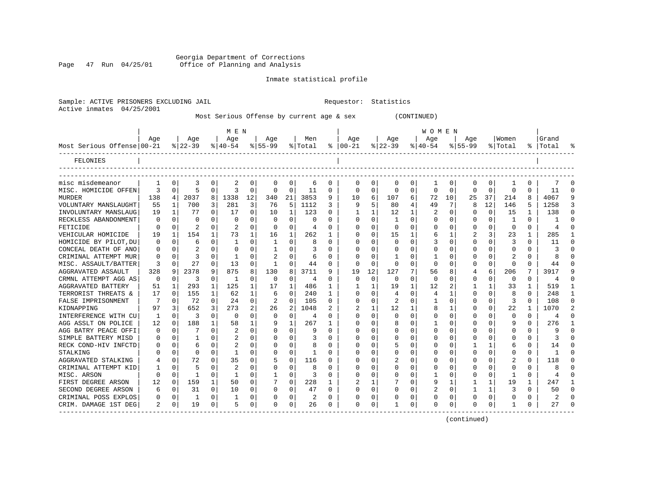Georgia Department of Corrections<br>Page 47 Run 04/25/01 Office of Planning and Analysis Office of Planning and Analysis

CRIM. DAMAGE 1ST DEG  $\begin{array}{cccc} 2 & 0 & 19 & 0 & 5 & 0 \end{array}$ 

Sample: ACTIVE PRISONERS EXCLUDING JAIL **Requestor:** Statistics

#### Inmate statistical profile

CRIMINAL POSS EXPLOS | 0 0 | 1 0 | 1 0 | 0 0 | 2 0 | 0 0 | 0 0 | 0 0 | 0 0 | 0 0 | 2 0<br>CRIM.DAMAGE 1ST DEG | 2 0 | 19 0 | 5 0 | 0 0 | 26 0 | 0 0 | 1 0 | 0 0 | 0 0 | 1 0 | 27 0

------------------------------------------------------------------------------------------------------------------------------------

| Active inmates             | 04/25/2001 |          |                 |             |                  |              |                    |              |                                           |          |                   |             |                 |          |                  |          |                    |             |                  |          |                 |                |
|----------------------------|------------|----------|-----------------|-------------|------------------|--------------|--------------------|--------------|-------------------------------------------|----------|-------------------|-------------|-----------------|----------|------------------|----------|--------------------|-------------|------------------|----------|-----------------|----------------|
|                            |            |          |                 |             |                  |              |                    |              | Most Serious Offense by current age & sex |          |                   |             |                 |          | (CONTINUED)      |          |                    |             |                  |          |                 |                |
|                            |            |          |                 |             | M E N            |              |                    |              |                                           |          |                   |             |                 |          | <b>WOMEN</b>     |          |                    |             |                  |          |                 |                |
| Most Serious Offense 00-21 | Age        |          | Age<br>$ 22-39$ |             | Age<br>$8 40-54$ |              | Age<br>$8155 - 99$ |              | Men<br>% Total                            |          | Age<br>$% 100-21$ |             | Age<br>$ 22-39$ |          | Age<br>$8 40-54$ |          | Aqe<br>$8155 - 99$ |             | Women<br>% Total | ႜ        | Grand<br> Total |                |
| FELONIES                   |            |          |                 |             |                  |              |                    |              |                                           |          |                   |             |                 |          |                  |          |                    |             |                  |          |                 |                |
| misc misdemeanor           |            | 0        | 3               | 0           | 2                | 0            | 0                  | 0            | 6                                         | 0        | $\Omega$          | 0           | 0               | 0        | 1                | 0        | 0                  | 0           |                  | 0        |                 |                |
| MISC. HOMICIDE OFFEN       | 3          | 0        | 5               | $\mathbf 0$ | 3                | $\mathbf 0$  | 0                  | 0            | 11                                        | 0        | $\Omega$          | 0           | 0               | 0        | $\Omega$         | 0        | $\mathbf 0$        | $\mathbf 0$ | $\mathbf 0$      | $\Omega$ | 11              | $\Omega$       |
| <b>MURDER</b>              | 138        | 4        | 2037            | 8           | 1338             | 12           | 340                | 21           | 3853                                      | 9        | 10                | 6           | 107             | 6        | 72               | 10       | 25                 | 37          | 214              | 8        | 4067            | 9              |
| VOLUNTARY MANSLAUGHT       | 55         | 1        | 700             | 3           | 281              | 3            | 76                 | 5            | 1112                                      | 3        | 9                 | 5           | 80              |          | 49               |          | 8                  | 12          | 146              | 5        | 1258            |                |
| INVOLUNTARY MANSLAUG       | 19         | 1        | 77              | 0           | 17               | $\mathbf 0$  | 10                 | $\mathbf{1}$ | 123                                       | 0        |                   | 1           | 12              |          |                  | O        | 0                  | 0           | 15               | 1        | 138             |                |
| RECKLESS ABANDONMENT       | $\Omega$   | $\Omega$ | $\Omega$        | $\Omega$    | $\Omega$         | $\Omega$     | $\Omega$           | $\Omega$     | $\Omega$                                  | $\Omega$ | $\Omega$          | $\Omega$    | $\mathbf{1}$    | $\Omega$ | $\Omega$         | $\Omega$ | 0                  | $\Omega$    |                  | $\Omega$ | 1               | U              |
| FETICIDE                   | 0          | $\Omega$ | 2               | 0           | $\overline{c}$   | $\Omega$     | $\Omega$           | $\Omega$     | 4                                         | $\Omega$ | $\Omega$          | $\Omega$    | $\Omega$        | $\Omega$ | $\Omega$         | $\Omega$ | 0                  | 0           | $\Omega$         | 0        | 4               | ∩              |
| VEHICULAR HOMICIDE         | 19         | 1        | 154             | 1           | 73               | $\mathbf 1$  | 16                 | 1            | 262                                       | 1        |                   | 0           | 15              |          | 6                |          | 2                  | 3           | 23               | 1        | 285             |                |
| HOMICIDE BY PILOT, DU      | 0          | 0        | 6               | $\mathbf 0$ | 1                | $\mathbf 0$  | 1                  | 0            | 8                                         | $\Omega$ |                   | 0           | $\Omega$        | $\Omega$ | 3                | $\Omega$ | 0                  | 0           | 3                | $\Omega$ | 11              | $\cap$         |
| CONCEAL DEATH OF ANO       | $\Omega$   | 0        |                 | 0           | 0                | $\Omega$     | 1                  | $\Omega$     | 3                                         | $\Omega$ |                   | $\Omega$    | 0               | $\Omega$ | $\Omega$         | O        | <sup>0</sup>       | 0           | $\Omega$         | $\Omega$ | 3               | ∩              |
| CRIMINAL ATTEMPT MUR       | 0          | 0        | ζ               | 0           | 1                | $\Omega$     | 2                  | $\Omega$     | 6                                         | $\Omega$ | $\Omega$          | $\Omega$    | -1              | $\Omega$ | 1                | $\Omega$ | <sup>0</sup>       | 0           |                  | $\Omega$ | 8               | U              |
| MISC. ASSAULT/BATTER       | 3          | $\Omega$ | 27              | 0           | 13               | 0            | 1                  | $\Omega$     | 44                                        | 0        | $\Omega$          | $\Omega$    | 0               | 0        | $\Omega$         | $\Omega$ | 0                  | 0           | $\Omega$         | $\Omega$ | 44              |                |
| AGGRAVATED ASSAULT         | 328        | 9        | 2378            | 9           | 875              | 8            | 130                | 8            | 3711                                      | 9        | 19                | 12          | 127             |          | 56               | 8        | 4                  | 6           | 206              | 7        | 3917            | q              |
| CRMNL ATTEMPT AGG AS       | $\Omega$   | $\Omega$ | 3               | 0           | 1                | $\Omega$     | $\Omega$           | $\Omega$     | 4                                         | $\Omega$ | $\Omega$          | $\Omega$    | $\Omega$        | $\Omega$ | $\Omega$         | $\Omega$ | 0                  | 0           | $\Omega$         | 0        | 4               |                |
| AGGRAVATED BATTERY         | 51         | 1        | 293             | 1           | 125              | $\mathbf 1$  | 17                 | 1            | 486                                       | 1        |                   | 1           | 19              | 1        | 12               | 2        | 1                  | 1           | 33               | 1        | 519             |                |
| TERRORIST THREATS &        | 17         | $\Omega$ | 155             | $\mathbf 1$ | 62               | $\mathbf{1}$ | 6                  | 0            | 240                                       | 1        | O                 | $\mathbf 0$ | 4               | 0        | 4                |          | 0                  | 0           | 8                | $\Omega$ | 248             |                |
| FALSE IMPRISONMENT         | 7          | $\Omega$ | 72              | $\mathbf 0$ | 24               | $\mathbf 0$  | $\overline{2}$     | $\Omega$     | 105                                       | $\Omega$ |                   | $\Omega$    | 2               | $\Omega$ | $\mathbf{1}$     | $\Omega$ | 0                  | 0           | 3                | $\Omega$ | 108             | $\Omega$       |
| KIDNAPPING                 | 97         | 3        | 652             | 3           | 273              | 2            | 26                 | 2            | 1048                                      | 2        | $\overline{2}$    | 1           | 12              | -1       | 8                |          | <sup>0</sup>       | 0           | 22               | 1        | 1070            | $\mathfrak{D}$ |
| INTERFERENCE WITH CU       | 1          | $\Omega$ | 3               | 0           | 0                | $\mathbf 0$  | 0                  | 0            | 4                                         | 0        | $\Omega$          | $\Omega$    | $\Omega$        | $\Omega$ | $\Omega$         | $\Omega$ | O                  | 0           | 0                | 0        | 4               | $\Omega$       |
| AGG ASSLT ON POLICE        | 12         | 0        | 188             | 1           | 58               | 1            | 9                  | 1            | 267                                       |          |                   | $\Omega$    | 8               | $\Omega$ |                  | $\Omega$ | 0                  | 0           | 9                | 0        | 276             |                |
| AGG BATRY PEACE OFFI       | 0          | 0        |                 | 0           |                  | 0            | 0                  | 0            | 9                                         | 0        |                   | $\Omega$    | 0               | $\Omega$ | $\Omega$         | $\Omega$ | 0                  | 0           | $\Omega$         | 0        | 9               |                |
| SIMPLE BATTERY MISD        | 0          | 0        | 1               | 0           | $\overline{c}$   | 0            | 0                  | $\Omega$     | 3                                         | 0        | O                 | $\Omega$    | 0               | $\Omega$ | $\Omega$         | O        | 0                  | 0           | $\Omega$         | 0        | 3               |                |
| RECK COND-HIV INFCTD       | 0          | 0        | 6               | 0           | $\overline{c}$   | 0            | 0                  | $\Omega$     | 8                                         | $\Omega$ | O                 | $\Omega$    | 5               | $\Omega$ | $\Omega$         | $\Omega$ |                    | 1           | 6                | 0        | 14              | ∩              |
| STALKING                   | 0          | 0        | 0               | 0           | 1                | 0            | 0                  | 0            | 1                                         | $\Omega$ |                   | 0           | 0               | 0        | $\Omega$         | $\Omega$ | 0                  | 0           | $\Omega$         | $\Omega$ | $\mathbf{1}$    |                |
| AGGRAVATED STALKING        | 4          | 0        | 72              | $\mathbf 0$ | 35               | $\mathbf 0$  | 5                  | 0            | 116                                       | 0        |                   | $\mathbf 0$ | 2               | $\Omega$ | $\Omega$         | O        | 0                  | 0           | 2                | $\Omega$ | 118             |                |
| CRIMINAL ATTEMPT KID       | 1          | $\Omega$ | 5               | $\Omega$    | 2                | $\Omega$     | $\Omega$           | $\Omega$     | 8                                         | $\Omega$ |                   | $\Omega$    | 0               | $\Omega$ | $\Omega$         | $\Omega$ | <sup>0</sup>       | $\Omega$    | $\Omega$         | $\Omega$ | 8               | $\cap$         |
| MISC. ARSON                | $\Omega$   | $\Omega$ | 1               | 0           | 1                | $\Omega$     | 1                  | $\Omega$     | 3                                         | $\Omega$ | $\Omega$          | 0           | 0               | $\Omega$ | 1                | 0        | 0                  | 0           | 1                | 0        | 4               | U              |
| FIRST DEGREE ARSON         | 12         | 0        | 159             | 1           | 50               | 0            |                    | 0            | 228                                       | 1        | 2                 | 1           |                 | 0        | 9                |          |                    | 1           | 19               | 1        | 247             |                |
| SECOND DEGREE ARSON        | 6          | 0        | 31              | 0           | 10               | $\mathbf 0$  | O                  | U            | 47                                        | 0        |                   | 0           | Ω               | 0        |                  |          |                    | 1           | 3                | $\Omega$ | 50              |                |
| CRIMINAL POSS EXPLOS       | $\Omega$   | $\Omega$ | 1               | $\Omega$    |                  | $\Omega$     | $\Omega$           | $\Omega$     | 2                                         | $\Omega$ | $\cap$            | $\Omega$    | U               | $\Omega$ | $\Omega$         | $\cap$   | $\cap$             | 0           | $\Omega$         | $\cap$   | っ               |                |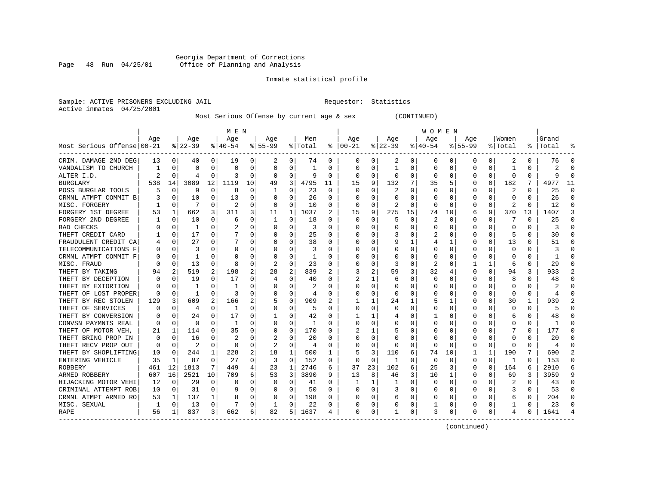### Georgia Department of Corrections<br>Page 48 Run 04/25/01 Office of Planning and Analysis Page 48 Run 04/25/01 Office of Planning and Analysis

#### Inmate statistical profile

Sample: ACTIVE PRISONERS EXCLUDING JAIL **Requestor:** Statistics Active inmates 04/25/2001

Most Serious Offense by current age & sex (CONTINUED)

|                            |                |             |           |             | M E N          |          |           |          |         |    |          |              |                |          | W O M E N |             |             |          |                         |          |           |          |
|----------------------------|----------------|-------------|-----------|-------------|----------------|----------|-----------|----------|---------|----|----------|--------------|----------------|----------|-----------|-------------|-------------|----------|-------------------------|----------|-----------|----------|
|                            | Age            |             | Age       |             | Age            |          | Aqe       |          | Men     |    | Aqe      |              | Aqe            |          | Aqe       |             | Aqe         |          | Women                   |          | Grand     |          |
| Most Serious Offense 00-21 |                |             | $8 22-39$ |             | $8 40-54$      |          | $8 55-99$ |          | % Total | ႜ  | $ 00-21$ |              | $ 22-39$       |          | $ 40-54 $ |             | $8155 - 99$ |          | % Total                 |          | %   Total |          |
| CRIM. DAMAGE 2ND DEG       | 13             | 0           | 40        | $\Omega$    | 19             | 0        | 2         | 0        | 74      | 0  | $\Omega$ | 0            | 2              | 0        | 0         | 0           | 0           | $\Omega$ | 2                       | $\Omega$ | 76        |          |
| VANDALISM TO CHURCH        | -1             | $\Omega$    | O         | 0           | $\Omega$       | 0        | $\Omega$  | 0        | 1       | 0  | $\Omega$ | $\Omega$     | -1             | 0        | $\Omega$  | $\Omega$    | 0           | O        | -1                      | 0        | 2         |          |
| ALTER I.D.                 | $\mathfrak{D}$ | $\Omega$    | 4         | 0           | Р              | $\Omega$ | $\Omega$  | 0        | 9       | 0  | $\Omega$ | $\Omega$     | $\Omega$       | $\Omega$ | $\Omega$  | 0           | O           | $\Omega$ | $\Omega$                | $\Omega$ |           |          |
| <b>BURGLARY</b>            | 538            | 14          | 3089      | 12          | 1119           | 10       | 49        | 3        | 4795    | 11 | 15       | 9            | 132            | 7        | 35        | 5           | O           | $\Omega$ | 182                     | 7        | 4977      | 11       |
| POSS BURGLAR TOOLS         |                | $\mathbf 0$ | 9         | $\mathbf 0$ | 8              | 0        |           | 0        | 23      | 0  | $\Omega$ | $\Omega$     | 2              | $\Omega$ | $\Omega$  | $\mathbf 0$ | 0           | 0        | 2                       | $\Omega$ | 25        | $\Omega$ |
| CRMNL ATMPT COMMIT B       |                | $\Omega$    | 10        | 0           | 13             | $\Omega$ |           | $\Omega$ | 26      | 0  |          | $\Omega$     | $\Omega$       | $\Omega$ | O         | $\Omega$    | O           | $\Omega$ | $\Omega$                | $\Omega$ | 26        | $\Omega$ |
| MISC. FORGERY              |                | $\Omega$    | 7         | 0           | 2              | 0        | $\Omega$  | $\Omega$ | 10      | 0  | $\Omega$ | 0            | $\overline{2}$ | $\Omega$ | $\Omega$  | $\Omega$    | O           | $\Omega$ | $\overline{\mathbf{c}}$ | $\Omega$ | 12        | ∩        |
| FORGERY 1ST DEGREE         | 53             | 1           | 662       | 3           | 311            | 3        | 11        | 1        | 1037    | 2  | 15       | 9            | 275            | 15       | 74        | 10          | 6           | 9        | 370                     | 13       | 1407      | 3        |
| FORGERY 2ND DEGREE         |                | $\Omega$    | 10        | 0           | 6              | 0        |           | 0        | 18      | 0  | $\Omega$ | $\Omega$     | 5              | $\Omega$ | 2         | $\Omega$    | 0           | 0        |                         | 0        | 25        | ∩        |
| <b>BAD CHECKS</b>          |                | 0           | 1         | 0           | 2              | 0        |           | 0        | 3       | 0  |          | $\Omega$     | C              | 0        | 0         | 0           | 0           | 0        | O                       | U        |           |          |
| THEFT CREDIT CARD          |                | $\Omega$    | 17        | 0           |                | U        |           | O        | 25      | 0  |          | U            |                | 0        |           | $\Omega$    | O           | U        |                         | 0        | 30        |          |
| FRAUDULENT CREDIT CA       |                | $\Omega$    | 27        | 0           |                | 0        | O         | 0        | 38      | 0  | C        | $\Omega$     | 9              | 1        | 4         | 1           | O           | 0        | 13                      | 0        | 51        |          |
| TELECOMMUNICATIONS F       | O              | $\Omega$    | ζ         | $\Omega$    | $\Omega$       | O        |           | $\Omega$ | 3       | U  |          | $\Omega$     | $\Omega$       | $\Omega$ | $\Omega$  | $\Omega$    | $\Omega$    | $\Omega$ | $\Omega$                | 0        | 3         |          |
| CRMNL ATMPT COMMIT F       |                | $\Omega$    | 1         | O           | O              | O        |           | 0        | 1       | U  |          | 0            |                | $\Omega$ | O         | 0           | O           | $\Omega$ | $\Omega$                | O        |           |          |
| MISC. FRAUD                |                | $\Omega$    | 13        | $\Omega$    | 8              | O        |           | $\Omega$ | 23      | O  |          | 0            | 3              | $\Omega$ | 2         | $\mathbf 0$ |             | 1        | 6                       | $\Omega$ | 29        |          |
| THEFT BY TAKING            | 94             | 2           | 519       | 2           | 198            | 2        | 28        | 2        | 839     | 2  | 3        | 2            | 59             | 3        | 32        | 4           | O           | $\Omega$ | 94                      | 3        | 933       |          |
| THEFT BY DECEPTION         | U              | $\Omega$    | 19        | 0           | 17             | 0        | 4         | 0        | 40      | U  |          | 1            | 6              | 0        | $\Omega$  | 0           | 0           | 0        | 8                       | 0        | 48        | ∩        |
| THEFT BY EXTORTION         |                | $\Omega$    | -1        | 0           |                | 0        | O         | 0        | 2       | U  | C        | 0            | O              | 0        | 0         | 0           | O           | 0        | 0                       | 0        |           |          |
| THEFT OF LOST PROPER       | O              | 0           | -1        | O           |                | 0        |           | $\Omega$ | 4       | 0  |          | 0            | O              | 0        |           | 0           | O           | O        | $\Omega$                | O        |           |          |
| THEFT BY REC STOLEN        | 129            | 3           | 609       |             | 166            | 2        | .5        | $\Omega$ | 909     |    |          | 1            | 24             | 1        |           | 1           | O           | U        | 30                      | 1        | 939       |          |
| THEFT OF SERVICES          | O              | $\Omega$    | 4         | 0           | -1             | 0        | $\Omega$  | O        | 5       | 0  | C        | $\Omega$     | $\Omega$       | 0        | $\Omega$  | $\Omega$    | O           | O        | $\Omega$                | 0        |           |          |
| THEFT BY CONVERSION        | 0              | $\cap$      | 24        | 0           | 17             | U        |           | $\Omega$ | 42      | U  |          | 1            |                | O        |           | $\Omega$    | O           | 0        | 6                       | 0        | 48        |          |
| CONVSN PAYMNTS REAL        | O              | $\Omega$    | $\Omega$  | 0           | 1              | U        | O         | $\Omega$ | -1      | U  | C        | $\Omega$     | U              | $\Omega$ | O         | $\Omega$    | O           | $\Omega$ | <sup>0</sup>            | 0        |           |          |
| THEFT OF MOTOR VEH,        | 21             | 1           | 114       | 0           | 35             | U        |           | 0        | 170     | U  |          | 1            |                | 0        |           | $\mathbf 0$ | O           | 0        |                         | 0        | 177       |          |
| THEFT BRING PROP IN        | $\Omega$       | $\Omega$    | 16        | U           | $\overline{a}$ | 0        |           | $\Omega$ | 20      | U  | $\cap$   | $\Omega$     | U              | $\Omega$ | ∩         | $\Omega$    | O           | $\Omega$ | $\Omega$                | 0        | 20        |          |
| THEFT RECV PROP OUT        | $\Omega$       | $\Omega$    | 2         | $\Omega$    | $\Omega$       | 0        | 2         | $\Omega$ | 4       | 0  | C        | 0            | 0              | 0        | $\Omega$  | 0           | 0           | $\Omega$ | $\Omega$                | $\Omega$ | 4         | ∩        |
| THEFT BY SHOPLIFTING       | 10             | 0           | 244       | 1           | 228            | 2        | 18        | 1        | 500     | 1  | 5        | 3            | 110            | 6        | 74        | 10          |             | 1        | 190                     |          | 690       | 2        |
| ENTERING VEHICLE           | 35             | 1           | 87        | 0           | 27             | 0        | 3         | 0        | 152     | 0  | 0        | $\Omega$     | -1             | 0        | $\Omega$  | 0           | 0           | $\Omega$ | 1                       | 0        | 153       | ∩        |
| ROBBERY                    | 461            | 12          | 1813      | 7           | 449            | 4        | 23        | 1        | 2746    | 6  | 37       | 23           | 102            | 6        | 25        | 3           | 0           | O        | 164                     | 6        | 2910      |          |
| ARMED ROBBERY              | 607            | 16          | 2521      | 10          | 709            | 6        | 53        | 3        | 3890    | 9  | 13       | 8            | 46             | 3        | 10        | 1           | O           | U        | 69                      | 3        | 3959      |          |
| HIJACKING MOTOR VEHI       | 12             | $\Omega$    | 29        | $\Omega$    | <sup>0</sup>   | 0        | O         | 0        | 41      | 0  | 1        | $\mathbf{1}$ | -1             | $\Omega$ | $\Omega$  | $\Omega$    | 0           | 0        | 2                       | 0        | 43        |          |
| CRIMINAL ATTEMPT ROB       | 10             | $\Omega$    | 31        | $\Omega$    | 9              | U        | O         | $\Omega$ | 50      | 0  | C        | $\Omega$     | 3              | $\Omega$ | O         | 0           | O           | $\Omega$ | 3                       | 0        | 53        |          |
| CRMNL ATMPT ARMED RO       | 53             | 1           | 137       | 1           | 8              | 0        | 0         | 0        | 198     | 0  | O        | 0            | 6              | $\Omega$ | 0         | 0           | O           | 0        | 6                       | 0        | 204       |          |
| MISC. SEXUAL               |                |             |           |             |                |          |           |          |         | U  |          |              |                |          |           |             | O           |          |                         |          |           |          |
|                            |                | $\mathbf 0$ | 13        | $\Omega$    |                | 0        |           | 0        | 22      |    |          | 0            |                | 0        |           | 0           |             | O        |                         | 0        | 23        |          |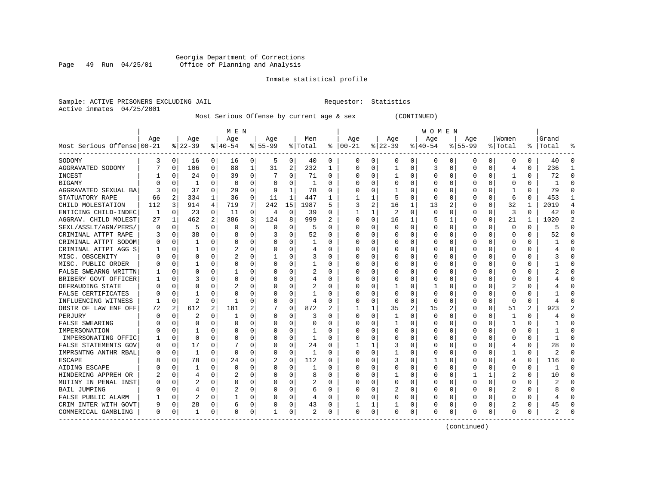### Georgia Department of Corrections<br>Page 49 Run 04/25/01 Office of Planning and Analysis Page 49 Run 04/25/01 Office of Planning and Analysis

#### Inmate statistical profile

Sample: ACTIVE PRISONERS EXCLUDING JAIL **Requestor:** Statistics Active inmates 04/25/2001

Most Serious Offense by current age & sex (CONTINUED)

|                            |          |             |                |          | M E N     |          |             |             |         |              |              |   |          |                | WOMEN     |          |             |          |          |          |           |              |
|----------------------------|----------|-------------|----------------|----------|-----------|----------|-------------|-------------|---------|--------------|--------------|---|----------|----------------|-----------|----------|-------------|----------|----------|----------|-----------|--------------|
|                            | Aqe      |             | Age            |          | Age       |          | Age         |             | Men     |              | Age          |   | Age      |                | Aqe       |          | Aqe         |          | Women    |          | Grand     |              |
| Most Serious Offense 00-21 |          |             | $ 22-39$       |          | $8 40-54$ |          | $8155 - 99$ |             | % Total | ႜ            | $ 00-21$     |   | $ 22-39$ |                | $8 40-54$ |          | $8155 - 99$ |          | % Total  |          | %   Total |              |
| SODOMY                     | 3        | 0           | 16             | 0        | 16        | 0        | 5           | 0           | 40      | 0            | 0            | 0 | 0        | 0              | 0         | 0        | 0           | 0        | 0        | 0        | 40        | O            |
| AGGRAVATED SODOMY          |          | O           | 106            | 0        | 88        | 1        | 31          | 2           | 232     | $\mathbf{1}$ | 0            | 0 |          | $\Omega$       | 3         | $\Omega$ | $\Omega$    | 0        | 4        | 0        | 236       |              |
| <b>INCEST</b>              |          | O           | 24             | $\Omega$ | 39        | 0        |             | $\Omega$    | 71      | 0            | 0            | 0 |          | $\Omega$       | 0         | O        |             | $\Omega$ |          | 0        | 72        | ∩            |
| <b>BIGAMY</b>              |          | $\Omega$    |                | $\Omega$ | 0         | 0        |             | $\Omega$    | 1       | U            | 0            | 0 | O        | $\Omega$       | ი         | O        |             | $\Omega$ | U        | 0        |           | ∩            |
| AGGRAVATED SEXUAL BA       |          | $\Omega$    | 37             | $\Omega$ | 29        | 0        | q           | 1           | 78      | O            |              | 0 |          | $\Omega$       | Ω         | O        |             | O        |          | 0        | 79        | ſ            |
| STATUATORY RAPE            | 66       | 2           | 334            | 1        | 36        | 0        | 11          | 1           | 447     | $\mathbf{1}$ |              | 1 |          | $\Omega$       | U         | O        |             | 0        | 6        | $\Omega$ | 453       | $\mathbf{1}$ |
| CHILD MOLESTATION          | 112      | 3           | 914            | 4        | 719       | 7        | 242         | 15          | 1987    | 5            |              | 2 | 16       | 1              | 13        | 2        | $\Omega$    | 0        | 32       | 1        | 2019      | 4            |
| ENTICING CHILD-INDEC       | 1        | $\Omega$    | 23             | $\Omega$ | 11        | 0        | 4           | $\mathbf 0$ | 39      | U            |              | 1 | 2        | $\Omega$       | 0         | O        | n           | $\Omega$ | 3        | 0        | 42        | ∩            |
| AGGRAV. CHILD MOLEST       | 27       | 1           | 462            | 2        | 386       | 3        | 124         | 8           | 999     | 2            | <sup>0</sup> | 0 | 16       |                | 5         |          |             | O        | 21       |          | 1020      |              |
| SEXL/ASSLT/AGN/PERS/       | $\Omega$ | $\Omega$    | 5              | $\Omega$ | $\Omega$  | $\Omega$ | $\Omega$    | $\Omega$    | 5       | O            | 0            | U | $\Omega$ | $\Omega$       | U         | O        |             | $\Omega$ | $\Omega$ | $\Omega$ | 5         | $\sqrt{ }$   |
| CRIMINAL ATTPT RAPE        | 3        | O           | 38             | $\Omega$ |           | 0        |             | $\Omega$    | 52      | 0            | <sup>0</sup> | O | O        | $\Omega$       | O         | O        | O           | O        | O        | 0        | 52        | ∩            |
| CRIMINAL ATTPT SODOM       | 0        | O           |                | $\Omega$ | 0         | 0        |             | $\Omega$    | 1       | U            | O            | 0 |          | $\Omega$       | O         | O        |             | $\Omega$ | U        | O        |           | ∩            |
| CRIMINAL ATTPT AGG S       |          | 0           |                | $\Omega$ | 2         | 0        |             | $\Omega$    | 4       | 0            | 0            | 0 |          | $\Omega$       | 0         | 0        |             | 0        | 0        | 0        |           | ſ            |
| MISC. OBSCENITY            |          | 0           | $\Omega$       | $\Omega$ |           | 0        |             | $\Omega$    | 3       | U            | 0            | 0 |          | $\Omega$       | Ω         | 0        |             | 0        | 0        | 0        |           | <sup>0</sup> |
| MISC. PUBLIC ORDER         | N        | 0           |                | $\Omega$ | O         | 0        |             | $\Omega$    | 1       | U            | <sup>0</sup> | 0 |          | $\Omega$       | 0         | 0        | ∩           | 0        | O        | 0        |           | ∩            |
| FALSE SWEARNG WRITTN       |          | $\Omega$    | $\Omega$       | $\Omega$ |           | 0        |             | $\Omega$    | 2       | 0            | <sup>0</sup> | 0 |          | $\Omega$       | O         | O        |             | $\Omega$ | O        | 0        |           | ∩            |
| BRIBERY GOVT OFFICER       |          | 0           | 3              | $\Omega$ | C         | 0        |             | $\Omega$    | 4       | 0            | 0            | 0 | 0        | $\Omega$       | 0         | 0        |             | 0        | 0        | 0        |           | <sup>0</sup> |
| DEFRAUDING STATE           |          | O           | $\Omega$       |          |           | 0        |             | $\Omega$    |         | 0            | 0            | 0 |          | $\Omega$       |           | C        |             | O        |          | 0        |           |              |
| FALSE CERTIFICATES         |          | O           |                | ∩        | C         | 0        |             | $\Omega$    | 1       | U            | 0            | 0 | $\Omega$ | $\Omega$       | 0         | O        |             | O        | O        | U        |           | ſ            |
| INFLUENCING WITNESS        |          | O           | $\overline{2}$ | $\Omega$ |           | 0        |             | $\Omega$    | 4       | U            | 0            | 0 | $\Omega$ | $\Omega$       | 0         | 0        |             | 0        | $\Omega$ | 0        | 4         |              |
| OBSTR OF LAW ENF OFF       | 72       | 2           | 612            | 2        | 181       | 2        |             | $\mathbf 0$ | 872     | 2            |              | 1 | 35       | $\overline{2}$ | 15        | 2        |             | 0        | 51       | 2        | 923       |              |
| PERJURY                    |          | 0           | 2              | $\Omega$ | 1         | 0        |             | $\Omega$    | 3       | 0            | 0            | 0 |          | $\Omega$       | 0         | 0        |             | 0        | -1       | 0        |           | Ω            |
| <b>FALSE SWEARING</b>      |          | 0           | $\Omega$       | $\Omega$ | C         | 0        |             | $\Omega$    | 0       | 0            | 0            | 0 |          | $\Omega$       | Ω         | 0        |             | O        | -1       | 0        |           | ſ            |
| IMPERSONATION              |          | 0           |                | $\Omega$ | C         | 0        |             | $\Omega$    | 1       | 0            | Ω            | 0 | O        | $\Omega$       | 0         | O        |             | O        | O        | 0        |           | ∩            |
| IMPERSONATING OFFIC        |          | 0           | $\Omega$       | 0        | 0         | 0        |             | 0           | 1       | U            | 0            | 0 | 0        | 0              | 0         | 0        |             | O        | 0        | 0        |           | O            |
| FALSE STATEMENTS GOV       | 0        | 0           | 17             | 0        |           | 0        |             | 0           | 24      | 0            |              | 1 |          | $\Omega$       | 0         | C        |             | O        | 4        | 0        | 28        | C            |
| IMPRSNTNG ANTHR RBAL       | Ω        | 0           | 1              | $\Omega$ | $\Omega$  | 0        |             | $\Omega$    | 1       | U            | 0            | 0 |          | $\Omega$       | 0         | C        |             | U        |          | 0        | 2         |              |
| <b>ESCAPE</b>              |          | 0           | 78             | $\Omega$ | 24        | 0        |             | $\Omega$    | 112     | U            | <sup>0</sup> | 0 |          | $\Omega$       |           | O        |             | O        | 4        | 0        | 116       | ∩            |
| AIDING ESCAPE              |          | O           |                | 0        | $\Omega$  | 0        |             | $\Omega$    | 1       | U            | Ω            | 0 | 0        | $\Omega$       | 0         | O        | ∩           | $\Omega$ | 0        | 0        |           | ſ            |
| HINDERING APPREH OR        | 2        | $\mathbf 0$ | 4              | $\Omega$ | 2         | 0        |             | 0           | 8       | U            | 0            | 0 |          | $\Omega$       | 0         | 0        |             | 1        | 2        | 0        | 10        | <sup>0</sup> |
| MUTINY IN PENAL INST       |          | $\Omega$    |                | $\Omega$ | C         | 0        |             | $\Omega$    |         | 0            | ſ            | 0 |          | $\Omega$       | 0         | 0        | $\Omega$    | $\Omega$ | 0        | 0        | 2         | ſ            |
| <b>BAIL JUMPING</b>        |          | $\Omega$    |                | 0        | 2         | 0        |             | 0           | 6       | 0            | Ω            | 0 | 2        | $\Omega$       | 0         | 0        | ∩           | 0        | 2        | 0        | ጸ         | <sup>0</sup> |
| FALSE PUBLIC ALARM         |          | 0           | 2              | 0        |           | 0        |             | 0           | 4       | 0            | Ω            | 0 |          | $\Omega$       | 0         | 0        | n           | 0        | Ω        | 0        | 4         | ∩            |
| CRIM INTER WITH GOVT       | 9        | 0           | 28             | 0        | 6         | 0        |             | 0           | 43      | 0            |              | 1 |          | 0              | 0         | 0        |             | 0        | 2        | 0        | 45        | O            |
| COMMERICAL GAMBLING        | 0        | 0           |                | 0        | 0         | 0        |             | 0           | 2       | 0            | $\Omega$     | 0 | 0        | 0              | 0         | 0        | $\Omega$    | 0        | 0        | 0        |           |              |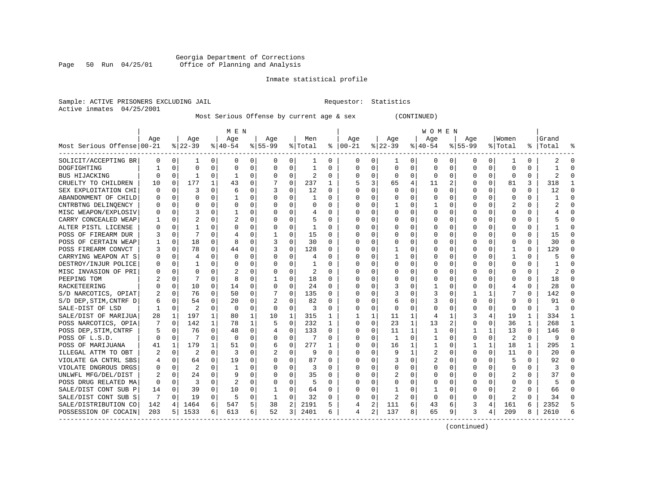#### Georgia Department of Corrections Page 50 Run 04/25/01 Office of Planning and Analysis

# Inmate statistical profile

| Sample: ACTIVE PRISONERS EXCLUDING JAIL | Requestor: Statistics |  |
|-----------------------------------------|-----------------------|--|
| Active inmates 04/25/2001               |                       |  |

Most Serious Offense by current age & sex (CONTINUED)

|                            |     |             |          |          | M E N        |    |                |             |                |    |             |                |              |              | W O M E N |             |             |              |              |          |           |              |
|----------------------------|-----|-------------|----------|----------|--------------|----|----------------|-------------|----------------|----|-------------|----------------|--------------|--------------|-----------|-------------|-------------|--------------|--------------|----------|-----------|--------------|
|                            | Aqe |             | Age      |          | Age          |    | Aqe            |             | Men            |    | Aqe         |                | Aqe          |              | Aqe       |             | Aqe         |              | Women        |          | Grand     |              |
| Most Serious Offense 00-21 |     |             | $ 22-39$ |          | $8 40-54$    |    | $8 55-99$      |             | % Total        | ႜ  | $ 00-21$    |                | $ 22-39$     |              | $ 40-54$  |             | $8155 - 99$ |              | % Total      |          | %   Total | °            |
| SOLICIT/ACCEPTING BR       | 0   | $\mathbf 0$ | 1        | 0        | $\Omega$     | 0  | 0              | 0           | 1              | 0  | 0           | 0              | 1            | 0            | 0         | 0           | 0           | 0            | 1            | 0        |           |              |
| DOGFIGHTING                |     | $\Omega$    | $\Omega$ | $\Omega$ | $\Omega$     | 0  | $\Omega$       | $\Omega$    | 1              | U  | 0           | 0              | $\Omega$     | $\mathbf 0$  | 0         | 0           | $\Omega$    | $\Omega$     | $\Omega$     | $\Omega$ |           | ∩            |
| BUS HIJACKING              | 0   | $\Omega$    | 1        | 0        | -1           | 0  | $\Omega$       | 0           | $\overline{2}$ | 0  | 0           | 0              | 0            | 0            | 0         | 0           | 0           | $\Omega$     | 0            | $\Omega$ | 2         |              |
| CRUELTY TO CHILDREN        | 10  | 0           | 177      |          | 43           | 0  |                | $\mathbf 0$ | 237            | 1  | 5           | 3              | 65           | 4            | 11        | 2           | 0           | $\Omega$     | 81           | 3        | 318       |              |
| SEX EXPLOITATION CHI       | 0   | 0           | 3        | $\Omega$ | 6            | 0  |                | 0           | 12             | 0  | $\Omega$    | 0              | $\Omega$     | 0            | $\Omega$  | 0           | 0           | $\Omega$     | $\mathbf 0$  | 0        | 12        |              |
| ABANDONMENT OF CHILD       | O   | $\mathbf 0$ | $\Omega$ | $\Omega$ | $\mathbf{1}$ | 0  | $\Omega$       | $\Omega$    | $\mathbf{1}$   | 0  | $\cap$      | 0              | $\Omega$     | 0            | U         | 0           | $\Omega$    | $\Omega$     | $\Omega$     | $\Omega$ |           | $\Omega$     |
| CNTRBTNG DELINOENCY        | O   | 0           | O        | $\Omega$ | O            | 0  | ∩              | $\Omega$    | 0              | 0  | $\Omega$    | 0              | -1           | 0            | 1         | 0           | 0           | $\Omega$     | 2            | 0        |           | $\Omega$     |
| MISC WEAPON/EXPLOSIV       | 0   | 0           |          | 0        |              | 0  | O              | 0           | 4              | 0  | 0           | 0              | 0            | 0            | 0         | 0           | 0           | 0            | 0            | 0        |           | ∩            |
| CARRY CONCEALED WEAP       |     | 0           |          | 0        | 2            | 0  | O              | 0           | 5              | 0  | 0           | 0              | 0            | $\Omega$     | 0         | 0           | 0           | 0            | 0            | 0        |           |              |
| ALTER PISTL LICENSE        | O   | $\Omega$    |          | U        | O            | 0  |                | $\Omega$    | 1              | U  | C           | 0              | $\Omega$     | 0            | 0         | 0           | O           | U            | $\cap$       | U        |           |              |
| POSS OF FIREARM DUR        | 3   | $\Omega$    | 7        | 0        |              | 0  |                | 0           | 15             | 0  | $\Omega$    | $\Omega$       | $\Omega$     | O            | $\Omega$  | 0           | O           | 0            | $\Omega$     | 0        | 15        |              |
| POSS OF CERTAIN WEAP       |     | $\mathbf 0$ | 18       | $\Omega$ | 8            | 0  | 3              | $\Omega$    | 30             | 0  | $\Omega$    | $\Omega$       | $\Omega$     | 0            | O         | $\Omega$    | O           | $\Omega$     | $\Omega$     | 0        | 30        |              |
| POSS FIREARM CONVCT        | 3   | 0           | 78       | $\Omega$ | 44           | 0  | 3              | $\mathbf 0$ | 128            | 0  | O           | $\mathbf 0$    | -1           | 0            | O         | 0           | 0           | $\Omega$     | 1            | 0        | 129       |              |
| CARRYING WEAPON AT S       | 0   | 0           | 4        | $\Omega$ | $\Omega$     | O  | $\Omega$       | 0           | 4              | O  | $\Omega$    | 0              | $\mathbf{1}$ | $\Omega$     |           | $\mathbf 0$ | $\Omega$    | $\Omega$     | 1            | $\Omega$ |           |              |
| DESTROY/INJUR POLICE       | 0   | 0           | 1        | $\Omega$ | $\Omega$     | 0  | $\Omega$       | 0           | 1              | U  | C           | 0              | $\Omega$     | $\Omega$     | $\Omega$  | 0           | O           | $\Omega$     | <sup>0</sup> | $\Omega$ |           | $\Omega$     |
| MISC INVASION OF PRI       | 0   | 0           | O        | 0        | 2            | 0  | O              | 0           | 2              | 0  | C           | 0              | 0            | 0            | 0         | 0           | 0           | 0            | 0            | 0        | 2         | $\cap$       |
| PEEPING TOM                |     | 0           |          | 0        | 8            | 0  |                | 0           | 18             | 0  | C           | 0              | 0            | 0            | 0         | 0           | 0           | 0            | O            | 0        | 18        | ∩            |
| RACKETEERING               | O   | 0           | 10       | 0        | 14           | 0  | $\Omega$       | 0           | 24             | 0  |             | 0              |              | 0            |           | 0           | 0           | 0            | 4            | N        | 28        |              |
| S/D NARCOTICS, OPIAT       |     | $\Omega$    | 76       | 0        | 50           | 0  |                | $\Omega$    | 135            | 0  | C           | $\Omega$       | 3            | 0            | 3         | 0           |             | 1            |              | 0        | 142       |              |
| S/D DEP, STIM, CNTRF D     | 6   | $\Omega$    | 54       | 0        | 20           | 0  | $\overline{2}$ | $\Omega$    | 82             | 0  | $\Omega$    | 0              | 6            | 0            | 3         | $\Omega$    | 0           | 0            | 9            | 0        | 91        |              |
| SALE-DIST OF LSD           | 1   | 0           | 2        | $\Omega$ | 0            | 0  | 0              | 0           | 3              | 0  | $\Omega$    | $\mathbf 0$    | $\Omega$     | 0            | $\Omega$  | 0           | 0           | $\Omega$     | $\Omega$     | 0        | 3         |              |
| SALE/DIST OF MARIJUA       | 28  | 1           | 197      |          | 80           | 1  | 10             | 1           | 315            | 1  | 1           | 1              | 11           | 1            | 4         | 1           | 3           | 4            | 19           | 1        | 334       |              |
| POSS NARCOTICS, OPIA       |     | $\mathbf 0$ | 142      | 1        | 78           | 1  | 5              | 0           | 232            | 1  | $\mathbf 0$ | $\mathbf 0$    | 23           | $\mathbf{1}$ | 13        | 2           | 0           | 0            | 36           | 1        | 268       | $\mathbf{1}$ |
| POSS DEP, STIM, CNTRF      | 5   | 0           | 76       | $\Omega$ | 48           | 0  |                | 0           | 133            | 0  | $\Omega$    | 0              | 11           | $\mathbf{1}$ | 1         | 0           | 1           | $\mathbf{1}$ | 13           | $\Omega$ | 146       | $\cap$       |
| POSS OF L.S.D.             | U   | 0           | 7        | 0        | 0            | 0  | 0              | 0           | 7              | U  | $\Omega$    | 0              | -1           | 0            | 1         | 0           | 0           | $\Omega$     | 2            | 0        | 9         | $\Omega$     |
| POSS OF MARIJUANA          | 41  | 1           | 179      |          | 51           | 0  | 6              | 0           | 277            |    | 0           | 0              | 16           | 1            | 1         | 0           | 1           | 1            | 18           | 1        | 295       | -1           |
| ILLEGAL ATTM TO OBT        |     | 0           |          | 0        | 3            | 0  |                | 0           | 9              | U  | C           | 0              | 9            | 1            |           | 0           | $\Omega$    | $\Omega$     | 11           | 0        | 20        | $\cap$       |
| VIOLATE GA CNTRL SBS       | 4   | $\Omega$    | 64       | 0        | 19           | 0  | $\Omega$       | 0           | 87             | 0  | C           | $\Omega$       | 3            | 0            |           | $\Omega$    | O           | U            |              | 0        | 92        | $\cap$       |
| VIOLATE DNGROUS DRGS       | O   | $\Omega$    | 2        | 0        | -1           | 0  | O              | 0           | 3              | 0  | $\Omega$    | 0              | 0            | 0            | 0         | 0           | O           | 0            | $\Omega$     | 0        | 3         | n            |
| UNLWFL MFG/DEL/DIST        | 2   | 0           | 24       | 0        | 9            | 0  | 0              | 0           | 35             | 0  | $\Omega$    | $\mathbf 0$    | 2            | 0            | O         | 0           | 0           | $\Omega$     | 2            | 0        | 37        | ∩            |
| POSS DRUG RELATED MA       | 0   | 0           | 3        | 0        | 2            | 0  |                | 0           | 5              | 0  | O           | $\mathbf 0$    | $\Omega$     | 0            | 0         | 0           | 0           | 0            | $\Omega$     | U        | 5         |              |
| SALE/DIST CONT SUB P       | 14  | 0           | 39       | 0        | 10           | 0  |                | 0           | 64             | 0  | $\Omega$    | 0              | 1            | 0            | 1         | 0           | 0           | $\Omega$     | 2            | 0        | 66        | $\cap$       |
| SALE/DIST CONT SUB S       | 7   | $\Omega$    | 19       | 0        | 5            | 0  | 1              | 0           | 32             | 0  | $\Omega$    | $\Omega$       | 2            | $\Omega$     | $\Omega$  | $\Omega$    | 0           | $\Omega$     | 2            | 0        | 34        | ∩            |
| SALE/DISTRIBUTION CO       | 142 | 4           | 1464     | 6        | 547          | 5  | 38             | 2           | 2191           | 5. | 4           | 2              | 111          | 6            | 43        | 6           | 3           | 4            | 161          | 6        | 2352      | 5            |
| POSSESSION OF COCAIN       | 203 | 5           | 1533     | 6        | 613          | б. | 52             | 3           | 2401           | 6  | 4           | $\overline{a}$ | 137          | 8            | 65        | 9           | 3           | 4            | 209          | 8        | 2610      |              |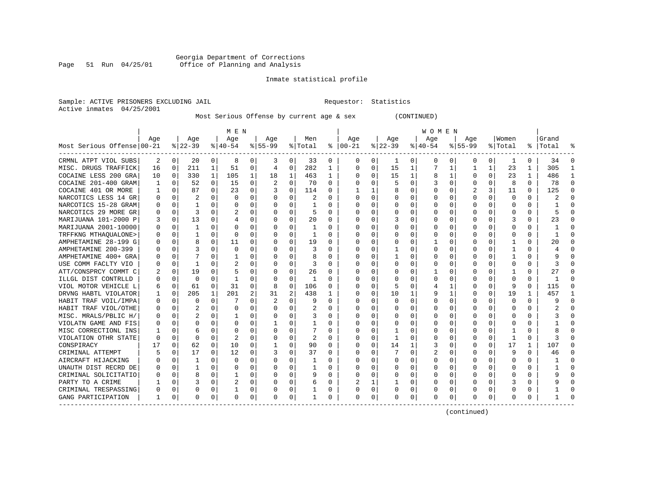#### Georgia Department of Corrections Page 51 Run 04/25/01 Office of Planning and Analysis

# Inmate statistical profile

| Sample: ACTIVE PRISONERS EXCLUDING JAIL | Requestor: Statistics |  |
|-----------------------------------------|-----------------------|--|
| Active inmates 04/25/2001               |                       |  |

Most Serious Offense by current age & sex (CONTINUED)

|                            | M E N    |              |                |              |           |          |          |             |         | W O M E N    |               |          |           |              |          |              |          |          |              |              |           |          |
|----------------------------|----------|--------------|----------------|--------------|-----------|----------|----------|-------------|---------|--------------|---------------|----------|-----------|--------------|----------|--------------|----------|----------|--------------|--------------|-----------|----------|
|                            | Age      |              | Age            |              | Age       |          | Age      |             | Men     |              | Age           |          | Age       |              | Age      |              | Age      |          | Women        |              | Grand     |          |
| Most Serious Offense 00-21 |          |              | $ 22-39 $      |              | $8 40-54$ |          | $ 55-99$ |             | % Total |              | $8   00 - 21$ |          | $ 22-39 $ |              | $ 40-54$ |              | $ 55-99$ |          | % Total      |              | %   Total |          |
| CRMNL ATPT VIOL SUBS       | 2        | $\mathbf{0}$ | 20             | $\Omega$     | 8         | 0        | 3        | 0           | 33      | 0            | 0             | 0        | 1         | 0            | 0        | 0            | 0        | 0        | 1            | $\Omega$     | 34        | $\Omega$ |
| MISC. DRUGS TRAFFICK       | 16       | 0            | 211            | 1            | 51        | 0        | 4        | 0           | 282     | 1            | 0             | 0        | 15        | 1            |          | 1            |          | 1        | 23           | 1            | 305       | -1       |
| COCAINE LESS 200 GRA       | 10       | 0            | 330            | $\mathbf{1}$ | 105       | 1        | 18       | 1           | 463     | 1            |               | $\Omega$ | 15        | $\mathbf{1}$ | 8        | $\mathbf 1$  | O        | $\Omega$ | 23           | $\mathbf{1}$ | 486       |          |
| COCAINE 201-400 GRAM       |          | $\Omega$     | 52             | $\Omega$     | 15        | $\Omega$ | 2        | $\Omega$    | 70      | $\Omega$     |               | $\Omega$ | 5         | $\Omega$     | 3        | 0            | $\Omega$ | $\Omega$ | 8            | $\Omega$     | 78        | $\Omega$ |
| COCAINE 401 OR MORE        |          | 0            | 87             | $\Omega$     | 23        | 0        |          | $\mathbf 0$ | 114     | 0            |               | 1        | 8         | 0            |          | $\mathbf 0$  | 2        | 3        | 11           | $\Omega$     | 125       |          |
| NARCOTICS LESS 14 GR       |          | $\mathbf 0$  | 2              | 0            | $\Omega$  | $\Omega$ |          | 0           | 2       | O            |               | $\Omega$ |           | 0            |          | 0            | $\Omega$ | $\Omega$ | $\mathbf 0$  | $\Omega$     | Z.        |          |
| NARCOTICS 15-28 GRAM       |          | 0            | 1              | 0            | $\Omega$  | 0        |          | 0           |         | 0            |               | $\Omega$ | 0         | 0            |          | 0            | 0        | 0        | $\Omega$     | 0            |           |          |
| NARCOTICS 29 MORE GR       |          | 0            | 3              | 0            | 2         | $\Omega$ |          | $\Omega$    | 5       | 0            |               | $\Omega$ | $\Omega$  | 0            |          | 0            | 0        | 0        | $\Omega$     | 0            |           |          |
| MARIJUANA 101-2000 P       | 3        | 0            | 13             | 0            |           | 0        |          | 0           | 20      | 0            |               | $\Omega$ | 3         | 0            |          | 0            | 0        | 0        | 3            | 0            | 23        |          |
| MARIJUANA 2001-10000       |          | 0            | $\mathbf{1}$   | 0            | $\Omega$  | $\Omega$ |          | 0           | 1       | 0            |               | $\Omega$ |           | 0            |          | 0            | 0        | 0        | 0            | 0            |           |          |
| TRFFKNG MTHAOUALONE>       |          | 0            | 1              | O            | 0         | 0        |          | 0           | 1       | O            |               | 0        | 0         | 0            |          | 0            | 0        | 0        | O            | 0            |           |          |
| AMPHETAMINE 28-199 G       |          | $\mathbf 0$  | 8              | O            | 11        | 0        |          | $\mathbf 0$ | 19      | O            |               | $\Omega$ | 0         | 0            |          | 0            | U        | 0        |              | $\Omega$     | 20        |          |
| AMPHETAMINE 200-399        |          | $\Omega$     |                | 0            | $\Omega$  | 0        |          | $\Omega$    | 3       | O            | 0             | $\Omega$ | 1         | 0            |          | 0            | 0        | 0        |              | 0            |           | ∩        |
| AMPHETAMINE 400+ GRA       |          | 0            |                | U            |           | 0        |          | 0           | 8       | O            |               | 0        | 1         | 0            |          | 0            | U        | 0        |              | $\Omega$     |           |          |
| USE COMM FACLTY VIO        |          | 0            | 1              | U            |           | 0        | O        | $\Omega$    | 3       | $\Omega$     |               | $\Omega$ | $\Omega$  | O            | $\Omega$ | 0            | U        | 0        | <sup>0</sup> | $\Omega$     |           | ∩        |
| ATT/CONSPRCY COMMT C       |          | $\mathbf 0$  | 19             | 0            |           | 0        | 0        | 0           | 26      | $\Omega$     |               | $\Omega$ | 0         | 0            |          | 0            | 0        | 0        |              | 0            | 27        | ∩        |
| ILLGL DIST CONTRLLD        |          | $\mathbf 0$  | 0              | U            | -1        | O        | O        | 0           | 1       | $\Omega$     |               | 0        | $\Omega$  | 0            |          | 0            | 0        | O        | <sup>0</sup> | $\Omega$     | -1        | ∩        |
| VIOL MOTOR VEHICLE L       | 6        | 0            | 61             | $\Omega$     | 31        | $\Omega$ | 8        | $\mathbf 0$ | 106     | O            |               | $\Omega$ | 5         | O            |          | 1            | U        | $\Omega$ | q            | $\Omega$     | 115       | $\Omega$ |
| DRVNG HABTL VIOLATOR       |          | 0            | 205            | 1            | 201       | 2        | 31       | 2           | 438     | 1            | <sup>0</sup>  | $\Omega$ | 10        | 1            |          | 1            | U        | $\Omega$ | 19           | 1            | 457       | -1       |
| HABIT TRAF VOIL/IMPA       |          | 0            | $\Omega$       | 0            |           | 0        |          | 0           | 9       | $\Omega$     | ∩             | 0        | $\Omega$  | O            | U        | 0            | O        | 0        | $\Omega$     | $\Omega$     |           | $\Omega$ |
| HABIT TRAF VIOL/OTHE       |          | $\Omega$     | $\overline{c}$ | $\Omega$     | $\Omega$  | 0        | O        | $\Omega$    | 2       | 0            | <sup>0</sup>  | $\Omega$ | $\Omega$  | U            | U        | $\Omega$     | U        | 0        | $\Omega$     | $\Omega$     |           | ∩        |
| MISC. MRALS/PBLIC H/       |          | $\mathbf 0$  | 2              | 0            |           | $\Omega$ | 0        | $\Omega$    | 3       | $\Omega$     |               | $\Omega$ |           | 0            |          | $\Omega$     | 0        | 0        | 0            | $\Omega$     |           |          |
| VIOLATN GAME AND FIS       |          | 0            | O              | 0            | $\Omega$  | 0        |          | 0           |         | O            | ∩             | 0        |           | 0            |          | 0            | U        | 0        | <sup>0</sup> | $\Omega$     |           |          |
| MISC CORRECTIONL INS       |          | 0            | 6              | 0            | $\Omega$  | $\Omega$ | O        | $\Omega$    | 7       | $\Omega$     | ∩             | $\Omega$ | 1         | U            |          | 0            | U        | 0        |              | $\Omega$     |           | $\cap$   |
| VIOLATION OTHR STATE       | $\Omega$ | $\Omega$     | $\Omega$       | $\Omega$     | 2         | $\Omega$ | O        | $\Omega$    | 2       | $\Omega$     | ∩             | $\Omega$ | -1        | 0            |          | $\Omega$     | 0        | $\Omega$ | -1           | $\Omega$     |           | $\cap$   |
| CONSPIRACY                 | 17       | 0            | 62             | $\Omega$     | 10        | 0        |          | 0           | 90      | 0            | ∩             | $\Omega$ | 14        | 1            | 3        | 0            | O        | $\Omega$ | 17           | 1            | 107       | n        |
| CRIMINAL ATTEMPT           |          | $\Omega$     | 17             | $\Omega$     | 12        | 0        |          | $\Omega$    | 37      | <sup>0</sup> | ∩             | $\Omega$ | 7         | 0            | 2        | 0            | O        | $\Omega$ | 9            | $\Omega$     | 46        | $\cap$   |
| AIRCRAFT HIJACKING         |          | $\Omega$     | $\mathbf{1}$   | O            | $\Omega$  | $\Omega$ | O        | $\Omega$    | 1       | 0            | <sup>0</sup>  | 0        | $\Omega$  | 0            | 0        | 0            | 0        | 0        | 0            | $\Omega$     |           | $\Omega$ |
| UNAUTH DIST RECRD DE       |          | 0            | 1              | $\Omega$     | 0         | 0        | O        | 0           | 1       | $\Omega$     | <sup>0</sup>  | 0        | $\Omega$  | 0            | U        | 0            | U        | 0        | <sup>0</sup> | $\Omega$     |           | ∩        |
| CRIMINAL SOLICITATIO       |          | 0            | 8              | $\Omega$     | -1        | 0        | 0        | $\Omega$    | 9       | $\Omega$     | $\Omega$      | 0        | 0         | 0            | O        | 0            | O        | $\Omega$ | O            | 0            |           | $\Omega$ |
| PARTY TO A CRIME           |          | $\Omega$     |                | $\Omega$     | 2         | 0        | O        | 0           | 6       | $\Omega$     |               | 1        |           | 0            |          | 0            | 0        | $\Omega$ |              | 0            |           | $\cap$   |
| CRIMINAL TRESPASSING       | 0        | 0            | 0              | 0            |           | 0        | O        | 0           |         | 0            | ∩             | 0        | 0         | 0            | O        | 0            | O        | 0        | 0            | 0            |           | ∩        |
| GANG PARTICIPATION         | 1        | 0            | $\Omega$       | 0            | $\Omega$  | 0        | $\Omega$ | 0           | 1       | 0            | $\cap$        | 0        | O         | 0            | ∩        | $\mathbf{0}$ | O        | 0        | $\Omega$     | 0            |           |          |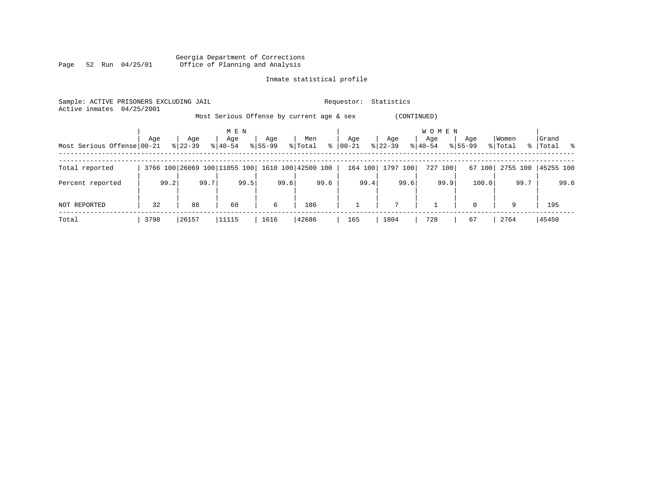|      |  |                 |  | Georgia Department of Corrections |  |  |
|------|--|-----------------|--|-----------------------------------|--|--|
| Page |  | 52 Run 04/25/01 |  | Office of Planning and Analysis   |  |  |

| Sample: ACTIVE PRISONERS EXCLUDING JAIL<br>Active inmates | 04/25/2001 |           |                              |             | Statistics<br>Requestor:                  |         |                 |                     |             |          |             |  |  |  |
|-----------------------------------------------------------|------------|-----------|------------------------------|-------------|-------------------------------------------|---------|-----------------|---------------------|-------------|----------|-------------|--|--|--|
|                                                           |            |           |                              |             | Most Serious Offense by current age & sex |         | (CONTINUED)     |                     |             |          |             |  |  |  |
|                                                           | Age        | Age       | M E N<br>Age                 | Age         | Men                                       | Age     | Age             | <b>WOMEN</b><br>Age | Age         | Women    | Grand       |  |  |  |
| Most Serious Offense 00-21                                |            | $8 22-39$ | $8140 - 54$                  | $8155 - 99$ | $\frac{8}{6}$<br>% Total                  | 00-21   | $ 22-39 $       | $8 40-54$           | $8155 - 99$ | % Total  | %   Total % |  |  |  |
| Total reported                                            |            |           | 3766 100 26069 100 11055 100 |             | 1610 100 42500 100                        | 164 100 | 1797 100        | 727 100             | 67 100      | 2755 100 | 45255 100   |  |  |  |
| Percent reported                                          | 99.2       | 99.7      | 99.5                         | 99.6        | 99.6                                      | 99.4    | 99.6            | 99.9                | 100.0       | 99.7     | 99.6        |  |  |  |
| NOT REPORTED                                              | 32         | 88        | 60                           | 6           | 186                                       |         | $7\overline{ }$ |                     | $\Omega$    | 9        | 195         |  |  |  |
| Total                                                     | 3798       | 26157     | 11115                        | 1616        | 42686                                     | 165     | 1804            | 728                 | 67          | 2764     | 45450       |  |  |  |